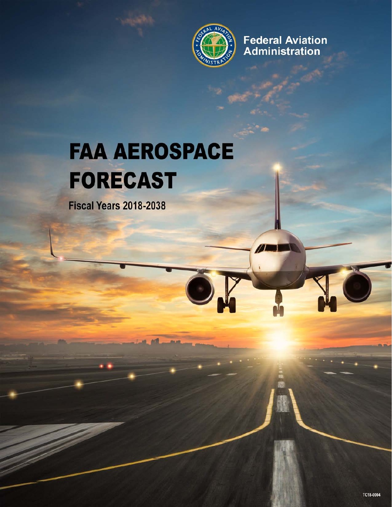

**Federal Aviation** Administration

**AL** 

# **FAA AEROSPACE FORECAST**

**Fiscal Years 2018-2038**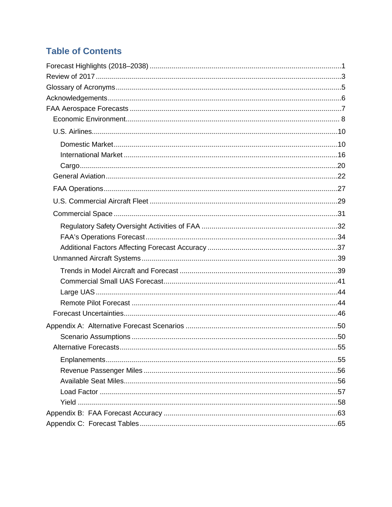### **Table of Contents**

| Alternative Forecasts | .55 |
|-----------------------|-----|
|                       |     |
|                       |     |
|                       |     |
|                       |     |
|                       |     |
|                       |     |
|                       |     |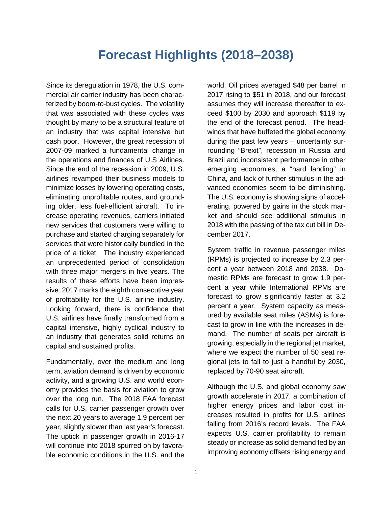### **Forecast Highlights (2018–2038)**

<span id="page-2-0"></span>Since its deregulation in 1978, the U.S. commercial air carrier industry has been characterized by boom-to-bust cycles. The volatility that was associated with these cycles was thought by many to be a structural feature of an industry that was capital intensive but cash poor. However, the great recession of 2007-09 marked a fundamental change in the operations and finances of U.S Airlines. Since the end of the recession in 2009, U.S. airlines revamped their business models to minimize losses by lowering operating costs, eliminating unprofitable routes, and grounding older, less fuel-efficient aircraft. To increase operating revenues, carriers initiated new services that customers were willing to purchase and started charging separately for services that were historically bundled in the price of a ticket. The industry experienced an unprecedented period of consolidation with three major mergers in five years. The results of these efforts have been impressive: 2017 marks the eighth consecutive year of profitability for the U.S. airline industry. Looking forward, there is confidence that U.S. airlines have finally transformed from a capital intensive, highly cyclical industry to an industry that generates solid returns on capital and sustained profits.

Fundamentally, over the medium and long term, aviation demand is driven by economic activity, and a growing U.S. and world economy provides the basis for aviation to grow over the long run. The 2018 FAA forecast calls for U.S. carrier passenger growth over the next 20 years to average 1.9 percent per year, slightly slower than last year's forecast. The uptick in passenger growth in 2016-17 will continue into 2018 spurred on by favorable economic conditions in the U.S. and the

world. Oil prices averaged \$48 per barrel in 2017 rising to \$51 in 2018, and our forecast assumes they will increase thereafter to exceed \$100 by 2030 and approach \$119 by the end of the forecast period. The headwinds that have buffeted the global economy during the past few years – uncertainty surrounding "Brexit", recession in Russia and Brazil and inconsistent performance in other emerging economies, a "hard landing" in China, and lack of further stimulus in the advanced economies seem to be diminishing. The U.S. economy is showing signs of accelerating, powered by gains in the stock market and should see additional stimulus in 2018 with the passing of the tax cut bill in December 2017.

System traffic in revenue passenger miles (RPMs) is projected to increase by 2.3 percent a year between 2018 and 2038. Domestic RPMs are forecast to grow 1.9 percent a year while International RPMs are forecast to grow significantly faster at 3.2 percent a year. System capacity as measured by available seat miles (ASMs) is forecast to grow in line with the increases in demand. The number of seats per aircraft is growing, especially in the regional jet market, where we expect the number of 50 seat regional jets to fall to just a handful by 2030, replaced by 70-90 seat aircraft.

Although the U.S. and global economy saw growth accelerate in 2017, a combination of higher energy prices and labor cost increases resulted in profits for U.S. airlines falling from 2016's record levels. The FAA expects U.S. carrier profitability to remain steady or increase as solid demand fed by an improving economy offsets rising energy and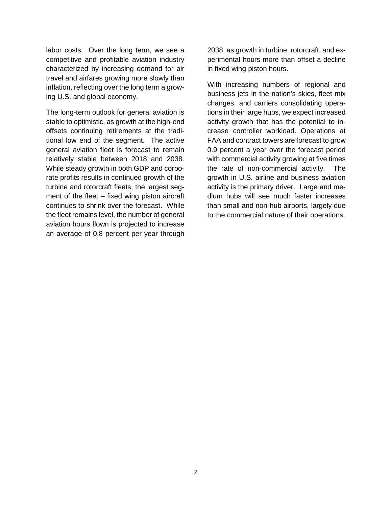labor costs. Over the long term, we see a competitive and profitable aviation industry characterized by increasing demand for air travel and airfares growing more slowly than inflation, reflecting over the long term a growing U.S. and global economy.

The long-term outlook for general aviation is stable to optimistic, as growth at the high-end offsets continuing retirements at the traditional low end of the segment. The active general aviation fleet is forecast to remain relatively stable between 2018 and 2038. While steady growth in both GDP and corporate profits results in continued growth of the turbine and rotorcraft fleets, the largest segment of the fleet – fixed wing piston aircraft continues to shrink over the forecast. While the fleet remains level, the number of general aviation hours flown is projected to increase an average of 0.8 percent per year through

2038, as growth in turbine, rotorcraft, and experimental hours more than offset a decline in fixed wing piston hours.

With increasing numbers of regional and business jets in the nation's skies, fleet mix changes, and carriers consolidating operations in their large hubs, we expect increased activity growth that has the potential to increase controller workload. Operations at FAA and contract towers are forecast to grow 0.9 percent a year over the forecast period with commercial activity growing at five times the rate of non-commercial activity. The growth in U.S. airline and business aviation activity is the primary driver. Large and medium hubs will see much faster increases than small and non-hub airports, largely due to the commercial nature of their operations.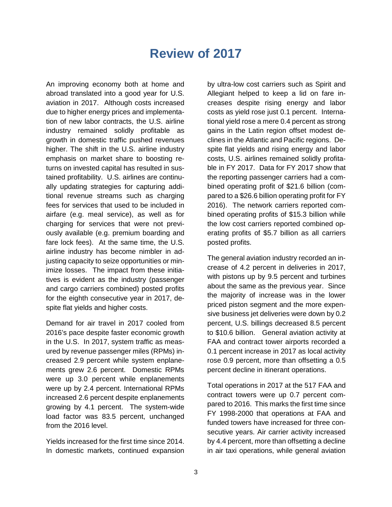### **Review of 2017**

<span id="page-4-0"></span>An improving economy both at home and abroad translated into a good year for U.S. aviation in 2017. Although costs increased due to higher energy prices and implementation of new labor contracts, the U.S. airline industry remained solidly profitable as growth in domestic traffic pushed revenues higher. The shift in the U.S. airline industry emphasis on market share to boosting returns on invested capital has resulted in sustained profitability. U.S. airlines are continually updating strategies for capturing additional revenue streams such as charging fees for services that used to be included in airfare (e.g. meal service), as well as for charging for services that were not previously available (e.g. premium boarding and fare lock fees). At the same time, the U.S. airline industry has become nimbler in adjusting capacity to seize opportunities or minimize losses. The impact from these initiatives is evident as the industry (passenger and cargo carriers combined) posted profits for the eighth consecutive year in 2017, despite flat yields and higher costs.

Demand for air travel in 2017 cooled from 2016's pace despite faster economic growth in the U.S. In 2017, system traffic as measured by revenue passenger miles (RPMs) increased 2.9 percent while system enplanements grew 2.6 percent. Domestic RPMs were up 3.0 percent while enplanements were up by 2.4 percent. International RPMs increased 2.6 percent despite enplanements growing by 4.1 percent. The system-wide load factor was 83.5 percent, unchanged from the 2016 level.

Yields increased for the first time since 2014. In domestic markets, continued expansion

by ultra-low cost carriers such as Spirit and Allegiant helped to keep a lid on fare increases despite rising energy and labor costs as yield rose just 0.1 percent. International yield rose a mere 0.4 percent as strong gains in the Latin region offset modest declines in the Atlantic and Pacific regions. Despite flat yields and rising energy and labor costs, U.S. airlines remained solidly profitable in FY 2017. Data for FY 2017 show that the reporting passenger carriers had a combined operating profit of \$21.6 billion (compared to a \$26.6 billion operating profit for FY 2016). The network carriers reported combined operating profits of \$15.3 billion while the low cost carriers reported combined operating profits of \$5.7 billion as all carriers posted profits.

The general aviation industry recorded an increase of 4.2 percent in deliveries in 2017, with pistons up by 9.5 percent and turbines about the same as the previous year. Since the majority of increase was in the lower priced piston segment and the more expensive business jet deliveries were down by 0.2 percent, U.S. billings decreased 8.5 percent to \$10.6 billion. General aviation activity at FAA and contract tower airports recorded a 0.1 percent increase in 2017 as local activity rose 0.9 percent, more than offsetting a 0.5 percent decline in itinerant operations.

Total operations in 2017 at the 517 FAA and contract towers were up 0.7 percent compared to 2016. This marks the first time since FY 1998-2000 that operations at FAA and funded towers have increased for three consecutive years. Air carrier activity increased by 4.4 percent, more than offsetting a decline in air taxi operations, while general aviation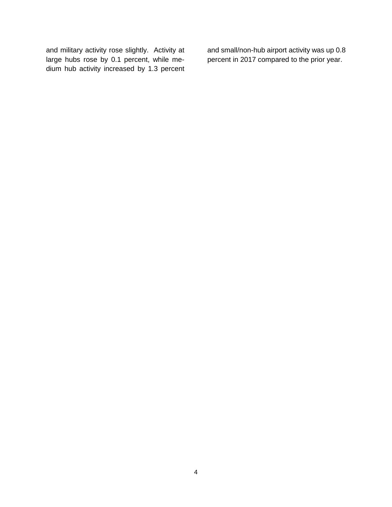and military activity rose slightly. Activity at large hubs rose by 0.1 percent, while medium hub activity increased by 1.3 percent

and small/non-hub airport activity was up 0.8 percent in 2017 compared to the prior year.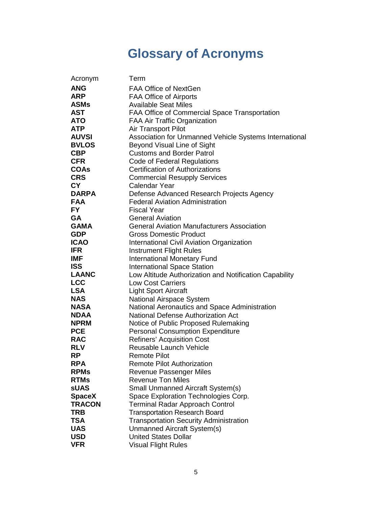# **Glossary of Acronyms**

<span id="page-6-0"></span>

| Acronym       | Term                                                   |
|---------------|--------------------------------------------------------|
| <b>ANG</b>    | FAA Office of NextGen                                  |
| <b>ARP</b>    | <b>FAA Office of Airports</b>                          |
| <b>ASMs</b>   | <b>Available Seat Miles</b>                            |
| <b>AST</b>    | FAA Office of Commercial Space Transportation          |
| <b>ATO</b>    | FAA Air Traffic Organization                           |
| <b>ATP</b>    | Air Transport Pilot                                    |
| <b>AUVSI</b>  | Association for Unmanned Vehicle Systems International |
| <b>BVLOS</b>  | Beyond Visual Line of Sight                            |
| <b>CBP</b>    | <b>Customs and Border Patrol</b>                       |
| <b>CFR</b>    | <b>Code of Federal Regulations</b>                     |
| <b>COAs</b>   | <b>Certification of Authorizations</b>                 |
| <b>CRS</b>    | <b>Commercial Resupply Services</b>                    |
| <b>CY</b>     | <b>Calendar Year</b>                                   |
| <b>DARPA</b>  | Defense Advanced Research Projects Agency              |
| <b>FAA</b>    | <b>Federal Aviation Administration</b>                 |
| <b>FY</b>     | <b>Fiscal Year</b>                                     |
| <b>GA</b>     | <b>General Aviation</b>                                |
| <b>GAMA</b>   | <b>General Aviation Manufacturers Association</b>      |
| <b>GDP</b>    | <b>Gross Domestic Product</b>                          |
| <b>ICAO</b>   | <b>International Civil Aviation Organization</b>       |
| <b>IFR</b>    | <b>Instrument Flight Rules</b>                         |
| <b>IMF</b>    | <b>International Monetary Fund</b>                     |
| <b>ISS</b>    | <b>International Space Station</b>                     |
| <b>LAANC</b>  | Low Altitude Authorization and Notification Capability |
| <b>LCC</b>    | <b>Low Cost Carriers</b>                               |
| <b>LSA</b>    | <b>Light Sport Aircraft</b>                            |
| <b>NAS</b>    | National Airspace System                               |
| <b>NASA</b>   | National Aeronautics and Space Administration          |
| <b>NDAA</b>   | <b>National Defense Authorization Act</b>              |
| <b>NPRM</b>   | Notice of Public Proposed Rulemaking                   |
| <b>PCE</b>    | <b>Personal Consumption Expenditure</b>                |
| <b>RAC</b>    | <b>Refiners' Acquisition Cost</b>                      |
| <b>RLV</b>    | Reusable Launch Vehicle                                |
| <b>RP</b>     | <b>Remote Pilot</b>                                    |
| <b>RPA</b>    | <b>Remote Pilot Authorization</b>                      |
| <b>RPMs</b>   | <b>Revenue Passenger Miles</b>                         |
| <b>RTMs</b>   | <b>Revenue Ton Miles</b>                               |
| <b>sUAS</b>   | <b>Small Unmanned Aircraft System(s)</b>               |
| <b>SpaceX</b> | Space Exploration Technologies Corp.                   |
| <b>TRACON</b> | <b>Terminal Radar Approach Control</b>                 |
| <b>TRB</b>    | <b>Transportation Research Board</b>                   |
| <b>TSA</b>    | <b>Transportation Security Administration</b>          |
| <b>UAS</b>    | Unmanned Aircraft System(s)                            |
| <b>USD</b>    | <b>United States Dollar</b>                            |
| <b>VFR</b>    | <b>Visual Flight Rules</b>                             |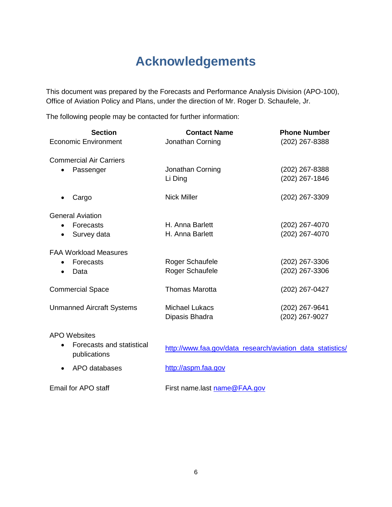## **Acknowledgements**

<span id="page-7-0"></span>This document was prepared by the Forecasts and Performance Analysis Division (APO-100), Office of Aviation Policy and Plans, under the direction of Mr. Roger D. Schaufele, Jr.

The following people may be contacted for further information:

| <b>Section</b>                                         | <b>Contact Name</b>                                        | <b>Phone Number</b> |
|--------------------------------------------------------|------------------------------------------------------------|---------------------|
| <b>Economic Environment</b>                            | Jonathan Corning                                           | (202) 267-8388      |
|                                                        |                                                            |                     |
| <b>Commercial Air Carriers</b>                         |                                                            |                     |
| Passenger                                              | Jonathan Corning                                           | (202) 267-8388      |
|                                                        | Li Ding                                                    | (202) 267-1846      |
| Cargo                                                  | <b>Nick Miller</b>                                         | (202) 267-3309      |
| <b>General Aviation</b>                                |                                                            |                     |
| Forecasts                                              | H. Anna Barlett                                            | (202) 267-4070      |
| Survey data<br>٠                                       | H. Anna Barlett                                            | (202) 267-4070      |
|                                                        |                                                            |                     |
| <b>FAA Workload Measures</b>                           |                                                            |                     |
| Forecasts                                              | Roger Schaufele                                            | (202) 267-3306      |
| Data                                                   | Roger Schaufele                                            | (202) 267-3306      |
| <b>Commercial Space</b>                                | <b>Thomas Marotta</b>                                      | (202) 267-0427      |
|                                                        |                                                            |                     |
| <b>Unmanned Aircraft Systems</b>                       | <b>Michael Lukacs</b>                                      | (202) 267-9641      |
|                                                        | Dipasis Bhadra                                             | (202) 267-9027      |
| <b>APO Websites</b>                                    |                                                            |                     |
| Forecasts and statistical<br>$\bullet$<br>publications | http://www.faa.gov/data_research/aviation_data_statistics/ |                     |
| APO databases                                          | http://aspm.faa.gov                                        |                     |
| Email for APO staff                                    | First name.last name@FAA.gov                               |                     |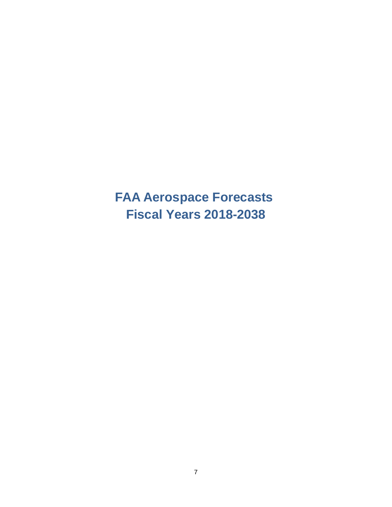<span id="page-8-0"></span>**FAA Aerospace Forecasts Fiscal Years 2018-2038**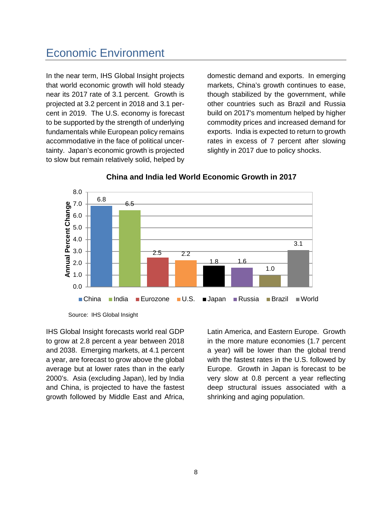### <span id="page-9-0"></span>Economic Environment

In the near term, IHS Global Insight projects that world economic growth will hold steady near its 2017 rate of 3.1 percent. Growth is projected at 3.2 percent in 2018 and 3.1 percent in 2019. The U.S. economy is forecast to be supported by the strength of underlying fundamentals while European policy remains accommodative in the face of political uncertainty. Japan's economic growth is projected to slow but remain relatively solid, helped by

domestic demand and exports. In emerging markets, China's growth continues to ease, though stabilized by the government, while other countries such as Brazil and Russia build on 2017's momentum helped by higher commodity prices and increased demand for exports. India is expected to return to growth rates in excess of 7 percent after slowing slightly in 2017 due to policy shocks.



### **China and India led World Economic Growth in 2017**

IHS Global Insight forecasts world real GDP to grow at 2.8 percent a year between 2018 and 2038. Emerging markets, at 4.1 percent a year, are forecast to grow above the global average but at lower rates than in the early 2000's. Asia (excluding Japan), led by India and China, is projected to have the fastest growth followed by Middle East and Africa,

Latin America, and Eastern Europe. Growth in the more mature economies (1.7 percent a year) will be lower than the global trend with the fastest rates in the U.S. followed by Europe. Growth in Japan is forecast to be very slow at 0.8 percent a year reflecting deep structural issues associated with a shrinking and aging population.

Source: IHS Global Insight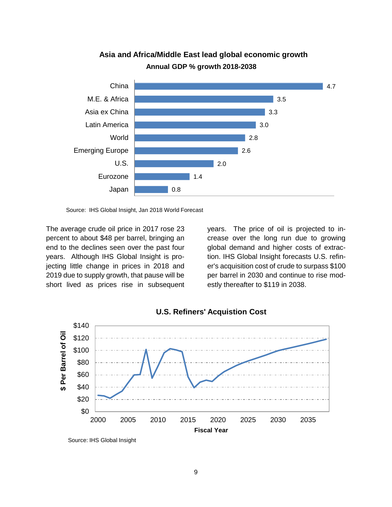

**Asia and Africa/Middle East lead global economic growth Annual GDP % growth 2018-2038**

The average crude oil price in 2017 rose 23 percent to about \$48 per barrel, bringing an end to the declines seen over the past four years. Although IHS Global Insight is projecting little change in prices in 2018 and 2019 due to supply growth, that pause will be short lived as prices rise in subsequent years. The price of oil is projected to increase over the long run due to growing global demand and higher costs of extraction. IHS Global Insight forecasts U.S. refiner's acquisition cost of crude to surpass \$100 per barrel in 2030 and continue to rise modestly thereafter to \$119 in 2038.





Source: IHS Global Insight, Jan 2018 World Forecast

Source: IHS Global Insight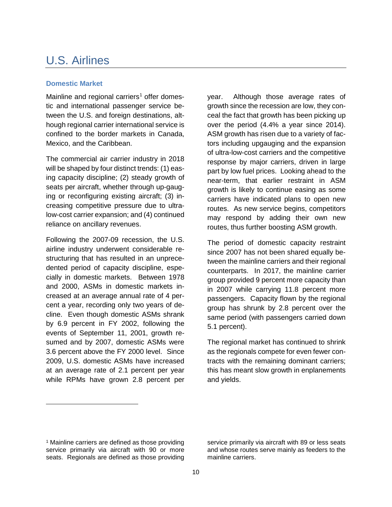### <span id="page-11-0"></span>U.S. Airlines

#### <span id="page-11-1"></span>**Domestic Market**

Mainline and regional carriers<sup>[1](#page-11-2)</sup> offer domestic and international passenger service between the U.S. and foreign destinations, although regional carrier international service is confined to the border markets in Canada, Mexico, and the Caribbean.

The commercial air carrier industry in 2018 will be shaped by four distinct trends: (1) easing capacity discipline; (2) steady growth of seats per aircraft, whether through up-gauging or reconfiguring existing aircraft; (3) increasing competitive pressure due to ultralow-cost carrier expansion; and (4) continued reliance on ancillary revenues.

Following the 2007-09 recession, the U.S. airline industry underwent considerable restructuring that has resulted in an unprecedented period of capacity discipline, especially in domestic markets. Between 1978 and 2000, ASMs in domestic markets increased at an average annual rate of 4 percent a year, recording only two years of decline. Even though domestic ASMs shrank by 6.9 percent in FY 2002, following the events of September 11, 2001, growth resumed and by 2007, domestic ASMs were 3.6 percent above the FY 2000 level. Since 2009, U.S. domestic ASMs have increased at an average rate of 2.1 percent per year while RPMs have grown 2.8 percent per

year. Although those average rates of growth since the recession are low, they conceal the fact that growth has been picking up over the period (4.4% a year since 2014). ASM growth has risen due to a variety of factors including upgauging and the expansion of ultra-low-cost carriers and the competitive response by major carriers, driven in large part by low fuel prices. Looking ahead to the near-term, that earlier restraint in ASM growth is likely to continue easing as some carriers have indicated plans to open new routes. As new service begins, competitors may respond by adding their own new routes, thus further boosting ASM growth.

The period of domestic capacity restraint since 2007 has not been shared equally between the mainline carriers and their regional counterparts. In 2017, the mainline carrier group provided 9 percent more capacity than in 2007 while carrying 11.8 percent more passengers. Capacity flown by the regional group has shrunk by 2.8 percent over the same period (with passengers carried down 5.1 percent).

The regional market has continued to shrink as the regionals compete for even fewer contracts with the remaining dominant carriers; this has meant slow growth in enplanements and yields.

 $\overline{a}$ 

service primarily via aircraft with 89 or less seats and whose routes serve mainly as feeders to the mainline carriers.

<span id="page-11-2"></span><sup>&</sup>lt;sup>1</sup> Mainline carriers are defined as those providing service primarily via aircraft with 90 or more seats. Regionals are defined as those providing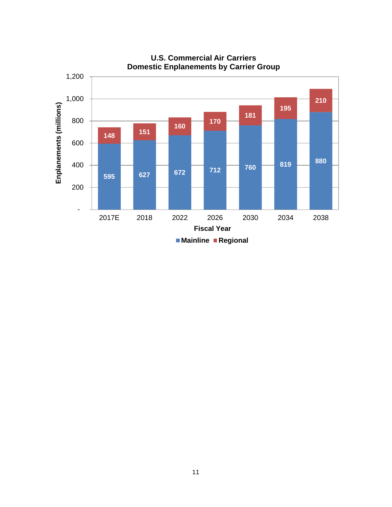

**U.S. Commercial Air Carriers**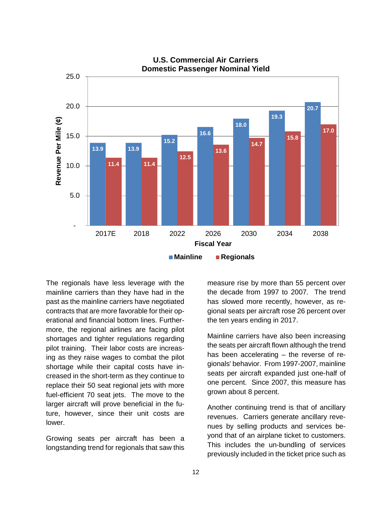

The regionals have less leverage with the mainline carriers than they have had in the past as the mainline carriers have negotiated contracts that are more favorable for their operational and financial bottom lines. Furthermore, the regional airlines are facing pilot shortages and tighter regulations regarding pilot training. Their labor costs are increasing as they raise wages to combat the pilot shortage while their capital costs have increased in the short-term as they continue to replace their 50 seat regional jets with more fuel-efficient 70 seat jets. The move to the larger aircraft will prove beneficial in the future, however, since their unit costs are lower.

Growing seats per aircraft has been a longstanding trend for regionals that saw this

measure rise by more than 55 percent over the decade from 1997 to 2007. The trend has slowed more recently, however, as regional seats per aircraft rose 26 percent over the ten years ending in 2017.

Mainline carriers have also been increasing the seats per aircraft flown although the trend has been accelerating – the reverse of regionals' behavior. From 1997-2007, mainline seats per aircraft expanded just one-half of one percent. Since 2007, this measure has grown about 8 percent.

Another continuing trend is that of ancillary revenues. Carriers generate ancillary revenues by selling products and services beyond that of an airplane ticket to customers. This includes the un-bundling of services previously included in the ticket price such as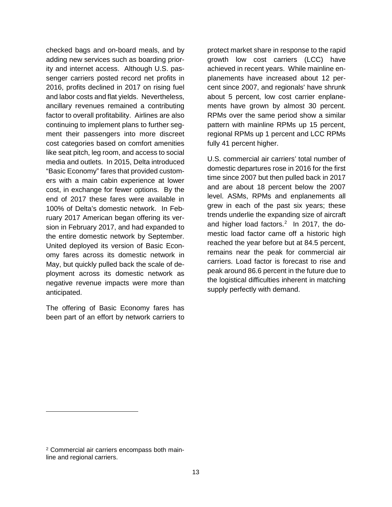checked bags and on-board meals, and by adding new services such as boarding priority and internet access. Although U.S. passenger carriers posted record net profits in 2016, profits declined in 2017 on rising fuel and labor costs and flat yields. Nevertheless, ancillary revenues remained a contributing factor to overall profitability. Airlines are also continuing to implement plans to further segment their passengers into more discreet cost categories based on comfort amenities like seat pitch, leg room, and access to social media and outlets. In 2015, Delta introduced "Basic Economy" fares that provided customers with a main cabin experience at lower cost, in exchange for fewer options. By the end of 2017 these fares were available in 100% of Delta's domestic network. In February 2017 American began offering its version in February 2017, and had expanded to the entire domestic network by September. United deployed its version of Basic Economy fares across its domestic network in May, but quickly pulled back the scale of deployment across its domestic network as negative revenue impacts were more than anticipated.

The offering of Basic Economy fares has been part of an effort by network carriers to

protect market share in response to the rapid growth low cost carriers (LCC) have achieved in recent years. While mainline enplanements have increased about 12 percent since 2007, and regionals' have shrunk about 5 percent, low cost carrier enplanements have grown by almost 30 percent. RPMs over the same period show a similar pattern with mainline RPMs up 15 percent, regional RPMs up 1 percent and LCC RPMs fully 41 percent higher.

U.S. commercial air carriers' total number of domestic departures rose in 2016 for the first time since 2007 but then pulled back in 2017 and are about 18 percent below the 2007 level. ASMs, RPMs and enplanements all grew in each of the past six years; these trends underlie the expanding size of aircraft and higher load factors.<sup>2</sup> In 2017, the domestic load factor came off a historic high reached the year before but at 84.5 percent, remains near the peak for commercial air carriers. Load factor is forecast to rise and peak around 86.6 percent in the future due to the logistical difficulties inherent in matching supply perfectly with demand.

-

<span id="page-14-0"></span><sup>2</sup> Commercial air carriers encompass both mainline and regional carriers.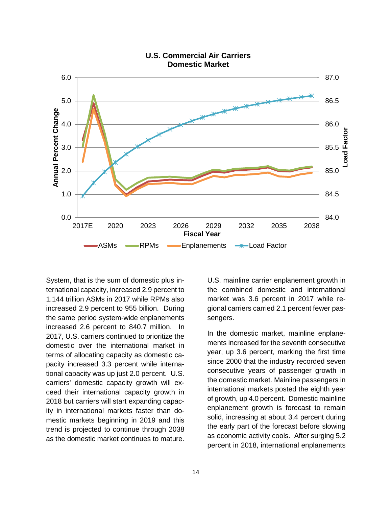

#### **U.S. Commercial Air Carriers Domestic Market**

System, that is the sum of domestic plus international capacity, increased 2.9 percent to 1.144 trillion ASMs in 2017 while RPMs also increased 2.9 percent to 955 billion. During the same period system-wide enplanements increased 2.6 percent to 840.7 million. In 2017, U.S. carriers continued to prioritize the domestic over the international market in terms of allocating capacity as domestic capacity increased 3.3 percent while international capacity was up just 2.0 percent. U.S. carriers' domestic capacity growth will exceed their international capacity growth in 2018 but carriers will start expanding capacity in international markets faster than domestic markets beginning in 2019 and this trend is projected to continue through 2038 as the domestic market continues to mature.

U.S. mainline carrier enplanement growth in the combined domestic and international market was 3.6 percent in 2017 while regional carriers carried 2.1 percent fewer passengers.

In the domestic market, mainline enplanements increased for the seventh consecutive year, up 3.6 percent, marking the first time since 2000 that the industry recorded seven consecutive years of passenger growth in the domestic market. Mainline passengers in international markets posted the eighth year of growth, up 4.0 percent. Domestic mainline enplanement growth is forecast to remain solid, increasing at about 3.4 percent during the early part of the forecast before slowing as economic activity cools. After surging 5.2 percent in 2018, international enplanements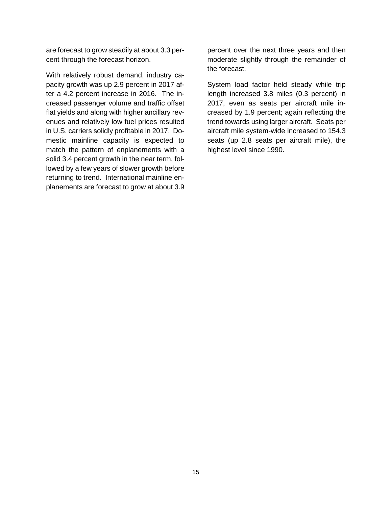are forecast to grow steadily at about 3.3 percent through the forecast horizon.

With relatively robust demand, industry capacity growth was up 2.9 percent in 2017 after a 4.2 percent increase in 2016. The increased passenger volume and traffic offset flat yields and along with higher ancillary revenues and relatively low fuel prices resulted in U.S. carriers solidly profitable in 2017. Domestic mainline capacity is expected to match the pattern of enplanements with a solid 3.4 percent growth in the near term, followed by a few years of slower growth before returning to trend. International mainline enplanements are forecast to grow at about 3.9

percent over the next three years and then moderate slightly through the remainder of the forecast.

System load factor held steady while trip length increased 3.8 miles (0.3 percent) in 2017, even as seats per aircraft mile increased by 1.9 percent; again reflecting the trend towards using larger aircraft. Seats per aircraft mile system-wide increased to 154.3 seats (up 2.8 seats per aircraft mile), the highest level since 1990.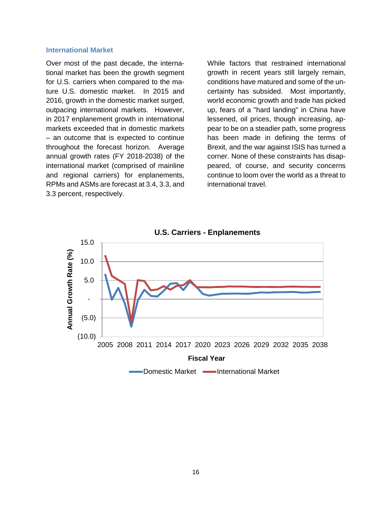#### <span id="page-17-0"></span>**International Market**

Over most of the past decade, the international market has been the growth segment for U.S. carriers when compared to the mature U.S. domestic market. In 2015 and 2016, growth in the domestic market surged, outpacing international markets. However, in 2017 enplanement growth in international markets exceeded that in domestic markets – an outcome that is expected to continue throughout the forecast horizon. Average annual growth rates (FY 2018-2038) of the international market (comprised of mainline and regional carriers) for enplanements, RPMs and ASMs are forecast at 3.4, 3.3, and 3.3 percent, respectively.

While factors that restrained international growth in recent years still largely remain, conditions have matured and some of the uncertainty has subsided. Most importantly, world economic growth and trade has picked up, fears of a "hard landing" in China have lessened, oil prices, though increasing, appear to be on a steadier path, some progress has been made in defining the terms of Brexit, and the war against ISIS has turned a corner. None of these constraints has disappeared, of course, and security concerns continue to loom over the world as a threat to international travel.

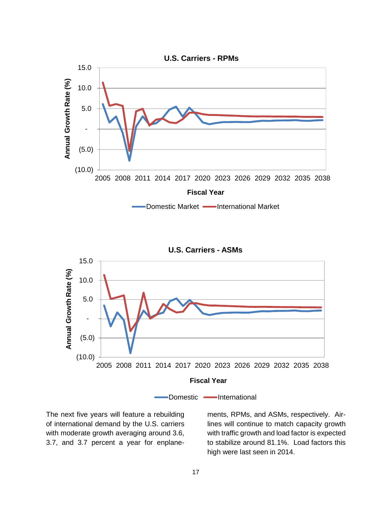



The next five years will feature a rebuilding of international demand by the U.S. carriers with moderate growth averaging around 3.6, 3.7, and 3.7 percent a year for enplane-

ments, RPMs, and ASMs, respectively. Airlines will continue to match capacity growth with traffic growth and load factor is expected to stabilize around 81.1%. Load factors this high were last seen in 2014.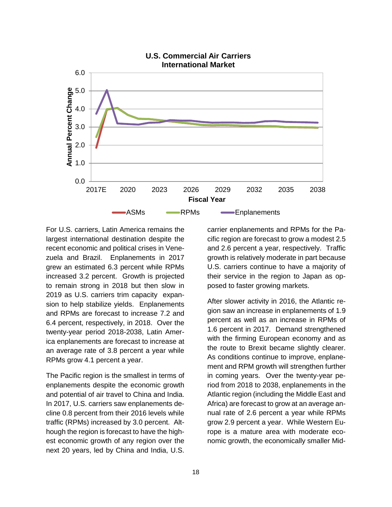

For U.S. carriers, Latin America remains the largest international destination despite the recent economic and political crises in Venezuela and Brazil. Enplanements in 2017 grew an estimated 6.3 percent while RPMs increased 3.2 percent. Growth is projected to remain strong in 2018 but then slow in 2019 as U.S. carriers trim capacity expansion to help stabilize yields. Enplanements and RPMs are forecast to increase 7.2 and 6.4 percent, respectively, in 2018. Over the twenty-year period 2018-2038, Latin America enplanements are forecast to increase at an average rate of 3.8 percent a year while RPMs grow 4.1 percent a year.

The Pacific region is the smallest in terms of enplanements despite the economic growth and potential of air travel to China and India. In 2017, U.S. carriers saw enplanements decline 0.8 percent from their 2016 levels while traffic (RPMs) increased by 3.0 percent. Although the region is forecast to have the highest economic growth of any region over the next 20 years, led by China and India, U.S.

carrier enplanements and RPMs for the Pacific region are forecast to grow a modest 2.5 and 2.6 percent a year, respectively. Traffic growth is relatively moderate in part because U.S. carriers continue to have a majority of their service in the region to Japan as opposed to faster growing markets.

After slower activity in 2016, the Atlantic region saw an increase in enplanements of 1.9 percent as well as an increase in RPMs of 1.6 percent in 2017. Demand strengthened with the firming European economy and as the route to Brexit became slightly clearer. As conditions continue to improve, enplanement and RPM growth will strengthen further in coming years. Over the twenty-year period from 2018 to 2038, enplanements in the Atlantic region (including the Middle East and Africa) are forecast to grow at an average annual rate of 2.6 percent a year while RPMs grow 2.9 percent a year. While Western Europe is a mature area with moderate economic growth, the economically smaller Mid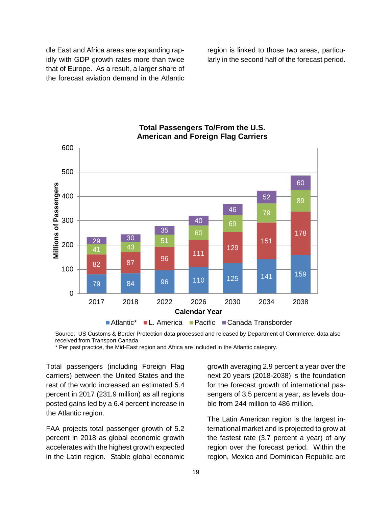dle East and Africa areas are expanding rapidly with GDP growth rates more than twice that of Europe. As a result, a larger share of the forecast aviation demand in the Atlantic

region is linked to those two areas, particularly in the second half of the forecast period.



### **Total Passengers To/From the U.S. American and Foreign Flag Carriers**

Source: US Customs & Border Protection data processed and released by Department of Commerce; data also received from Transport Canada

\* Per past practice, the Mid-East region and Africa are included in the Atlantic category.

Total passengers (including Foreign Flag carriers) between the United States and the rest of the world increased an estimated 5.4 percent in 2017 (231.9 million) as all regions posted gains led by a 6.4 percent increase in the Atlantic region.

FAA projects total passenger growth of 5.2 percent in 2018 as global economic growth accelerates with the highest growth expected in the Latin region. Stable global economic

growth averaging 2.9 percent a year over the next 20 years (2018-2038) is the foundation for the forecast growth of international passengers of 3.5 percent a year, as levels double from 244 million to 486 million.

The Latin American region is the largest international market and is projected to grow at the fastest rate (3.7 percent a year) of any region over the forecast period. Within the region, Mexico and Dominican Republic are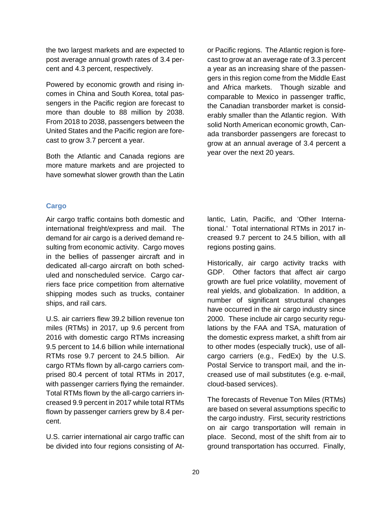the two largest markets and are expected to post average annual growth rates of 3.4 percent and 4.3 percent, respectively.

Powered by economic growth and rising incomes in China and South Korea, total passengers in the Pacific region are forecast to more than double to 88 million by 2038. From 2018 to 2038, passengers between the United States and the Pacific region are forecast to grow 3.7 percent a year.

Both the Atlantic and Canada regions are more mature markets and are projected to have somewhat slower growth than the Latin

or Pacific regions. The Atlantic region is forecast to grow at an average rate of 3.3 percent a year as an increasing share of the passengers in this region come from the Middle East and Africa markets. Though sizable and comparable to Mexico in passenger traffic, the Canadian transborder market is considerably smaller than the Atlantic region. With solid North American economic growth, Canada transborder passengers are forecast to grow at an annual average of 3.4 percent a year over the next 20 years.

#### <span id="page-21-0"></span>**Cargo**

Air cargo traffic contains both domestic and international freight/express and mail. The demand for air cargo is a derived demand resulting from economic activity. Cargo moves in the bellies of passenger aircraft and in dedicated all-cargo aircraft on both scheduled and nonscheduled service. Cargo carriers face price competition from alternative shipping modes such as trucks, container ships, and rail cars.

U.S. air carriers flew 39.2 billion revenue ton miles (RTMs) in 2017, up 9.6 percent from 2016 with domestic cargo RTMs increasing 9.5 percent to 14.6 billion while international RTMs rose 9.7 percent to 24.5 billion. Air cargo RTMs flown by all-cargo carriers comprised 80.4 percent of total RTMs in 2017, with passenger carriers flying the remainder. Total RTMs flown by the all-cargo carriers increased 9.9 percent in 2017 while total RTMs flown by passenger carriers grew by 8.4 percent.

U.S. carrier international air cargo traffic can be divided into four regions consisting of Atlantic, Latin, Pacific, and 'Other International.' Total international RTMs in 2017 increased 9.7 percent to 24.5 billion, with all regions posting gains.

Historically, air cargo activity tracks with GDP. Other factors that affect air cargo growth are fuel price volatility, movement of real yields, and globalization. In addition, a number of significant structural changes have occurred in the air cargo industry since 2000. These include air cargo security regulations by the FAA and TSA, maturation of the domestic express market, a shift from air to other modes (especially truck), use of allcargo carriers (e.g., FedEx) by the U.S. Postal Service to transport mail, and the increased use of mail substitutes (e.g. e-mail, cloud-based services).

The forecasts of Revenue Ton Miles (RTMs) are based on several assumptions specific to the cargo industry. First, security restrictions on air cargo transportation will remain in place. Second, most of the shift from air to ground transportation has occurred. Finally,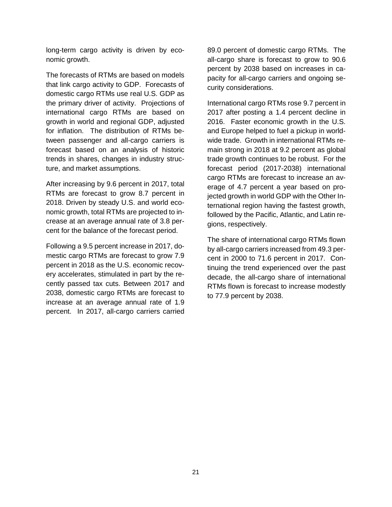long-term cargo activity is driven by economic growth.

The forecasts of RTMs are based on models that link cargo activity to GDP. Forecasts of domestic cargo RTMs use real U.S. GDP as the primary driver of activity. Projections of international cargo RTMs are based on growth in world and regional GDP, adjusted for inflation. The distribution of RTMs between passenger and all-cargo carriers is forecast based on an analysis of historic trends in shares, changes in industry structure, and market assumptions.

After increasing by 9.6 percent in 2017, total RTMs are forecast to grow 8.7 percent in 2018. Driven by steady U.S. and world economic growth, total RTMs are projected to increase at an average annual rate of 3.8 percent for the balance of the forecast period.

Following a 9.5 percent increase in 2017, domestic cargo RTMs are forecast to grow 7.9 percent in 2018 as the U.S. economic recovery accelerates, stimulated in part by the recently passed tax cuts. Between 2017 and 2038, domestic cargo RTMs are forecast to increase at an average annual rate of 1.9 percent. In 2017, all-cargo carriers carried

89.0 percent of domestic cargo RTMs. The all-cargo share is forecast to grow to 90.6 percent by 2038 based on increases in capacity for all-cargo carriers and ongoing security considerations.

International cargo RTMs rose 9.7 percent in 2017 after posting a 1.4 percent decline in 2016. Faster economic growth in the U.S. and Europe helped to fuel a pickup in worldwide trade. Growth in international RTMs remain strong in 2018 at 9.2 percent as global trade growth continues to be robust. For the forecast period (2017-2038) international cargo RTMs are forecast to increase an average of 4.7 percent a year based on projected growth in world GDP with the Other International region having the fastest growth, followed by the Pacific, Atlantic, and Latin regions, respectively.

The share of international cargo RTMs flown by all-cargo carriers increased from 49.3 percent in 2000 to 71.6 percent in 2017. Continuing the trend experienced over the past decade, the all-cargo share of international RTMs flown is forecast to increase modestly to 77.9 percent by 2038.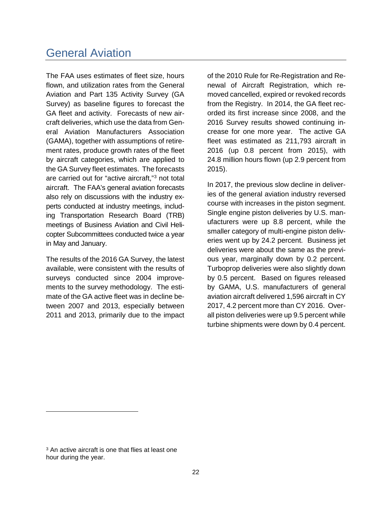### <span id="page-23-0"></span>General Aviation

The FAA uses estimates of fleet size, hours flown, and utilization rates from the General Aviation and Part 135 Activity Survey (GA Survey) as baseline figures to forecast the GA fleet and activity. Forecasts of new aircraft deliveries, which use the data from General Aviation Manufacturers Association (GAMA), together with assumptions of retirement rates, produce growth rates of the fleet by aircraft categories, which are applied to the GA Survey fleet estimates. The forecasts are carried out for "active aircraft,"[3](#page-23-1) not total aircraft. The FAA's general aviation forecasts also rely on discussions with the industry experts conducted at industry meetings, including Transportation Research Board (TRB) meetings of Business Aviation and Civil Helicopter Subcommittees conducted twice a year in May and January.

The results of the 2016 GA Survey, the latest available, were consistent with the results of surveys conducted since 2004 improvements to the survey methodology. The estimate of the GA active fleet was in decline between 2007 and 2013, especially between 2011 and 2013, primarily due to the impact

of the 2010 Rule for Re-Registration and Renewal of Aircraft Registration, which removed cancelled, expired or revoked records from the Registry. In 2014, the GA fleet recorded its first increase since 2008, and the 2016 Survey results showed continuing increase for one more year. The active GA fleet was estimated as 211,793 aircraft in 2016 (up 0.8 percent from 2015), with 24.8 million hours flown (up 2.9 percent from 2015).

In 2017, the previous slow decline in deliveries of the general aviation industry reversed course with increases in the piston segment. Single engine piston deliveries by U.S. manufacturers were up 8.8 percent, while the smaller category of multi-engine piston deliveries went up by 24.2 percent. Business jet deliveries were about the same as the previous year, marginally down by 0.2 percent. Turboprop deliveries were also slightly down by 0.5 percent. Based on figures released by GAMA, U.S. manufacturers of general aviation aircraft delivered 1,596 aircraft in CY 2017, 4.2 percent more than CY 2016. Overall piston deliveries were up 9.5 percent while turbine shipments were down by 0.4 percent.

-

<span id="page-23-1"></span><sup>&</sup>lt;sup>3</sup> An active aircraft is one that flies at least one hour during the year.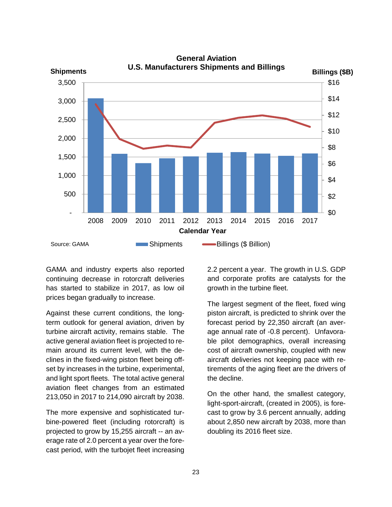

GAMA and industry experts also reported continuing decrease in rotorcraft deliveries has started to stabilize in 2017, as low oil prices began gradually to increase.

Against these current conditions, the longterm outlook for general aviation, driven by turbine aircraft activity, remains stable. The active general aviation fleet is projected to remain around its current level, with the declines in the fixed-wing piston fleet being offset by increases in the turbine, experimental, and light sport fleets. The total active general aviation fleet changes from an estimated 213,050 in 2017 to 214,090 aircraft by 2038.

The more expensive and sophisticated turbine-powered fleet (including rotorcraft) is projected to grow by 15,255 aircraft -- an average rate of 2.0 percent a year over the forecast period, with the turbojet fleet increasing

2.2 percent a year. The growth in U.S. GDP and corporate profits are catalysts for the growth in the turbine fleet.

The largest segment of the fleet, fixed wing piston aircraft, is predicted to shrink over the forecast period by 22,350 aircraft (an average annual rate of -0.8 percent). Unfavorable pilot demographics, overall increasing cost of aircraft ownership, coupled with new aircraft deliveries not keeping pace with retirements of the aging fleet are the drivers of the decline.

On the other hand, the smallest category, light-sport-aircraft, (created in 2005), is forecast to grow by 3.6 percent annually, adding about 2,850 new aircraft by 2038, more than doubling its 2016 fleet size.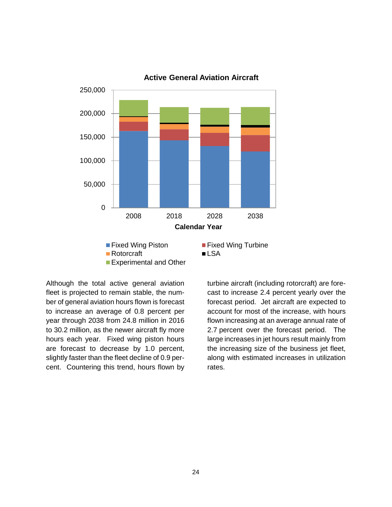

**Active General Aviation Aircraft**

Although the total active general aviation fleet is projected to remain stable, the number of general aviation hours flown is forecast to increase an average of 0.8 percent per year through 2038 from 24.8 million in 2016 to 30.2 million, as the newer aircraft fly more hours each year. Fixed wing piston hours are forecast to decrease by 1.0 percent, slightly faster than the fleet decline of 0.9 percent. Countering this trend, hours flown by

turbine aircraft (including rotorcraft) are forecast to increase 2.4 percent yearly over the forecast period.Jet aircraft are expected to account for most of the increase, with hours flown increasing at an average annual rate of 2.7 percent over the forecast period.The large increases in jet hours result mainly from the increasing size of the business jet fleet, along with estimated increases in utilization rates.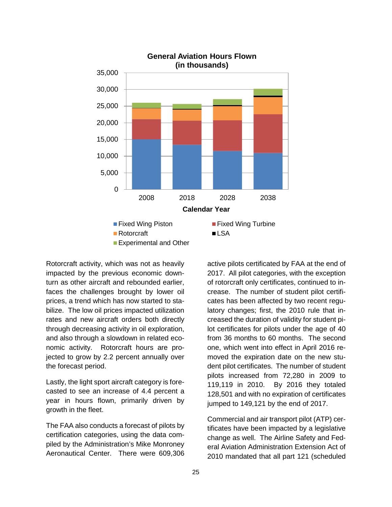

Rotorcraft activity, which was not as heavily impacted by the previous economic downturn as other aircraft and rebounded earlier, faces the challenges brought by lower oil prices, a trend which has now started to stabilize. The low oil prices impacted utilization rates and new aircraft orders both directly through decreasing activity in oil exploration, and also through a slowdown in related economic activity. Rotorcraft hours are projected to grow by 2.2 percent annually over the forecast period.

Lastly, the light sport aircraft category is forecasted to see an increase of 4.4 percent a year in hours flown, primarily driven by growth in the fleet.

The FAA also conducts a forecast of pilots by certification categories, using the data compiled by the Administration's Mike Monroney Aeronautical Center. There were 609,306

active pilots certificated by FAA at the end of 2017. All pilot categories, with the exception of rotorcraft only certificates, continued to increase. The number of student pilot certificates has been affected by two recent regulatory changes; first, the 2010 rule that increased the duration of validity for student pilot certificates for pilots under the age of 40 from 36 months to 60 months. The second one, which went into effect in April 2016 removed the expiration date on the new student pilot certificates. The number of student pilots increased from 72,280 in 2009 to 119,119 in 2010. By 2016 they totaled 128,501 and with no expiration of certificates jumped to 149,121 by the end of 2017.

Commercial and air transport pilot (ATP) certificates have been impacted by a legislative change as well. The Airline Safety and Federal Aviation Administration Extension Act of 2010 mandated that all part 121 (scheduled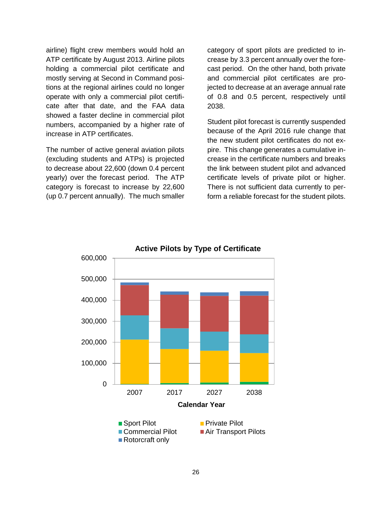airline) flight crew members would hold an ATP certificate by August 2013. Airline pilots holding a commercial pilot certificate and mostly serving at Second in Command positions at the regional airlines could no longer operate with only a commercial pilot certificate after that date, and the FAA data showed a faster decline in commercial pilot numbers, accompanied by a higher rate of increase in ATP certificates.

The number of active general aviation pilots (excluding students and ATPs) is projected to decrease about 22,600 (down 0.4 percent yearly) over the forecast period. The ATP category is forecast to increase by 22,600 (up 0.7 percent annually). The much smaller

category of sport pilots are predicted to increase by 3.3 percent annually over the forecast period. On the other hand, both private and commercial pilot certificates are projected to decrease at an average annual rate of 0.8 and 0.5 percent, respectively until 2038.

Student pilot forecast is currently suspended because of the April 2016 rule change that the new student pilot certificates do not expire. This change generates a cumulative increase in the certificate numbers and breaks the link between student pilot and advanced certificate levels of private pilot or higher. There is not sufficient data currently to perform a reliable forecast for the student pilots.



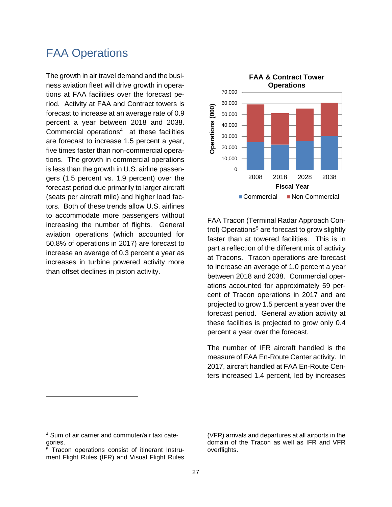### <span id="page-28-0"></span>FAA Operations

The growth in air travel demand and the business aviation fleet will drive growth in operations at FAA facilities over the forecast period. Activity at FAA and Contract towers is forecast to increase at an average rate of 0.9 percent a year between 2018 and 2038. Commercial operations<sup>[4](#page-28-1)</sup> at these facilities are forecast to increase 1.5 percent a year, five times faster than non-commercial operations. The growth in commercial operations is less than the growth in U.S. airline passengers (1.5 percent vs. 1.9 percent) over the forecast period due primarily to larger aircraft (seats per aircraft mile) and higher load factors. Both of these trends allow U.S. airlines to accommodate more passengers without increasing the number of flights. General aviation operations (which accounted for 50.8% of operations in 2017) are forecast to increase an average of 0.3 percent a year as increases in turbine powered activity more than offset declines in piston activity.



FAA Tracon (Terminal Radar Approach Con-trol) Operations<sup>[5](#page-28-2)</sup> are forecast to grow slightly faster than at towered facilities. This is in part a reflection of the different mix of activity at Tracons. Tracon operations are forecast to increase an average of 1.0 percent a year between 2018 and 2038. Commercial operations accounted for approximately 59 percent of Tracon operations in 2017 and are projected to grow 1.5 percent a year over the forecast period. General aviation activity at these facilities is projected to grow only 0.4 percent a year over the forecast.

The number of IFR aircraft handled is the measure of FAA En-Route Center activity. In 2017, aircraft handled at FAA En-Route Centers increased 1.4 percent, led by increases

 $\overline{a}$ 

(VFR) arrivals and departures at all airports in the domain of the Tracon as well as IFR and VFR overflights.

<span id="page-28-1"></span><sup>4</sup> Sum of air carrier and commuter/air taxi categories.

<span id="page-28-2"></span><sup>5</sup> Tracon operations consist of itinerant Instrument Flight Rules (IFR) and Visual Flight Rules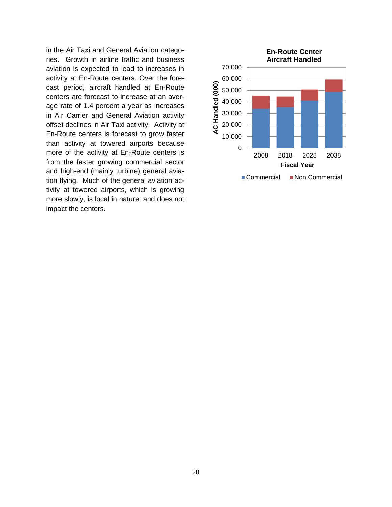in the Air Taxi and General Aviation categories. Growth in airline traffic and business aviation is expected to lead to increases in activity at En-Route centers. Over the forecast period, aircraft handled at En-Route centers are forecast to increase at an average rate of 1.4 percent a year as increases in Air Carrier and General Aviation activity offset declines in Air Taxi activity. Activity at En-Route centers is forecast to grow faster than activity at towered airports because more of the activity at En-Route centers is from the faster growing commercial sector and high-end (mainly turbine) general aviation flying. Much of the general aviation activity at towered airports, which is growing more slowly, is local in nature, and does not impact the centers.

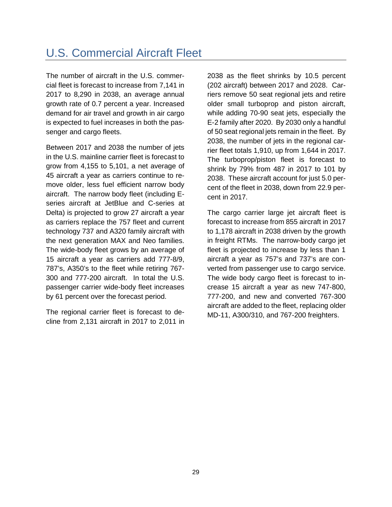### <span id="page-30-0"></span>U.S. Commercial Aircraft Fleet

The number of aircraft in the U.S. commercial fleet is forecast to increase from 7,141 in 2017 to 8,290 in 2038, an average annual growth rate of 0.7 percent a year. Increased demand for air travel and growth in air cargo is expected to fuel increases in both the passenger and cargo fleets.

Between 2017 and 2038 the number of jets in the U.S. mainline carrier fleet is forecast to grow from 4,155 to 5,101, a net average of 45 aircraft a year as carriers continue to remove older, less fuel efficient narrow body aircraft. The narrow body fleet (including Eseries aircraft at JetBlue and C-series at Delta) is projected to grow 27 aircraft a year as carriers replace the 757 fleet and current technology 737 and A320 family aircraft with the next generation MAX and Neo families. The wide-body fleet grows by an average of 15 aircraft a year as carriers add 777-8/9, 787's, A350's to the fleet while retiring 767- 300 and 777-200 aircraft. In total the U.S. passenger carrier wide-body fleet increases by 61 percent over the forecast period.

The regional carrier fleet is forecast to decline from 2,131 aircraft in 2017 to 2,011 in

2038 as the fleet shrinks by 10.5 percent (202 aircraft) between 2017 and 2028. Carriers remove 50 seat regional jets and retire older small turboprop and piston aircraft, while adding 70-90 seat jets, especially the E-2 family after 2020. By 2030 only a handful of 50 seat regional jets remain in the fleet. By 2038, the number of jets in the regional carrier fleet totals 1,910, up from 1,644 in 2017. The turboprop/piston fleet is forecast to shrink by 79% from 487 in 2017 to 101 by 2038. These aircraft account for just 5.0 percent of the fleet in 2038, down from 22.9 percent in 2017.

The cargo carrier large jet aircraft fleet is forecast to increase from 855 aircraft in 2017 to 1,178 aircraft in 2038 driven by the growth in freight RTMs. The narrow-body cargo jet fleet is projected to increase by less than 1 aircraft a year as 757's and 737's are converted from passenger use to cargo service. The wide body cargo fleet is forecast to increase 15 aircraft a year as new 747-800, 777-200, and new and converted 767-300 aircraft are added to the fleet, replacing older MD-11, A300/310, and 767-200 freighters.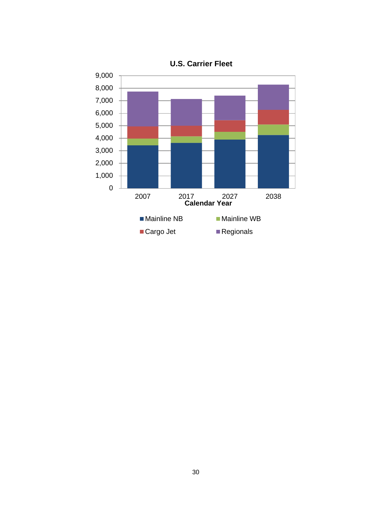

**U.S. Carrier Fleet**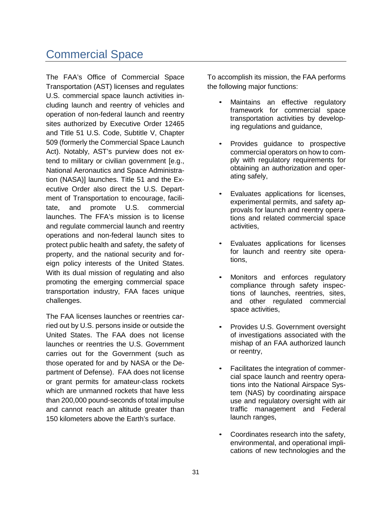### <span id="page-32-0"></span>Commercial Space

The FAA's Office of Commercial Space Transportation (AST) licenses and regulates U.S. commercial space launch activities including launch and reentry of vehicles and operation of non-federal launch and reentry sites authorized by Executive Order 12465 and Title 51 U.S. Code, Subtitle V, Chapter 509 (formerly the Commercial Space Launch Act). Notably, AST's purview does not extend to military or civilian government [e.g., National Aeronautics and Space Administration (NASA)] launches. Title 51 and the Executive Order also direct the U.S. Department of Transportation to encourage, facilitate, and promote U.S. commercial launches. The FFA's mission is to license and regulate commercial launch and reentry operations and non-federal launch sites to protect public health and safety, the safety of property, and the national security and foreign policy interests of the United States. With its dual mission of regulating and also promoting the emerging commercial space transportation industry, FAA faces unique challenges.

The FAA licenses launches or reentries carried out by U.S. persons inside or outside the United States. The FAA does not license launches or reentries the U.S. Government carries out for the Government (such as those operated for and by NASA or the Department of Defense). FAA does not license or grant permits for amateur-class rockets which are unmanned rockets that have less than 200,000 pound-seconds of total impulse and cannot reach an altitude greater than 150 kilometers above the Earth's surface.

To accomplish its mission, the FAA performs the following major functions:

- Maintains an effective regulatory framework for commercial space transportation activities by developing regulations and guidance,
- Provides guidance to prospective commercial operators on how to comply with regulatory requirements for obtaining an authorization and operating safely,
- Evaluates applications for licenses, experimental permits, and safety approvals for launch and reentry operations and related commercial space activities,
- Evaluates applications for licenses for launch and reentry site operations,
- Monitors and enforces regulatory compliance through safety inspections of launches, reentries, sites, and other regulated commercial space activities,
- Provides U.S. Government oversight of investigations associated with the mishap of an FAA authorized launch or reentry,
- Facilitates the integration of commercial space launch and reentry operations into the National Airspace System (NAS) by coordinating airspace use and regulatory oversight with air traffic management and Federal launch ranges,
- Coordinates research into the safety, environmental, and operational implications of new technologies and the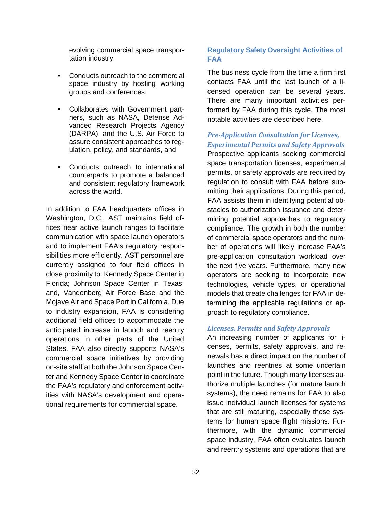evolving commercial space transportation industry,

- Conducts outreach to the commercial space industry by hosting working groups and conferences,
- Collaborates with Government partners, such as NASA, Defense Advanced Research Projects Agency (DARPA), and the U.S. Air Force to assure consistent approaches to regulation, policy, and standards, and
- Conducts outreach to international counterparts to promote a balanced and consistent regulatory framework across the world.

In addition to FAA headquarters offices in Washington, D.C., AST maintains field offices near active launch ranges to facilitate communication with space launch operators and to implement FAA's regulatory responsibilities more efficiently. AST personnel are currently assigned to four field offices in close proximity to: Kennedy Space Center in Florida; Johnson Space Center in Texas; and, Vandenberg Air Force Base and the Mojave Air and Space Port in California. Due to industry expansion, FAA is considering additional field offices to accommodate the anticipated increase in launch and reentry operations in other parts of the United States. FAA also directly supports NASA's commercial space initiatives by providing on-site staff at both the Johnson Space Center and Kennedy Space Center to coordinate the FAA's regulatory and enforcement activities with NASA's development and operational requirements for commercial space.

### <span id="page-33-0"></span>**Regulatory Safety Oversight Activities of FAA**

The business cycle from the time a firm first contacts FAA until the last launch of a licensed operation can be several years. There are many important activities performed by FAA during this cycle. The most notable activities are described here.

### *Pre-Application Consultation for Licenses, Experimental Permits and Safety Approvals*

Prospective applicants seeking commercial space transportation licenses, experimental permits, or safety approvals are required by regulation to consult with FAA before submitting their applications. During this period, FAA assists them in identifying potential obstacles to authorization issuance and determining potential approaches to regulatory compliance. The growth in both the number of commercial space operators and the number of operations will likely increase FAA's pre-application consultation workload over the next five years. Furthermore, many new operators are seeking to incorporate new technologies, vehicle types, or operational models that create challenges for FAA in determining the applicable regulations or approach to regulatory compliance.

#### *Licenses, Permits and Safety Approvals*

An increasing number of applicants for licenses, permits, safety approvals, and renewals has a direct impact on the number of launches and reentries at some uncertain point in the future. Though many licenses authorize multiple launches (for mature launch systems), the need remains for FAA to also issue individual launch licenses for systems that are still maturing, especially those systems for human space flight missions. Furthermore, with the dynamic commercial space industry, FAA often evaluates launch and reentry systems and operations that are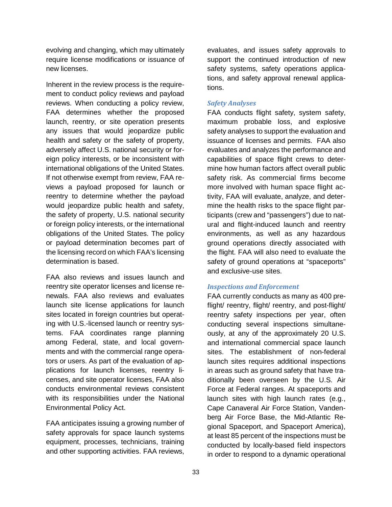evolving and changing, which may ultimately require license modifications or issuance of new licenses.

Inherent in the review process is the requirement to conduct policy reviews and payload reviews. When conducting a policy review, FAA determines whether the proposed launch, reentry, or site operation presents any issues that would jeopardize public health and safety or the safety of property, adversely affect U.S. national security or foreign policy interests, or be inconsistent with international obligations of the United States. If not otherwise exempt from review, FAA reviews a payload proposed for launch or reentry to determine whether the payload would jeopardize public health and safety, the safety of property, U.S. national security or foreign policy interests, or the international obligations of the United States. The policy or payload determination becomes part of the licensing record on which FAA's licensing determination is based.

FAA also reviews and issues launch and reentry site operator licenses and license renewals. FAA also reviews and evaluates launch site license applications for launch sites located in foreign countries but operating with U.S.-licensed launch or reentry systems. FAA coordinates range planning among Federal, state, and local governments and with the commercial range operators or users. As part of the evaluation of applications for launch licenses, reentry licenses, and site operator licenses, FAA also conducts environmental reviews consistent with its responsibilities under the National Environmental Policy Act.

FAA anticipates issuing a growing number of safety approvals for space launch systems equipment, processes, technicians, training and other supporting activities. FAA reviews,

evaluates, and issues safety approvals to support the continued introduction of new safety systems, safety operations applications, and safety approval renewal applications.

#### *Safety Analyses*

FAA conducts flight safety, system safety, maximum probable loss, and explosive safety analyses to support the evaluation and issuance of licenses and permits. FAA also evaluates and analyzes the performance and capabilities of space flight crews to determine how human factors affect overall public safety risk. As commercial firms become more involved with human space flight activity, FAA will evaluate, analyze, and determine the health risks to the space flight participants (crew and "passengers") due to natural and flight-induced launch and reentry environments, as well as any hazardous ground operations directly associated with the flight. FAA will also need to evaluate the safety of ground operations at "spaceports" and exclusive-use sites.

#### *Inspections and Enforcement*

FAA currently conducts as many as 400 preflight/ reentry, flight/ reentry, and post-flight/ reentry safety inspections per year, often conducting several inspections simultaneously, at any of the approximately 20 U.S. and international commercial space launch sites. The establishment of non-federal launch sites requires additional inspections in areas such as ground safety that have traditionally been overseen by the U.S. Air Force at Federal ranges. At spaceports and launch sites with high launch rates (e.g., Cape Canaveral Air Force Station, Vandenberg Air Force Base, the Mid-Atlantic Regional Spaceport, and Spaceport America), at least 85 percent of the inspections must be conducted by locally-based field inspectors in order to respond to a dynamic operational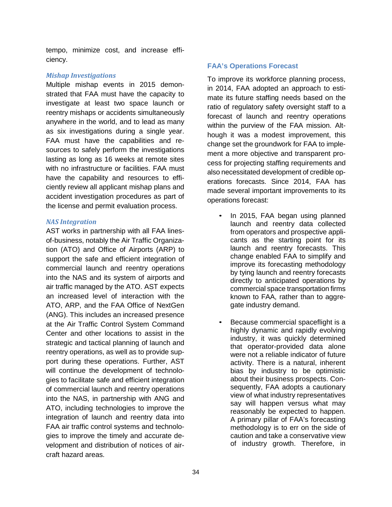tempo, minimize cost, and increase efficiency.

#### *Mishap Investigations*

Multiple mishap events in 2015 demonstrated that FAA must have the capacity to investigate at least two space launch or reentry mishaps or accidents simultaneously anywhere in the world, and to lead as many as six investigations during a single year. FAA must have the capabilities and resources to safely perform the investigations lasting as long as 16 weeks at remote sites with no infrastructure or facilities. FAA must have the capability and resources to efficiently review all applicant mishap plans and accident investigation procedures as part of the license and permit evaluation process.

#### *NAS Integration*

AST works in partnership with all FAA linesof-business, notably the Air Traffic Organization (ATO) and Office of Airports (ARP) to support the safe and efficient integration of commercial launch and reentry operations into the NAS and its system of airports and air traffic managed by the ATO. AST expects an increased level of interaction with the ATO, ARP, and the FAA Office of NextGen (ANG). This includes an increased presence at the Air Traffic Control System Command Center and other locations to assist in the strategic and tactical planning of launch and reentry operations, as well as to provide support during these operations. Further, AST will continue the development of technologies to facilitate safe and efficient integration of commercial launch and reentry operations into the NAS, in partnership with ANG and ATO, including technologies to improve the integration of launch and reentry data into FAA air traffic control systems and technologies to improve the timely and accurate development and distribution of notices of aircraft hazard areas.

### <span id="page-35-0"></span>**FAA's Operations Forecast**

To improve its workforce planning process, in 2014, FAA adopted an approach to estimate its future staffing needs based on the ratio of regulatory safety oversight staff to a forecast of launch and reentry operations within the purview of the FAA mission. Although it was a modest improvement, this change set the groundwork for FAA to implement a more objective and transparent process for projecting staffing requirements and also necessitated development of credible operations forecasts. Since 2014, FAA has made several important improvements to its operations forecast:

- In 2015, FAA began using planned launch and reentry data collected from operators and prospective applicants as the starting point for its launch and reentry forecasts. This change enabled FAA to simplify and improve its forecasting methodology by tying launch and reentry forecasts directly to anticipated operations by commercial space transportation firms known to FAA, rather than to aggregate industry demand.
- Because commercial spaceflight is a highly dynamic and rapidly evolving industry, it was quickly determined that operator-provided data alone were not a reliable indicator of future activity. There is a natural, inherent bias by industry to be optimistic about their business prospects. Consequently, FAA adopts a cautionary view of what industry representatives say will happen versus what may reasonably be expected to happen. A primary pillar of FAA's forecasting methodology is to err on the side of caution and take a conservative view of industry growth. Therefore, in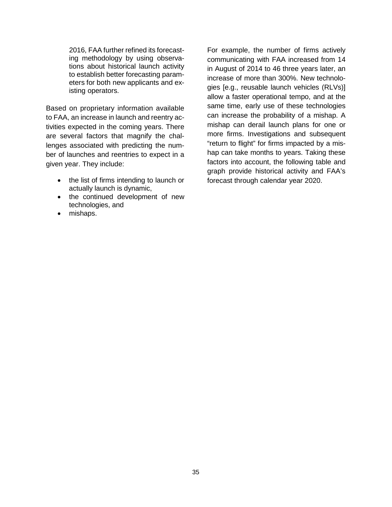2016, FAA further refined its forecasting methodology by using observations about historical launch activity to establish better forecasting parameters for both new applicants and existing operators.

Based on proprietary information available to FAA, an increase in launch and reentry activities expected in the coming years. There are several factors that magnify the challenges associated with predicting the number of launches and reentries to expect in a given year. They include:

- the list of firms intending to launch or actually launch is dynamic,
- the continued development of new technologies, and
- mishaps.

For example, the number of firms actively communicating with FAA increased from 14 in August of 2014 to 46 three years later, an increase of more than 300%. New technologies [e.g., reusable launch vehicles (RLVs)] allow a faster operational tempo, and at the same time, early use of these technologies can increase the probability of a mishap. A mishap can derail launch plans for one or more firms. Investigations and subsequent "return to flight" for firms impacted by a mishap can take months to years. Taking these factors into account, the following table and graph provide historical activity and FAA's forecast through calendar year 2020.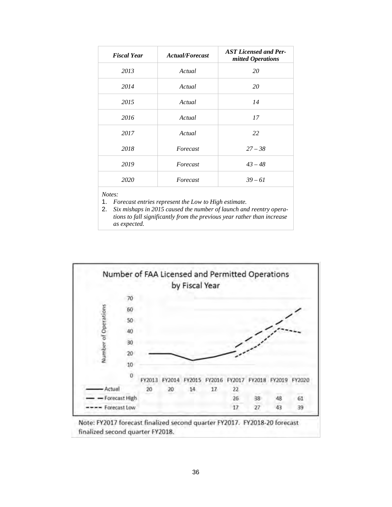| <b>Fiscal Year</b> | <b>Actual/Forecast</b> | <b>AST Licensed and Per-</b><br>mitted Operations |
|--------------------|------------------------|---------------------------------------------------|
| 2013               | Actual                 | 20                                                |
| 2014               | Actual                 | 20                                                |
| 2015               | Actual                 | 14                                                |
| 2016               | Actual                 | 17                                                |
| 2017               | Actual                 | 22                                                |
| 2018               | Forecast               | $27 - 38$                                         |
| 2019               | Forecast               | $43 - 48$                                         |
| 2020               | Forecast               | $39 - 61$                                         |

### *Notes:*

1. *Forecast entries represent the Low to High estimate.*

2. *Six mishaps in 2015 caused the number of launch and reentry operations to fall significantly from the previous year rather than increase as expected.*



Note: FY2017 forecast finalized second quarter FY2017. FY2018-20 forecast finalized second quarter FY2018.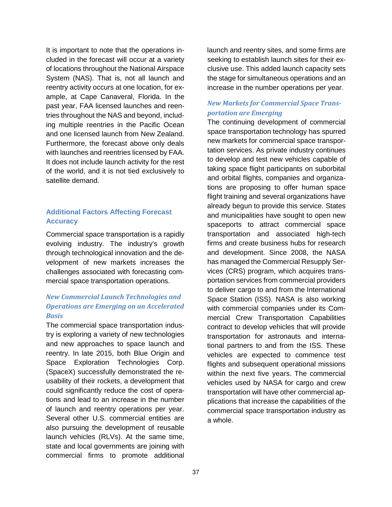It is important to note that the operations included in the forecast will occur at a variety of locations throughout the National Airspace System (NAS). That is, not all launch and reentry activity occurs at one location, for example, at Cape Canaveral, Florida. In the past year, FAA licensed launches and reentries throughout the NAS and beyond, including multiple reentries in the Pacific Ocean and one licensed launch from New Zealand. Furthermore, the forecast above only deals with launches and reentries licensed by FAA. It does not include launch activity for the rest of the world, and it is not tied exclusively to satellite demand.

### **Additional Factors Affecting Forecast Accuracy**

Commercial space transportation is a rapidly evolving industry. The industry's growth through technological innovation and the development of new markets increases the challenges associated with forecasting commercial space transportation operations.

### *New Commercial Launch Technologies and Operations are Emerging on an Accelerated Basis*

The commercial space transportation industry is exploring a variety of new technologies and new approaches to space launch and reentry. In late 2015, both Blue Origin and Space Exploration Technologies Corp. (SpaceX) successfully demonstrated the reusability of their rockets, a development that could significantly reduce the cost of operations and lead to an increase in the number of launch and reentry operations per year. Several other U.S. commercial entities are also pursuing the development of reusable launch vehicles (RLVs). At the same time, state and local governments are joining with commercial firms to promote additional

launch and reentry sites, and some firms are seeking to establish launch sites for their exclusive use. This added launch capacity sets the stage for simultaneous operations and an increase in the number operations per year.

### *New Markets for Commercial Space Transportation are Emerging*

The continuing development of commercial space transportation technology has spurred new markets for commercial space transportation services. As private industry continues to develop and test new vehicles capable of taking space flight participants on suborbital and orbital flights, companies and organizations are proposing to offer human space flight training and several organizations have already begun to provide this service. States and municipalities have sought to open new spaceports to attract commercial space transportation and associated high-tech firms and create business hubs for research and development. Since 2008, the NASA has managed the Commercial Resupply Services (CRS) program, which acquires transportation services from commercial providers to deliver cargo to and from the International Space Station (ISS). NASA is also working with commercial companies under its Commercial Crew Transportation Capabilities contract to develop vehicles that will provide transportation for astronauts and international partners to and from the ISS. These vehicles are expected to commence test flights and subsequent operational missions within the next five years. The commercial vehicles used by NASA for cargo and crew transportation will have other commercial applications that increase the capabilities of the commercial space transportation industry as a whole.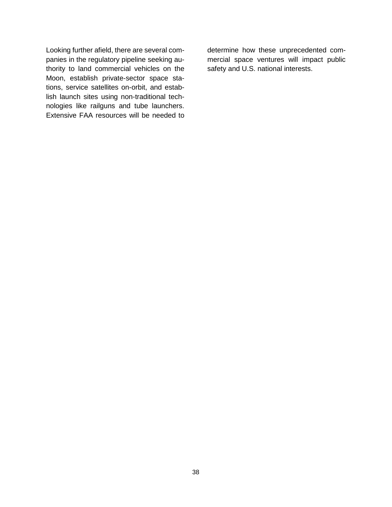Looking further afield, there are several companies in the regulatory pipeline seeking authority to land commercial vehicles on the Moon, establish private-sector space stations, service satellites on-orbit, and establish launch sites using non-traditional technologies like railguns and tube launchers. Extensive FAA resources will be needed to determine how these unprecedented commercial space ventures will impact public safety and U.S. national interests.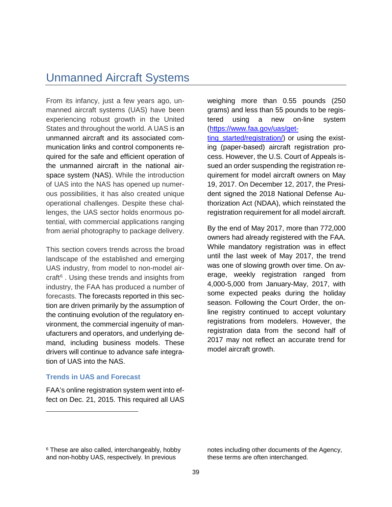### Unmanned Aircraft Systems

From its infancy, just a few years ago, unmanned aircraft systems (UAS) have been experiencing robust growth in the United States and throughout the world. A UAS is an unmanned aircraft and its associated communication links and control components required for the safe and efficient operation of the unmanned aircraft in the national airspace system (NAS). While the introduction of UAS into the NAS has opened up numerous possibilities, it has also created unique operational challenges. Despite these challenges, the UAS sector holds enormous potential, with commercial applications ranging from aerial photography to package delivery.

This section covers trends across the broad landscape of the established and emerging UAS industry, from model to non-model aircraft $6$ . Using these trends and insights from industry, the FAA has produced a number of forecasts. The forecasts reported in this section are driven primarily by the assumption of the continuing evolution of the regulatory environment, the commercial ingenuity of manufacturers and operators, and underlying demand, including business models. These drivers will continue to advance safe integration of UAS into the NAS.

#### **Trends in UAS and Forecast**

-

FAA's online registration system went into effect on Dec. 21, 2015. This required all UAS weighing more than 0.55 pounds (250 grams) and less than 55 pounds to be registered using a new on-line system [\(https://www.faa.gov/uas/get](https://www.faa.gov/uas/getting_started/registration/)ting started/registration/) or using the existing (paper-based) aircraft registration process. However, the U.S. Court of Appeals issued an order suspending the registration requirement for model aircraft owners on May 19, 2017. On December 12, 2017, the President signed the 2018 National Defense Authorization Act (NDAA), which reinstated the registration requirement for all model aircraft.

By the end of May 2017, more than 772,000 owners had already registered with the FAA. While mandatory registration was in effect until the last week of May 2017, the trend was one of slowing growth over time. On average, weekly registration ranged from 4,000-5,000 from January-May, 2017, with some expected peaks during the holiday season. Following the Court Order, the online registry continued to accept voluntary registrations from modelers. However, the registration data from the second half of 2017 may not reflect an accurate trend for model aircraft growth.

notes including other documents of the Agency, these terms are often interchanged.

<span id="page-40-0"></span><sup>&</sup>lt;sup>6</sup> These are also called, interchangeably, hobby and non-hobby UAS, respectively. In previous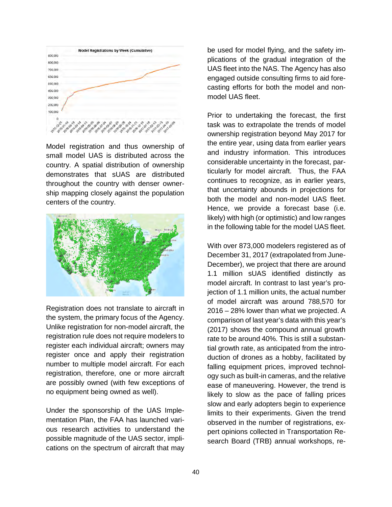

Model registration and thus ownership of small model UAS is distributed across the country. A spatial distribution of ownership demonstrates that sUAS are distributed throughout the country with denser ownership mapping closely against the population centers of the country.



Registration does not translate to aircraft in the system, the primary focus of the Agency. Unlike registration for non-model aircraft, the registration rule does not require modelers to register each individual aircraft; owners may register once and apply their registration number to multiple model aircraft. For each registration, therefore, one or more aircraft are possibly owned (with few exceptions of no equipment being owned as well).

Under the sponsorship of the UAS Implementation Plan, the FAA has launched various research activities to understand the possible magnitude of the UAS sector, implications on the spectrum of aircraft that may

be used for model flying, and the safety implications of the gradual integration of the UAS fleet into the NAS. The Agency has also engaged outside consulting firms to aid forecasting efforts for both the model and nonmodel UAS fleet.

Prior to undertaking the forecast, the first task was to extrapolate the trends of model ownership registration beyond May 2017 for the entire year, using data from earlier years and industry information. This introduces considerable uncertainty in the forecast, particularly for model aircraft. Thus, the FAA continues to recognize, as in earlier years, that uncertainty abounds in projections for both the model and non-model UAS fleet. Hence, we provide a forecast base (i.e. likely) with high (or optimistic) and low ranges in the following table for the model UAS fleet.

With over 873,000 modelers registered as of December 31, 2017 (extrapolated from June-December), we project that there are around 1.1 million sUAS identified distinctly as model aircraft. In contrast to last year's projection of 1.1 million units, the actual number of model aircraft was around 788,570 for 2016 – 28% lower than what we projected. A comparison of last year's data with this year's (2017) shows the compound annual growth rate to be around 40%. This is still a substantial growth rate, as anticipated from the introduction of drones as a hobby, facilitated by falling equipment prices, improved technology such as built-in cameras, and the relative ease of maneuvering. However, the trend is likely to slow as the pace of falling prices slow and early adopters begin to experience limits to their experiments. Given the trend observed in the number of registrations, expert opinions collected in Transportation Research Board (TRB) annual workshops, re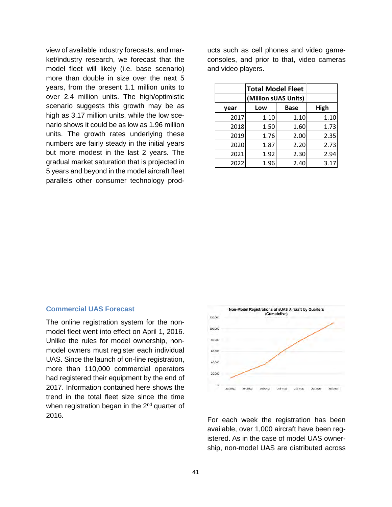view of available industry forecasts, and market/industry research, we forecast that the model fleet will likely (i.e. base scenario) more than double in size over the next 5 years, from the present 1.1 million units to over 2.4 million units. The high/optimistic scenario suggests this growth may be as high as 3.17 million units, while the low scenario shows it could be as low as 1.96 million units. The growth rates underlying these numbers are fairly steady in the initial years but more modest in the last 2 years. The gradual market saturation that is projected in 5 years and beyond in the model aircraft fleet parallels other consumer technology products such as cell phones and video gameconsoles, and prior to that, video cameras and video players.

|      | <b>Total Model Fleet</b><br>(Million sUAS Units) |             |      |
|------|--------------------------------------------------|-------------|------|
| vear | Low                                              | <b>Base</b> | High |
| 2017 | 1.10                                             | 1.10        | 1.10 |
| 2018 | 1.50                                             | 1.60        | 1.73 |
| 2019 | 1.76                                             | 2.00        | 2.35 |
| 2020 | 1.87                                             | 2.20        | 2.73 |
| 2021 | 1.92                                             | 2.30        | 2.94 |
| 2022 | 1.96                                             | 2.40        | 3.17 |

### **Commercial UAS Forecast**

The online registration system for the nonmodel fleet went into effect on April 1, 2016. Unlike the rules for model ownership, nonmodel owners must register each individual UAS. Since the launch of on-line registration, more than 110,000 commercial operators had registered their equipment by the end of 2017. Information contained here shows the trend in the total fleet size since the time when registration began in the  $2<sup>nd</sup>$  quarter of <sup>2016</sup>. For each week the registration has been



available, over 1,000 aircraft have been registered. As in the case of model UAS ownership, non-model UAS are distributed across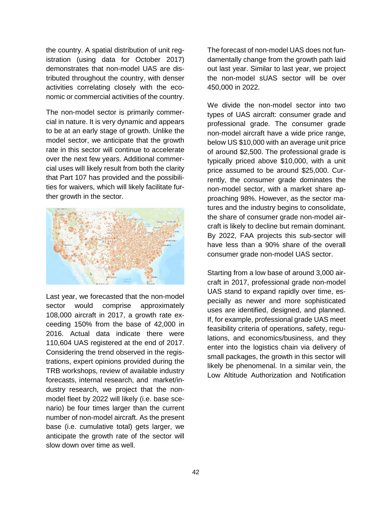the country. A spatial distribution of unit registration (using data for October 2017) demonstrates that non-model UAS are distributed throughout the country, with denser activities correlating closely with the economic or commercial activities of the country.

The non-model sector is primarily commercial in nature. It is very dynamic and appears to be at an early stage of growth. Unlike the model sector, we anticipate that the growth rate in this sector will continue to accelerate over the next few years. Additional commercial uses will likely result from both the clarity that Part 107 has provided and the possibilities for waivers, which will likely facilitate further growth in the sector.



Last year, we forecasted that the non-model sector would comprise approximately 108,000 aircraft in 2017, a growth rate exceeding 150% from the base of 42,000 in 2016. Actual data indicate there were 110,604 UAS registered at the end of 2017. Considering the trend observed in the registrations, expert opinions provided during the TRB workshops, review of available industry forecasts, internal research, and market/industry research, we project that the nonmodel fleet by 2022 will likely (i.e. base scenario) be four times larger than the current number of non-model aircraft. As the present base (i.e. cumulative total) gets larger, we anticipate the growth rate of the sector will slow down over time as well.

The forecast of non-model UAS does not fundamentally change from the growth path laid out last year. Similar to last year, we project the non-model sUAS sector will be over 450,000 in 2022.

We divide the non-model sector into two types of UAS aircraft: consumer grade and professional grade. The consumer grade non-model aircraft have a wide price range, below US \$10,000 with an average unit price of around \$2,500. The professional grade is typically priced above \$10,000, with a unit price assumed to be around \$25,000. Currently, the consumer grade dominates the non-model sector, with a market share approaching 98%. However, as the sector matures and the industry begins to consolidate, the share of consumer grade non-model aircraft is likely to decline but remain dominant. By 2022, FAA projects this sub-sector will have less than a 90% share of the overall consumer grade non-model UAS sector.

Starting from a low base of around 3,000 aircraft in 2017, professional grade non-model UAS stand to expand rapidly over time, especially as newer and more sophisticated uses are identified, designed, and planned. If, for example, professional grade UAS meet feasibility criteria of operations, safety, regulations, and economics/business, and they enter into the logistics chain via delivery of small packages, the growth in this sector will likely be phenomenal. In a similar vein, the Low Altitude Authorization and Notification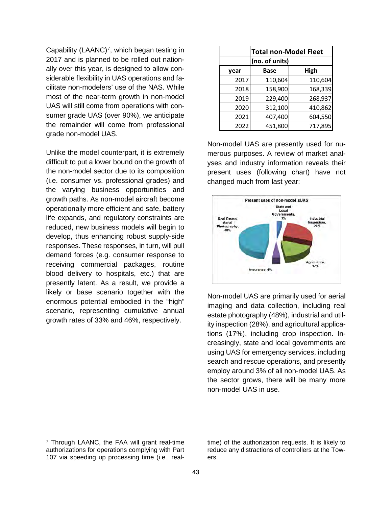Capability (LAANC)<sup>[7](#page-44-0)</sup>, which began testing in 2017 and is planned to be rolled out nationally over this year, is designed to allow considerable flexibility in UAS operations and facilitate non-modelers' use of the NAS. While most of the near-term growth in non-model UAS will still come from operations with consumer grade UAS (over 90%), we anticipate the remainder will come from professional grade non-model UAS.

Unlike the model counterpart, it is extremely difficult to put a lower bound on the growth of the non-model sector due to its composition (i.e. consumer vs. professional grades) and the varying business opportunities and growth paths. As non-model aircraft become operationally more efficient and safe, battery life expands, and regulatory constraints are reduced, new business models will begin to develop, thus enhancing robust supply-side responses. These responses, in turn, will pull demand forces (e.g. consumer response to receiving commercial packages, routine blood delivery to hospitals, etc.) that are presently latent. As a result, we provide a likely or base scenario together with the enormous potential embodied in the "high" scenario, representing cumulative annual growth rates of 33% and 46%, respectively.

|      | <b>Total non-Model Fleet</b> |         |
|------|------------------------------|---------|
|      | (no. of units)               |         |
| year | Base                         | High    |
| 2017 | 110,604                      | 110,604 |
| 2018 | 158,900                      | 168,339 |
| 2019 | 229,400                      | 268,937 |
| 2020 | 312,100                      | 410,862 |
| 2021 | 407,400                      | 604,550 |
| 2022 | 451,800                      | 717,895 |

Non-model UAS are presently used for numerous purposes. A review of market analyses and industry information reveals their present uses (following chart) have not changed much from last year:



Non-model UAS are primarily used for aerial imaging and data collection, including real estate photography (48%), industrial and utility inspection (28%), and agricultural applications (17%), including crop inspection. Increasingly, state and local governments are using UAS for emergency services, including search and rescue operations, and presently employ around 3% of all non-model UAS. As the sector grows, there will be many more non-model UAS in use.

 $\overline{a}$ 

time) of the authorization requests. It is likely to reduce any distractions of controllers at the Towers.

<span id="page-44-0"></span><sup>7</sup> Through LAANC, the FAA will grant real-time authorizations for operations complying with Part 107 via speeding up processing time (i.e., real-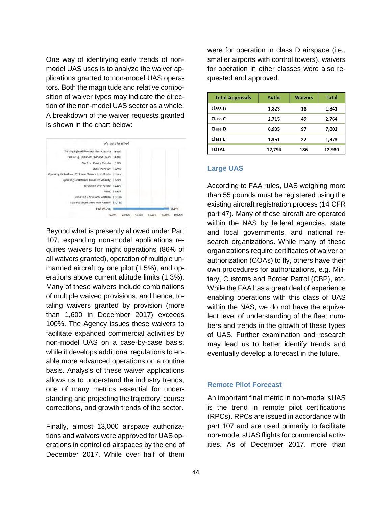One way of identifying early trends of nonmodel UAS uses is to analyze the waiver applications granted to non-model UAS operators. Both the magnitude and relative composition of waiver types may indicate the direction of the non-model UAS sector as a whole. A breakdown of the waiver requests granted is shown in the chart below:



Beyond what is presently allowed under Part 107, expanding non-model applications requires waivers for night operations (86% of all waivers granted), operation of multiple unmanned aircraft by one pilot (1.5%), and operations above current altitude limits (1.3%). Many of these waivers include combinations of multiple waived provisions, and hence, totaling waivers granted by provision (more than 1,600 in December 2017) exceeds 100%. The Agency issues these waivers to facilitate expanded commercial activities by non-model UAS on a case-by-case basis, while it develops additional regulations to enable more advanced operations on a routine basis. Analysis of these waiver applications allows us to understand the industry trends, one of many metrics essential for understanding and projecting the trajectory, course corrections, and growth trends of the sector.

Finally, almost 13,000 airspace authorizations and waivers were approved for UAS operations in controlled airspaces by the end of December 2017. While over half of them

were for operation in class D airspace (i.e., smaller airports with control towers), waivers for operation in other classes were also requested and approved.

| <b>Total Approvals</b> | <b>Auths</b> | <b>Waivers</b> | <b>Total</b> |
|------------------------|--------------|----------------|--------------|
| Class B                | 1,823        | 18             | 1,841        |
| Class C                | 2,715        | 49             | 2,764        |
| Class D                | 6,905        | 97             | 7,002        |
| Class E                | 1,351        | 22             | 1,373        |
| TOTAL                  | 12,794       | 186            | 12,980       |

#### **Large UAS**

According to FAA rules, UAS weighing more than 55 pounds must be registered using the existing aircraft registration process (14 CFR part 47). Many of these aircraft are operated within the NAS by federal agencies, state and local governments, and national research organizations. While many of these organizations require certificates of waiver or authorization (COAs) to fly, others have their own procedures for authorizations, e.g. Military, Customs and Border Patrol (CBP), etc. While the FAA has a great deal of experience enabling operations with this class of UAS within the NAS, we do not have the equivalent level of understanding of the fleet numbers and trends in the growth of these types of UAS. Further examination and research may lead us to better identify trends and eventually develop a forecast in the future.

#### **Remote Pilot Forecast**

An important final metric in non-model sUAS is the trend in remote pilot certifications (RPCs). RPCs are issued in accordance with part 107 and are used primarily to facilitate non-model sUAS flights for commercial activities. As of December 2017, more than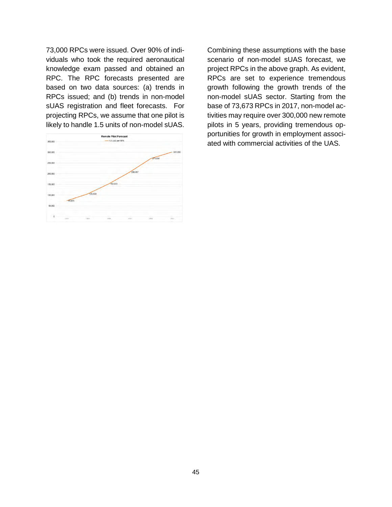73,000 RPCs were issued. Over 90% of individuals who took the required aeronautical knowledge exam passed and obtained an RPC. The RPC forecasts presented are based on two data sources: (a) trends in RPCs issued; and (b) trends in non-model sUAS registration and fleet forecasts. For projecting RPCs, we assume that one pilot is likely to handle 1.5 units of non-model sUAS.



Combining these assumptions with the base scenario of non-model sUAS forecast, we project RPCs in the above graph. As evident, RPCs are set to experience tremendous growth following the growth trends of the non-model sUAS sector. Starting from the base of 73,673 RPCs in 2017, non-model activities may require over 300,000 new remote pilots in 5 years, providing tremendous opportunities for growth in employment associated with commercial activities of the UAS.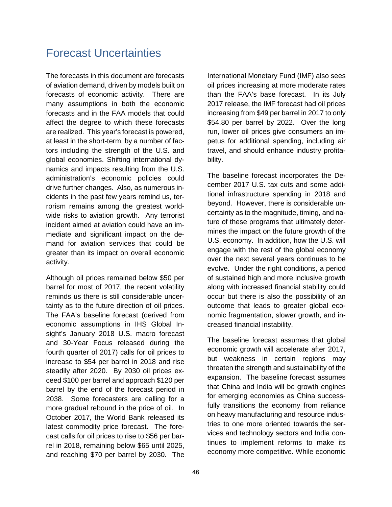### Forecast Uncertainties

The forecasts in this document are forecasts of aviation demand, driven by models built on forecasts of economic activity. There are many assumptions in both the economic forecasts and in the FAA models that could affect the degree to which these forecasts are realized. This year's forecast is powered, at least in the short-term, by a number of factors including the strength of the U.S. and global economies. Shifting international dynamics and impacts resulting from the U.S. administration's economic policies could drive further changes. Also, as numerous incidents in the past few years remind us, terrorism remains among the greatest worldwide risks to aviation growth. Any terrorist incident aimed at aviation could have an immediate and significant impact on the demand for aviation services that could be greater than its impact on overall economic activity.

Although oil prices remained below \$50 per barrel for most of 2017, the recent volatility reminds us there is still considerable uncertainty as to the future direction of oil prices. The FAA's baseline forecast (derived from economic assumptions in IHS Global Insight's January 2018 U.S. macro forecast and 30-Year Focus released during the fourth quarter of 2017) calls for oil prices to increase to \$54 per barrel in 2018 and rise steadily after 2020. By 2030 oil prices exceed \$100 per barrel and approach \$120 per barrel by the end of the forecast period in 2038. Some forecasters are calling for a more gradual rebound in the price of oil. In October 2017, the World Bank released its latest commodity price forecast. The forecast calls for oil prices to rise to \$56 per barrel in 2018, remaining below \$65 until 2025, and reaching \$70 per barrel by 2030. The

International Monetary Fund (IMF) also sees oil prices increasing at more moderate rates than the FAA's base forecast. In its July 2017 release, the IMF forecast had oil prices increasing from \$49 per barrel in 2017 to only \$54.80 per barrel by 2022. Over the long run, lower oil prices give consumers an impetus for additional spending, including air travel, and should enhance industry profitability.

The baseline forecast incorporates the December 2017 U.S. tax cuts and some additional infrastructure spending in 2018 and beyond. However, there is considerable uncertainty as to the magnitude, timing, and nature of these programs that ultimately determines the impact on the future growth of the U.S. economy. In addition, how the U.S. will engage with the rest of the global economy over the next several years continues to be evolve. Under the right conditions, a period of sustained high and more inclusive growth along with increased financial stability could occur but there is also the possibility of an outcome that leads to greater global economic fragmentation, slower growth, and increased financial instability.

The baseline forecast assumes that global economic growth will accelerate after 2017, but weakness in certain regions may threaten the strength and sustainability of the expansion. The baseline forecast assumes that China and India will be growth engines for emerging economies as China successfully transitions the economy from reliance on heavy manufacturing and resource industries to one more oriented towards the services and technology sectors and India continues to implement reforms to make its economy more competitive. While economic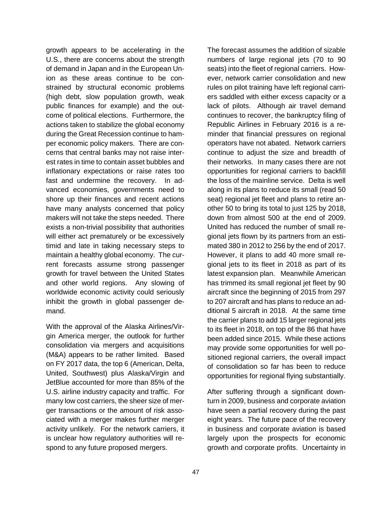growth appears to be accelerating in the U.S., there are concerns about the strength of demand in Japan and in the European Union as these areas continue to be constrained by structural economic problems (high debt, slow population growth, weak public finances for example) and the outcome of political elections. Furthermore, the actions taken to stabilize the global economy during the Great Recession continue to hamper economic policy makers. There are concerns that central banks may not raise interest rates in time to contain asset bubbles and inflationary expectations or raise rates too fast and undermine the recovery. In advanced economies, governments need to shore up their finances and recent actions have many analysts concerned that policy makers will not take the steps needed. There exists a non-trivial possibility that authorities will either act prematurely or be excessively timid and late in taking necessary steps to maintain a healthy global economy. The current forecasts assume strong passenger growth for travel between the United States and other world regions. Any slowing of worldwide economic activity could seriously inhibit the growth in global passenger demand.

With the approval of the Alaska Airlines/Virgin America merger, the outlook for further consolidation via mergers and acquisitions (M&A) appears to be rather limited. Based on FY 2017 data, the top 6 (American, Delta, United, Southwest) plus Alaska/Virgin and JetBlue accounted for more than 85% of the U.S. airline industry capacity and traffic. For many low cost carriers, the sheer size of merger transactions or the amount of risk associated with a merger makes further merger activity unlikely. For the network carriers, it is unclear how regulatory authorities will respond to any future proposed mergers.

numbers of large regional jets (70 to 90 seats) into the fleet of regional carriers. However, network carrier consolidation and new rules on pilot training have left regional carriers saddled with either excess capacity or a lack of pilots. Although air travel demand continues to recover, the bankruptcy filing of Republic Airlines in February 2016 is a reminder that financial pressures on regional operators have not abated. Network carriers continue to adjust the size and breadth of their networks. In many cases there are not opportunities for regional carriers to backfill the loss of the mainline service. Delta is well along in its plans to reduce its small (read 50 seat) regional jet fleet and plans to retire another 50 to bring its total to just 125 by 2018, down from almost 500 at the end of 2009. United has reduced the number of small regional jets flown by its partners from an estimated 380 in 2012 to 256 by the end of 2017. However, it plans to add 40 more small regional jets to its fleet in 2018 as part of its latest expansion plan. Meanwhile American has trimmed its small regional jet fleet by 90 aircraft since the beginning of 2015 from 297 to 207 aircraft and has plans to reduce an additional 5 aircraft in 2018. At the same time the carrier plans to add 15 larger regional jets to its fleet in 2018, on top of the 86 that have been added since 2015. While these actions may provide some opportunities for well positioned regional carriers, the overall impact of consolidation so far has been to reduce opportunities for regional flying substantially.

The forecast assumes the addition of sizable

After suffering through a significant downturn in 2009, business and corporate aviation have seen a partial recovery during the past eight years. The future pace of the recovery in business and corporate aviation is based largely upon the prospects for economic growth and corporate profits. Uncertainty in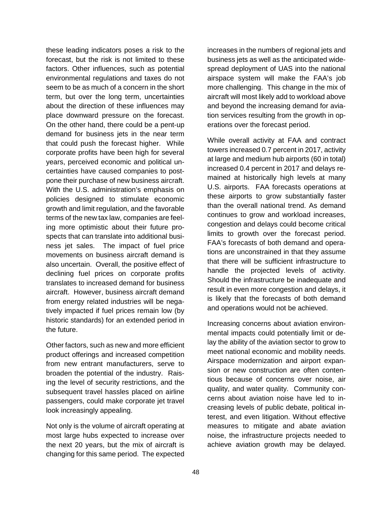these leading indicators poses a risk to the forecast, but the risk is not limited to these factors. Other influences, such as potential environmental regulations and taxes do not seem to be as much of a concern in the short term, but over the long term, uncertainties about the direction of these influences may place downward pressure on the forecast. On the other hand, there could be a pent-up demand for business jets in the near term that could push the forecast higher. While corporate profits have been high for several years, perceived economic and political uncertainties have caused companies to postpone their purchase of new business aircraft. With the U.S. administration's emphasis on policies designed to stimulate economic growth and limit regulation, and the favorable terms of the new tax law, companies are feeling more optimistic about their future prospects that can translate into additional business jet sales. The impact of fuel price movements on business aircraft demand is also uncertain. Overall, the positive effect of declining fuel prices on corporate profits translates to increased demand for business aircraft. However, business aircraft demand from energy related industries will be negatively impacted if fuel prices remain low (by historic standards) for an extended period in the future.

Other factors, such as new and more efficient product offerings and increased competition from new entrant manufacturers, serve to broaden the potential of the industry. Raising the level of security restrictions, and the subsequent travel hassles placed on airline passengers, could make corporate jet travel look increasingly appealing.

Not only is the volume of aircraft operating at most large hubs expected to increase over the next 20 years, but the mix of aircraft is changing for this same period. The expected

increases in the numbers of regional jets and business jets as well as the anticipated widespread deployment of UAS into the national airspace system will make the FAA's job more challenging. This change in the mix of aircraft will most likely add to workload above and beyond the increasing demand for aviation services resulting from the growth in operations over the forecast period.

While overall activity at FAA and contract towers increased 0.7 percent in 2017, activity at large and medium hub airports (60 in total) increased 0.4 percent in 2017 and delays remained at historically high levels at many U.S. airports. FAA forecasts operations at these airports to grow substantially faster than the overall national trend. As demand continues to grow and workload increases, congestion and delays could become critical limits to growth over the forecast period. FAA's forecasts of both demand and operations are unconstrained in that they assume that there will be sufficient infrastructure to handle the projected levels of activity. Should the infrastructure be inadequate and result in even more congestion and delays, it is likely that the forecasts of both demand and operations would not be achieved.

Increasing concerns about aviation environmental impacts could potentially limit or delay the ability of the aviation sector to grow to meet national economic and mobility needs. Airspace modernization and airport expansion or new construction are often contentious because of concerns over noise, air quality, and water quality. Community concerns about aviation noise have led to increasing levels of public debate, political interest, and even litigation. Without effective measures to mitigate and abate aviation noise, the infrastructure projects needed to achieve aviation growth may be delayed.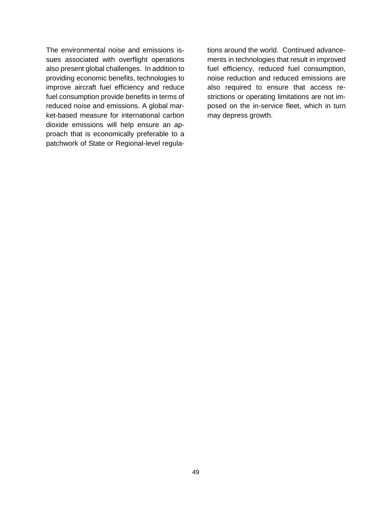The environmental noise and emissions issues associated with overflight operations also present global challenges. In addition to providing economic benefits, technologies to improve aircraft fuel efficiency and reduce fuel consumption provide benefits in terms of reduced noise and emissions. A global market-based measure for international carbon dioxide emissions will help ensure an approach that is economically preferable to a patchwork of State or Regional-level regulations around the world. Continued advancements in technologies that result in improved fuel efficiency, reduced fuel consumption, noise reduction and reduced emissions are also required to ensure that access restrictions or operating limitations are not imposed on the in-service fleet, which in turn may depress growth.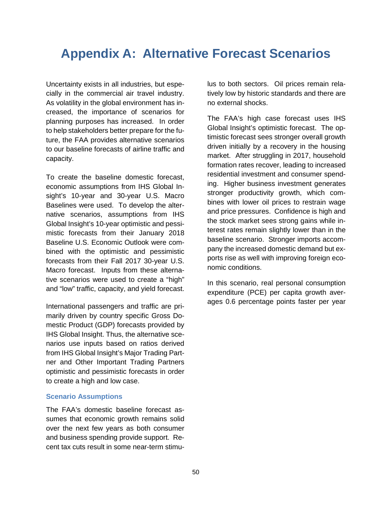### **Appendix A: Alternative Forecast Scenarios**

Uncertainty exists in all industries, but especially in the commercial air travel industry. As volatility in the global environment has increased, the importance of scenarios for planning purposes has increased. In order to help stakeholders better prepare for the future, the FAA provides alternative scenarios to our baseline forecasts of airline traffic and capacity.

To create the baseline domestic forecast, economic assumptions from IHS Global Insight's 10-year and 30-year U.S. Macro Baselines were used. To develop the alternative scenarios, assumptions from IHS Global Insight's 10-year optimistic and pessimistic forecasts from their January 2018 Baseline U.S. Economic Outlook were combined with the optimistic and pessimistic forecasts from their Fall 2017 30-year U.S. Macro forecast. Inputs from these alternative scenarios were used to create a "high" and "low" traffic, capacity, and yield forecast.

International passengers and traffic are primarily driven by country specific Gross Domestic Product (GDP) forecasts provided by IHS Global Insight. Thus, the alternative scenarios use inputs based on ratios derived from IHS Global Insight's Major Trading Partner and Other Important Trading Partners optimistic and pessimistic forecasts in order to create a high and low case.

#### **Scenario Assumptions**

The FAA's domestic baseline forecast assumes that economic growth remains solid over the next few years as both consumer and business spending provide support. Recent tax cuts result in some near-term stimulus to both sectors. Oil prices remain relatively low by historic standards and there are no external shocks.

The FAA's high case forecast uses IHS Global Insight's optimistic forecast. The optimistic forecast sees stronger overall growth driven initially by a recovery in the housing market. After struggling in 2017, household formation rates recover, leading to increased residential investment and consumer spending. Higher business investment generates stronger productivity growth, which combines with lower oil prices to restrain wage and price pressures. Confidence is high and the stock market sees strong gains while interest rates remain slightly lower than in the baseline scenario. Stronger imports accompany the increased domestic demand but exports rise as well with improving foreign economic conditions.

In this scenario, real personal consumption expenditure (PCE) per capita growth averages 0.6 percentage points faster per year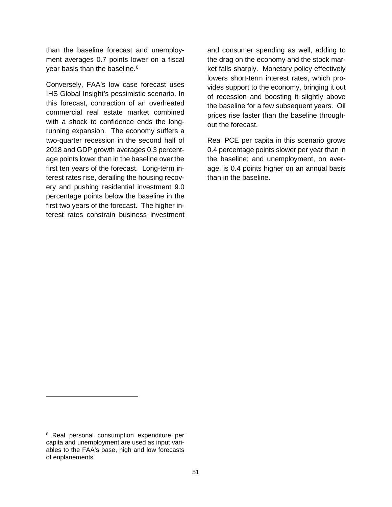than the baseline forecast and unemployment averages 0.7 points lower on a fiscal year basis than the baseline.<sup>[8](#page-52-0)</sup>

Conversely, FAA's low case forecast uses IHS Global Insight's pessimistic scenario. In this forecast, contraction of an overheated commercial real estate market combined with a shock to confidence ends the longrunning expansion. The economy suffers a two-quarter recession in the second half of 2018 and GDP growth averages 0.3 percentage points lower than in the baseline over the first ten years of the forecast. Long-term interest rates rise, derailing the housing recovery and pushing residential investment 9.0 percentage points below the baseline in the first two years of the forecast. The higher interest rates constrain business investment

and consumer spending as well, adding to the drag on the economy and the stock market falls sharply. Monetary policy effectively lowers short-term interest rates, which provides support to the economy, bringing it out of recession and boosting it slightly above the baseline for a few subsequent years. Oil prices rise faster than the baseline throughout the forecast.

Real PCE per capita in this scenario grows 0.4 percentage points slower per year than in the baseline; and unemployment, on average, is 0.4 points higher on an annual basis than in the baseline.

 $\overline{a}$ 

<span id="page-52-0"></span><sup>8</sup> Real personal consumption expenditure per capita and unemployment are used as input variables to the FAA's base, high and low forecasts of enplanements.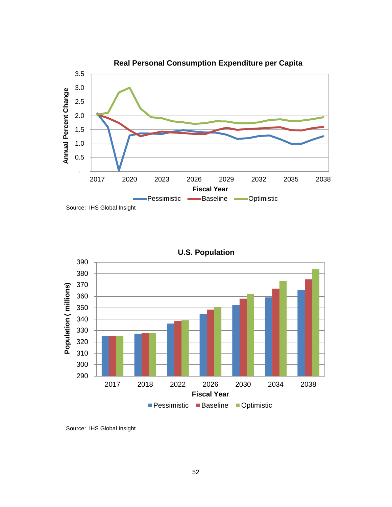



**U.S. Population**

Source: IHS Global Insight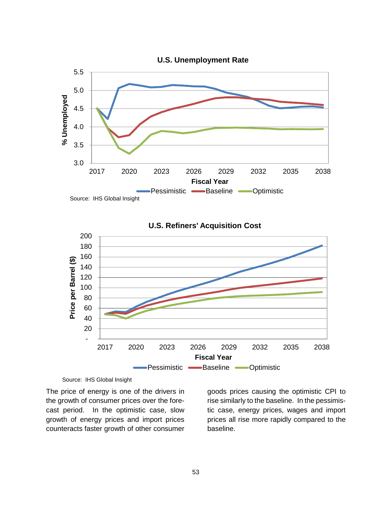

**U.S. Refiners' Acquisition Cost**



Source: IHS Global Insight

The price of energy is one of the drivers in the growth of consumer prices over the forecast period. In the optimistic case, slow growth of energy prices and import prices counteracts faster growth of other consumer

goods prices causing the optimistic CPI to rise similarly to the baseline. In the pessimistic case, energy prices, wages and import prices all rise more rapidly compared to the baseline.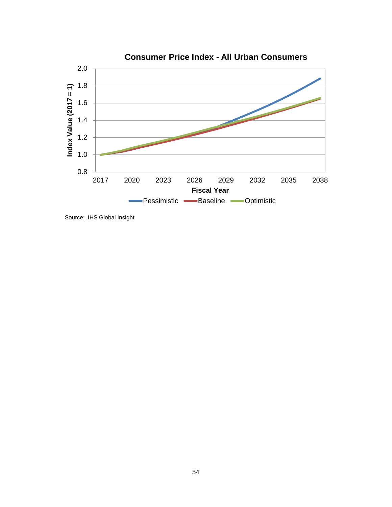

Source: IHS Global Insight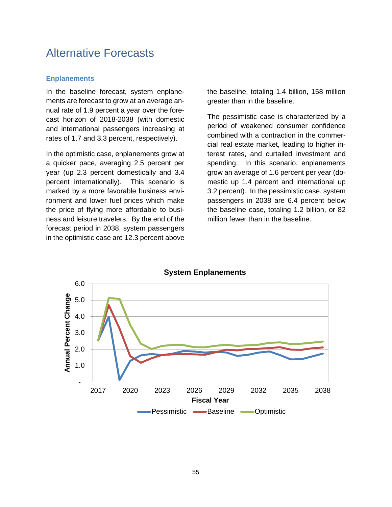### **Enplanements**

In the baseline forecast, system enplanements are forecast to grow at an average annual rate of 1.9 percent a year over the forecast horizon of 2018-2038 (with domestic and international passengers increasing at rates of 1.7 and 3.3 percent, respectively).

In the optimistic case, enplanements grow at a quicker pace, averaging 2.5 percent per year (up 2.3 percent domestically and 3.4 percent internationally). This scenario is marked by a more favorable business environment and lower fuel prices which make the price of flying more affordable to business and leisure travelers. By the end of the forecast period in 2038, system passengers in the optimistic case are 12.3 percent above

the baseline, totaling 1.4 billion, 158 million greater than in the baseline.

The pessimistic case is characterized by a period of weakened consumer confidence combined with a contraction in the commercial real estate market, leading to higher interest rates, and curtailed investment and spending. In this scenario, enplanements grow an average of 1.6 percent per year (domestic up 1.4 percent and international up 3.2 percent). In the pessimistic case, system passengers in 2038 are 6.4 percent below the baseline case, totaling 1.2 billion, or 82 million fewer than in the baseline.



**System Enplanements**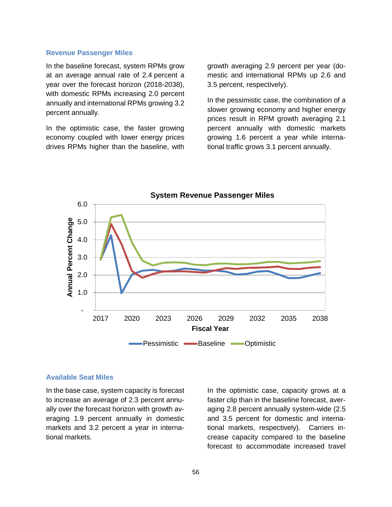#### **Revenue Passenger Miles**

In the baseline forecast, system RPMs grow at an average annual rate of 2.4 percent a year over the forecast horizon (2018-2038), with domestic RPMs increasing 2.0 percent annually and international RPMs growing 3.2 percent annually.

In the optimistic case, the faster growing economy coupled with lower energy prices drives RPMs higher than the baseline, with growth averaging 2.9 percent per year (domestic and international RPMs up 2.6 and 3.5 percent, respectively).

In the pessimistic case, the combination of a slower growing economy and higher energy prices result in RPM growth averaging 2.1 percent annually with domestic markets growing 1.6 percent a year while international traffic grows 3.1 percent annually.



#### **System Revenue Passenger Miles**

#### **Available Seat Miles**

In the base case, system capacity is forecast to increase an average of 2.3 percent annually over the forecast horizon with growth averaging 1.9 percent annually in domestic markets and 3.2 percent a year in international markets.

In the optimistic case, capacity grows at a faster clip than in the baseline forecast, averaging 2.8 percent annually system-wide (2.5 and 3.5 percent for domestic and international markets, respectively). Carriers increase capacity compared to the baseline forecast to accommodate increased travel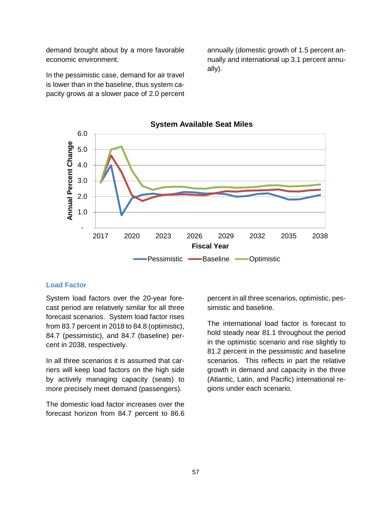demand brought about by a more favorable economic environment.

In the pessimistic case, demand for air travel is lower than in the baseline, thus system capacity grows at a slower pace of 2.0 percent

annually (domestic growth of 1.5 percent annually and international up 3.1 percent annually).



**System Available Seat Miles**

### **Load Factor**

System load factors over the 20-year forecast period are relatively similar for all three forecast scenarios. System load factor rises from 83.7 percent in 2018 to 84.8 (optimistic), 84.7 (pessimistic), and 84.7 (baseline) percent in 2038, respectively.

In all three scenarios it is assumed that carriers will keep load factors on the high side by actively managing capacity (seats) to more precisely meet demand (passengers).

The domestic load factor increases over the forecast horizon from 84.7 percent to 86.6

percent in all three scenarios, optimistic, pessimistic and baseline.

The international load factor is forecast to hold steady near 81.1 throughout the period in the optimistic scenario and rise slightly to 81.2 percent in the pessimistic and baseline scenarios. This reflects in part the relative growth in demand and capacity in the three (Atlantic, Latin, and Pacific) international regions under each scenario.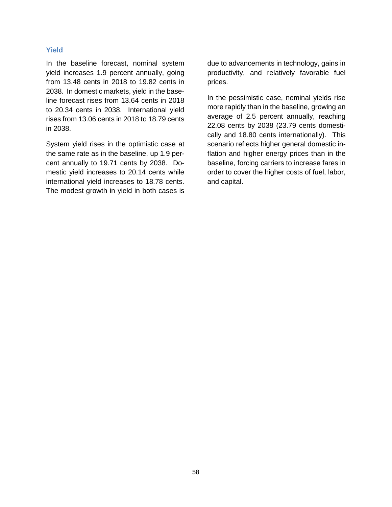### **Yield**

In the baseline forecast, nominal system yield increases 1.9 percent annually, going from 13.48 cents in 2018 to 19.82 cents in 2038. In domestic markets, yield in the baseline forecast rises from 13.64 cents in 2018 to 20.34 cents in 2038. International yield rises from 13.06 cents in 2018 to 18.79 cents in 2038.

System yield rises in the optimistic case at the same rate as in the baseline, up 1.9 percent annually to 19.71 cents by 2038. Domestic yield increases to 20.14 cents while international yield increases to 18.78 cents. The modest growth in yield in both cases is

due to advancements in technology, gains in productivity, and relatively favorable fuel prices.

In the pessimistic case, nominal yields rise more rapidly than in the baseline, growing an average of 2.5 percent annually, reaching 22.08 cents by 2038 (23.79 cents domestically and 18.80 cents internationally). This scenario reflects higher general domestic inflation and higher energy prices than in the baseline, forcing carriers to increase fares in order to cover the higher costs of fuel, labor, and capital.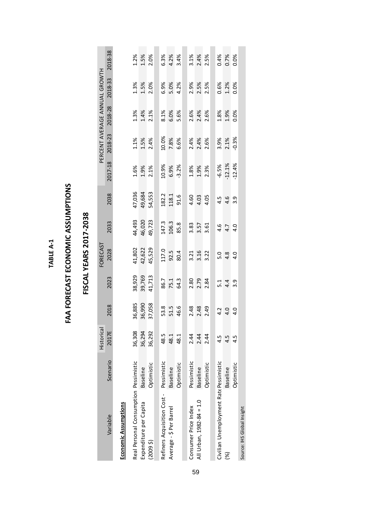| ١ |
|---|
|   |
|   |
| ٦ |
| ۹ |
|   |

### FAA FORECAST ECONOMIC ASSUMPTIONS **FAA FORECAST ECONOMIC ASSUMPTIONS**

|                                         |                 | <b>Historical</b> |        |                   | FORECAST |        |        |          | PERCENT AVERAGE ANNUAL GROWTH |         |         |         |
|-----------------------------------------|-----------------|-------------------|--------|-------------------|----------|--------|--------|----------|-------------------------------|---------|---------|---------|
| Variable                                | Scenario        | 2017E             | 2018   | 2023              | 2028     | 2033   | 2038   | 2017-18  | 2018-23                       | 2018-28 | 2018-33 | 2018-38 |
| Economic Assumptions                    |                 |                   |        |                   |          |        |        |          |                               |         |         |         |
| Real Personal Consumption Pessimistic   |                 | 36,308            | 36,885 | 38,929            | 41,802   | 44,493 | 47,036 | 1.6%     | 1.1%                          | 1.3%    | 1.3%    | 1.2%    |
| Expenditure per Capita                  | <b>Baseline</b> | 36,294            | 36,990 | 39,769            | 42,622   | 46,020 | 49,684 | 1.9%     | 1.5%                          | 1.4%    | 1.5%    | 1.5%    |
| (20095)                                 | Optimistic      | 36,292            | 37,058 | 41,713            | 45,529   | 49,723 | 54,553 | 2.1%     | 2.4%                          | 2.1%    | 2.0%    | 2.0%    |
|                                         |                 |                   |        |                   |          |        |        |          |                               |         |         |         |
| Refiners Acquisition Cost - Pessimistic |                 | 48.5              | 53.8   | 86.7              | 117.0    | 147.3  | 182.2  | 10.9%    | 10.0%                         | 8.1%    | 6.9%    | 6.3%    |
| Average - S Per Barrel                  | <b>Baseline</b> | 48.1              | 51.5   | 75.1              | 92.5     | 106.3  | 118.1  | 6.9%     | 7.8%                          | 6.0%    | 5.0%    | 4.2%    |
|                                         | Optimistic      | 48.1              | 46.6   | 64.3              | 80.4     | 85.8   | 91.6   | $-3.2%$  | 6.6%                          | 5.6%    | 4.2%    | 3.4%    |
|                                         |                 |                   |        |                   |          |        |        |          |                               |         |         |         |
| Consumer Price Index                    | Pessimistic     | 2.44              | 2.48   | 2.80              | 3.21     | 3.83   | 4.60   | 1.8%     | 2.4%                          | 2.6%    | 2.9%    | 3.1%    |
| All Urban, 1982-84 = 1.0                | Baseline        | 2.44              | 2.48   | 2.79              | 3.16     | 3.57   | 4.03   | 1.9%     | 2.4%                          | 2.4%    | 2.5%    | 2.4%    |
|                                         | Optimistic      | 2.44              | 2.49   | 2.84              | 3.22     | 3.61   | 4.05   | 2.3%     | 2.6%                          | 2.6%    | 2.5%    | 2.5%    |
|                                         |                 |                   |        |                   |          |        |        |          |                               |         |         |         |
| Civilian Unemployment RatePessimistic   |                 | 4.5               | 4.2    | $\overline{5}$ :1 | 5.0      | 4.6    | 4.5    | $-6.5%$  | 3.9%                          | 1.8%    | 0.6%    | 0.4%    |
| S)                                      | <b>Baseline</b> | <u>ی</u><br>-     | 4.0    | 4.4               | 4.8      | 4.7    | 4.6    | $-12.1%$ | 2.1%                          | 1.9%    | 1.2%    | 0.7%    |
|                                         | Optimistic      | 4.5               | 4.0    | 3.9               |          | 4.0    | 3.9    | $-12.4%$ | $-0.3%$                       | 0.0%    | 0.0%    | 0.0%    |
| Source: IHS Global Insight              |                 |                   |        |                   |          |        |        |          |                               |         |         |         |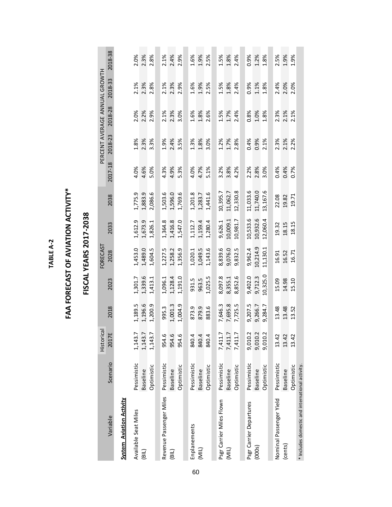TABLE A-2 **TABLE A-2**

### FAA FORECAST OF AVIATION ACTIVITY\* **FAA FORECAST OF AVIATION ACTIVITY\***

|                                                 |                 | Historical |         |          | FORECAST |          |          |         | PERCENT AVERAGE ANNUAL GROWTH |         |         |         |
|-------------------------------------------------|-----------------|------------|---------|----------|----------|----------|----------|---------|-------------------------------|---------|---------|---------|
| Variable                                        | Scenario        | 2017E      | 2018    | 2023     | 2028     | 2033     | 2038     | 2017-18 | 2018-23                       | 2018-28 | 2018-33 | 2018-38 |
| <b>System Aviation Activity</b>                 |                 |            |         |          |          |          |          |         |                               |         |         |         |
| Available Seat Miles                            | Pessimistic     | 1,143.7    | 1,189.5 | 1,301.7  | 1,453.0  | 1,612.9  | 1,775.9  | 4.0%    | 1.8%                          | 2.0%    | 2.1%    | 2.0%    |
| $\overline{B}$                                  | <b>Baseline</b> | 1,143.7    | 1,196.6 | 1,339.6  | 1,489.0  | 1,673.9  | 1,883.9  | 4.6%    | 2.3%                          | 2.2%    | 2.3%    | 2.3%    |
|                                                 | Optimistic      | 1,143.7    | 1,200.9 | 1,413.1  | 1,604.5  | 1,826.1  | 2,086.6  | 5.0%    | 3.3%                          | 2.9%    | 2.8%    | 2.8%    |
| Revenue Passenger Miles                         | Pessimistic     | 954.6      | 995.3   | 1,096.1  | 1,227.5  | 1,364.8  | 1,503.6  | 4.3%    | 1.9%                          | 2.1%    | 2.1%    | 2.1%    |
| (B L)                                           | <b>Baseline</b> | 954.6      | 1,001.3 | 1,128.4  | 1,258.2  | 1,416.8  | 1,596.0  | 4.9%    | 2.4%                          | 2.3%    | 2.3%    | 2.4%    |
|                                                 | Optimistic      | 954.6      | 1,004.9 | 1,191.0  | 1,356.9  | 1,547.0  | 1,769.6  | 5.3%    | 3.5%                          | 3.0%    | 2.9%    | 2.9%    |
| Enplanements                                    | Pessimistic     | 840.4      | 873.9   | 931.5    | 1,020.1  | 1,112.7  | 1,201.8  | 4.0%    | 1.3%                          | 1.6%    | 1.6%    | 1.6%    |
| (MIL)                                           | <b>Baseline</b> | 840.4      | 879.9   | 963.5    | 1,049.5  | 1,159.4  | 1,283.7  | 4.7%    | 1.8%                          | 1.8%    | 1.9%    | 1.9%    |
|                                                 | Optimistic      | 840.4      | 883.6   | 1,025.5  | 1,143.6  | 1,280.4  | 1,441.6  | 5.1%    | 3.0%                          | 2.6%    | 2.5%    | 2.5%    |
|                                                 |                 |            |         |          |          |          |          |         |                               |         |         |         |
| Psgr Carrier Miles Flown                        | Pessimistic     | 7,411.7    | 7,646.3 | 8,097.8  | 8,839.6  | 9,626.1  | 10,395.7 | 3.2%    | 1.2%                          | 1.5%    | 1.5%    | 1.5%    |
| (MIL)                                           | <b>Baseline</b> | 7,411.7    | 7,695.8 | 8,355.1  | 9,076.0  | 10,009.1 | 11,062.7 | 3.8%    | 1.7%                          | 1.7%    | 1.8%    | 1.8%    |
|                                                 | Optimistic      | 7,411.7    | 7,725.5 | 8,852.6  | 9,832.5  | 10,981.7 | 12,330.8 | 4.2%    | 2.8%                          | 2.4%    | 2.4%    | 2.4%    |
|                                                 |                 |            |         |          |          |          |          |         |                               |         |         |         |
| Psgr Carrier Departures                         | Pessimistic     | 9,010.2    | 9,207.5 | 9,402.0  | 9,962.4  | 10,533.6 | 11,033.6 | 2.2%    | 0.4%                          | 0.8%    | 0.9%    | 0.9%    |
| (000s)                                          | <b>Baseline</b> | 9,010.2    | 9,266.7 | 9,712.3  | 10,214.9 | 10,932.6 | 11,740.0 | 2.8%    | 0.9%                          | 1.0%    | 1.1%    | 1.2%    |
|                                                 | Optimistic      | 9,010.2    | 9,284.7 | 10,325.0 | 11,130.1 | 12,060.4 | 13,167.6 | 3.0%    | 2.1%                          | 1.8%    | 1.8%    | 1.8%    |
|                                                 |                 |            |         |          |          |          |          |         |                               |         |         |         |
| Nominal Passenger Yield                         | Pessimistic     | 13.42      | 13.48   | 5.09     | 16.91    | 19.32    | 22.08    | 0.4%    | 2.3%                          | 2.3%    | 2.4%    | 2.5%    |
| (cents)                                         | <b>Baseline</b> | 13.42      | 13.48   | 14.98    | 16.52    | 18.15    | 19.82    | 0.4%    | 2.1%                          | 2.1%    | 2.0%    | 1.9%    |
|                                                 | Optimistic      | 13.42      | 13.52   | 5.10     | 16.71    | 18.15    | 19.71    | 0.7%    | 2.2%                          | 2.1%    | 2.0%    | 1.9%    |
| * Includes domestic and international activity. |                 |            |         |          |          |          |          |         |                               |         |         |         |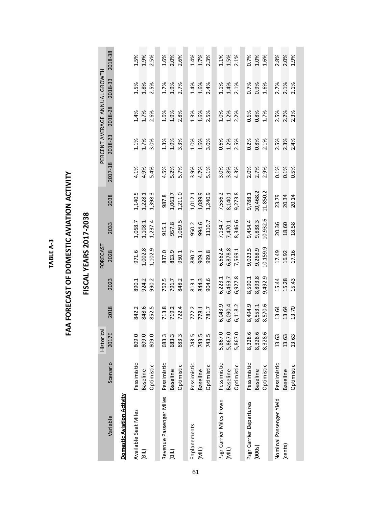| ¢ |  |
|---|--|
| ξ |  |
|   |  |
|   |  |
|   |  |
| ż |  |
|   |  |
|   |  |

## FAA FORECAST OF DOMESTIC AVIATION ACTIVITY **FAA FORECAST OF DOMESTIC AVIATION ACTIVITY**

|                                   |                 | Historical         |                |         | FORECAST |          |          |         | PERCENT AVERAGE ANNUAL GROWTH |         |         |         |
|-----------------------------------|-----------------|--------------------|----------------|---------|----------|----------|----------|---------|-------------------------------|---------|---------|---------|
| Variable                          | Scenario        | 2017E              | 2018           | 2023    | 2028     | 2033     | 2038     | 2017-18 | 2018-23                       | 2018-28 | 2018-33 | 2018-38 |
| <b>Domestic Aviation Activity</b> |                 |                    |                |         |          |          |          |         |                               |         |         |         |
| Available Seat Miles              | Pessimistic     | 809.0              | 842.2          | 890.1   | 971.6    | 1,058.7  | 1,140.5  | 4.1%    | 1.1%                          | 1.4%    | 1.5%    | 1.5%    |
| $\overline{B}$                    | <b>Baseline</b> | 809.0              | 848.6          | 924.2   | 1,002.8  | 1,108.1  | 1,228.1  | 4.9%    | 1.7%                          | 1.7%    | 1.8%    | 1.9%    |
|                                   | Optimistic      | 809.0              | 852.5          | 990.2   | 1,102.9  | 1,237.4  | 1,398.3  | 5.4%    | 3.0%                          | 2.6%    | 2.5%    | 2.5%    |
|                                   |                 |                    |                |         |          |          |          |         |                               |         |         |         |
| Revenue Passenger Miles           | Pessimistic     | 683.3              | 713.8          | 762.5   | 837.0    | 915.1    | 987.8    | 4.5%    | 1.3%                          | 1.6%    | 1.7%    | 1.6%    |
| $\left($ BIL)                     | <b>Baseline</b> | 683.3              | 719.2          | 791.7   | 863.9    | 957.8    | 1,063.7  | 5.2%    | 1.9%                          | 1.9%    | 1.9%    | 2.0%    |
|                                   | Optimistic      | 683.3              | 722.4          | 848.2   | 950.1    | 1,069.5  | 1,211.0  | 5.7%    | 3.3%                          | 2.8%    | 2.7%    | 2.6%    |
|                                   |                 |                    |                |         |          |          |          |         |                               |         |         |         |
| Enplanements                      | Pessimistic     | 743.5              |                | 813.1   | 880.7    | 950.2    | 1,012.1  | 3.9%    | 1.0%                          | 1.3%    | 1.4%    | 1.4%    |
| $($ NIL)                          | <b>Baseline</b> | 743.5              | 772.2<br>778.1 | 844.3   | 909.1    | 994.6    | 1,089.9  | 4.7%    | 1.6%                          | 1.6%    | 1.6%    | 1.7%    |
|                                   | Optimistic      | 743.5              | 781.7          | 904.6   | 999.8    | 1110.7   | 1,240.9  | 5.1%    | 3.0%                          | 2.5%    | 2.4%    | 2.3%    |
|                                   |                 |                    |                |         |          |          |          |         |                               |         |         |         |
| Psgr Carrier Miles Flown          | Pessimistic     | 5,867.0            | 6,043.9        | 6,223.1 | 6,662.4  | 7,134.7  | 7,556.2  | 3.0%    | 0.6%                          | 1.0%    | 1.1%    | $1.1\%$ |
| (MIL)                             | <b>Baseline</b> | 5,867.0            | 6,090.4        | 6,463.7 | 6,878.8  | 7,470.1  | 8,140.1  | 3.8%    | 1.2%                          | 1.2%    | 1.4%    | 1.5%    |
|                                   | Optimistic      | 5,867.0            | 6,118.2        | 6,927.8 | 7,569.1  | 8,346.6  | 9,273.8  | 4.3%    | 2.5%                          | 2.2%    | 2.1%    | 2.1%    |
|                                   |                 |                    |                |         |          |          |          |         |                               |         |         |         |
| Psgr Carrier Departures           | Pessimistic     | 8,328.6<br>8,328.6 | 8,494.9        | 8,590.1 | 9,023.5  | 9,454.4  | 9,788.1  | 2.0%    | 0.2%                          | 0.6%    | 0.7%    | 0.7%    |
| (000s)                            | <b>Baseline</b> |                    | 8,553.1        | 8,893.8 | 9,268.9  | 9,838.3  | 10,468.2 | 2.7%    | 0.8%                          | 0.8%    | 0.9%    | 1.0%    |
|                                   | Optimistic      | ιn<br>8,328.6      | 8,570.6        | 9,492.9 | 10,159.9 | 10,932.6 | 11,850.2 | 2.9%    | 2.1%                          | 1.7%    | 1.6%    | 1.6%    |
|                                   |                 |                    |                |         |          |          |          |         |                               |         |         |         |
| Nominal Passenger Yield           | Pessimistic     | 13.63              | 13.64          | 15.44   | 17.49    | 20.36    | 23.79    | 0.1%    | 2.5%                          | 2.5%    | 2.7%    | 2.8%    |
| (cents)                           | <b>Baseline</b> | 13.63              | 13.64          | 15.28   | 16.92    | 18.60    | 20.34    | 0.1%    | 2.3%                          | 2.2%    | 2.1%    | 2.0%    |
|                                   | Optimistic      | 13.63              | 13.70          | 15.43   | 17.16    | 18.58    | 20.14    | 0.5%    | 2.4%                          | 2.3%    | 2.1%    | 1.9%    |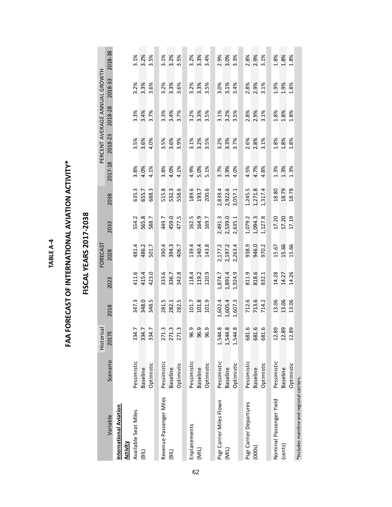TABLE A-4 **TABLE A-4**

## **FAA FORECAST OF INTERNATIONAL AVIATION ACTIVITY\* FAA FORECAST OF INTERNATIONAL AVIATION ACTIVITY\***

|                                           |             |                         |         |         | FORECAST |         |         |         | PERCENT AVERAGE ANNUAL GROWTH |         |         |         |
|-------------------------------------------|-------------|-------------------------|---------|---------|----------|---------|---------|---------|-------------------------------|---------|---------|---------|
| Variable                                  | Scenario    | Historical<br>2017E     | 2018    | 2023    | 2028     | 2033    | 2038    | 2017-18 | 2018-23                       | 2018-28 | 2018-33 | 2018-38 |
| International Aviation<br><b>Activity</b> |             |                         |         |         |          |         |         |         |                               |         |         |         |
| Available Seat Miles                      | Pessimistic |                         | 347.3   | 411.6   | 481.4    | 554.2   | 635.3   | 3.8%    | 3.5%                          | 3.3%    | 3.2%    | 3.1%    |
| (BIL)                                     | Baseline    | 334.7<br>334.7<br>334.7 | 348.0   | 415.4   | 486.2    | 565.8   | 655.7   | 4.0%    | 3.6%                          | 3.4%    | 3.3%    | 3.2%    |
|                                           | Optimistic  |                         | 348.5   | 423.0   | 501.7    | 588.7   | 688.3   | 4.1%    | 4.0%                          | 3.7%    | 3.6%    | 3.5%    |
|                                           |             |                         |         |         |          |         |         |         |                               |         |         |         |
| Revenue Passenger Miles                   | Pessimistic | 271.3                   | 281.5   | 333.6   | 390.4    | 449.7   | 515.8   | 3.8%    | 3.5%                          | 3.3%    | 3.2%    | 3.1%    |
| $\overline{B}$                            | Baseline    | <u>ن</u> .<br>271       | 282.1   | 336.7   | 394.3    | 459.0   | 532.3   | 4.0%    | 3.6%                          | 3.4%    | 3.3%    | 3.2%    |
|                                           | Optimistic  | m<br>271                | 282.5   | 342.8   | 406.7    | 477.5   | 558.6   | 4.1%    | 3.9%                          | 3.7%    | 3.6%    | 3.5%    |
|                                           |             |                         |         |         |          |         |         |         |                               |         |         |         |
| Enplanements                              | Pessimistic | 96.9                    | 101.7   | 118.4   | 139.4    | 162.5   | 189.6   | 4.9%    | 3.1%                          | 3.2%    | 3.2%    | 3.2%    |
| (MIL)                                     | Baseline    | 96.9                    | 101.8   | 119.2   | 140.4    | 164.9   | 193.7   | 5.0%    | 3.2%                          | 3.3%    | 3.3%    | 3.3%    |
|                                           | Optimistic  | თ.<br>96                | 101.9   | 120.9   | 143.8    | 169.7   | 200.6   | 5.1%    | 3.5%                          | 3.5%    | 3.5%    | 3.4%    |
|                                           |             |                         |         |         |          |         |         |         |                               |         |         |         |
| Psgr Carrier Miles Flown                  | Pessimistic | œ<br>1,544              | 1,602.4 | 1,874.7 | 2,177.2  | 2,491.3 | 2,839.4 | 3.7%    | 3.2%                          | 3.1%    | 3.0%    | 2.9%    |
| (MIL)                                     | Baseline    | $\ddot{\circ}$<br>1,544 | 1,605.4 | 1,891.4 | 2,197.2  | 2,539.0 | 2,922.6 | 3.9%    | 3.3%                          | 3.2%    | 3.1%    | 3.0%    |
|                                           | Optimistic  | œ<br>1,544              | 1,607.3 | 1,924.9 | 2,263.4  | 2,635.1 | 3,057.1 | 4.0%    | 3.7%                          | 3.5%    | 3.4%    | 3.3%    |
|                                           |             |                         |         |         |          |         |         |         |                               |         |         |         |
| Psgr Carrier Departures                   | Pessimistic | ٳڢ<br>681               | 712.6   | 811.9   | 938.9    | 1,079.2 | 1,245.5 | 4.5%    | 2.6%                          | 2.8%    | 2.8%    | 2.8%    |
| (000s)                                    | Baseline    | ڣ<br>681                | 713.6   | 818.6   | 946.0    | 1,094.3 | 1,271.8 | 4.7%    | 2.8%                          | 2.9%    | 2.9%    | 2.9%    |
|                                           | Optimistic  | ې<br>681                | 714.2   | 832.1   | 970.2    | 1,127.8 | 1,317.4 | 4.8%    | 3.1%                          | 3.1%    | 3.1%    | 3.1%    |
|                                           |             |                         |         |         |          |         |         |         |                               |         |         |         |
| Nominal Passenger Yield                   | Pessimistic | 12.89                   | 13.06   | 14.28   | 15.67    | 17.20   | 18.80   | 1.3%    | 1.8%                          | 1.8%    | 1.9%    | 1.8%    |
| (cents)                                   | Baseline    | 12.89                   | 13.06   | 14.27   | 15.66    | 17.20   | 18.79   | 1.3%    | 1.8%                          | 1.8%    | 1.9%    | 1.8%    |
|                                           | Optimistic  | 12.89                   | 13.06   | 14.26   | 15.66    | 17.19   | 18.78   | 1.3%    | 1.8%                          | 1.8%    | 1.8%    | 1.8%    |
| *Includes mainline and regional carriers. |             |                         |         |         |          |         |         |         |                               |         |         |         |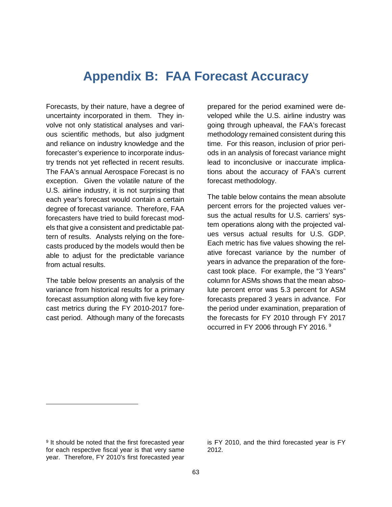### **Appendix B: FAA Forecast Accuracy**

Forecasts, by their nature, have a degree of uncertainty incorporated in them. They involve not only statistical analyses and various scientific methods, but also judgment and reliance on industry knowledge and the forecaster's experience to incorporate industry trends not yet reflected in recent results. The FAA's annual Aerospace Forecast is no exception. Given the volatile nature of the U.S. airline industry, it is not surprising that each year's forecast would contain a certain degree of forecast variance. Therefore, FAA forecasters have tried to build forecast models that give a consistent and predictable pattern of results. Analysts relying on the forecasts produced by the models would then be able to adjust for the predictable variance from actual results.

The table below presents an analysis of the variance from historical results for a primary forecast assumption along with five key forecast metrics during the FY 2010-2017 forecast period. Although many of the forecasts

prepared for the period examined were developed while the U.S. airline industry was going through upheaval, the FAA's forecast methodology remained consistent during this time. For this reason, inclusion of prior periods in an analysis of forecast variance might lead to inconclusive or inaccurate implications about the accuracy of FAA's current forecast methodology.

The table below contains the mean absolute percent errors for the projected values versus the actual results for U.S. carriers' system operations along with the projected values versus actual results for U.S. GDP. Each metric has five values showing the relative forecast variance by the number of years in advance the preparation of the forecast took place. For example, the "3 Years" column for ASMs shows that the mean absolute percent error was 5.3 percent for ASM forecasts prepared 3 years in advance. For the period under examination, preparation of the forecasts for FY 2010 through FY 2017 occurred in FY 2006 through FY 2016.<sup>[9](#page-64-0)</sup>

 $\overline{a}$ 

is FY 2010, and the third forecasted year is FY 2012.

<span id="page-64-0"></span><sup>&</sup>lt;sup>9</sup> It should be noted that the first forecasted year for each respective fiscal year is that very same year. Therefore, FY 2010's first forecasted year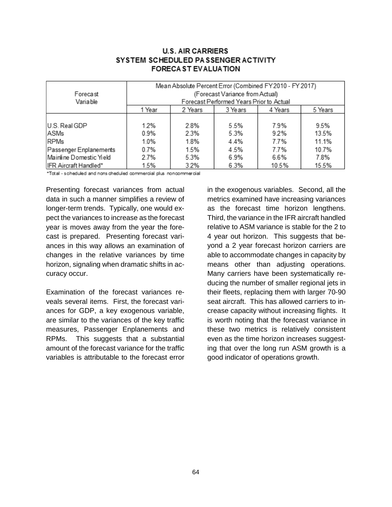### **U.S. AIR CARRIERS** SYSTEM SCHEDULED PASSENGER ACTIVITY **FORECA ST EVALUATION**

| Forecast<br>Variable    |        | Mean Absolute Percent Error (Combined FY2010 - FY2017) | (Forecast Variance from Actual)<br>Forecast Performed Years Prior to Actual |         |         |
|-------------------------|--------|--------------------------------------------------------|-----------------------------------------------------------------------------|---------|---------|
|                         | 1 Year | 2 Years                                                | 3 Years                                                                     | 4 Years | 5 Years |
| U.S. Real GDP           | 1.2%   | 2.8%                                                   | 5.5%                                                                        | 7.9%    | 9.5%    |
| ASMs                    | 0.9%   | 2.3%                                                   | 5.3%                                                                        | 9.2%    | 13.5%   |
| <b>RPMs</b>             | 1.0%   | 1.8%                                                   | 4.4%                                                                        | 7.7%    | 11.1%   |
| Passenger Enplanements  | 0.7%   | 1.5%                                                   | 4.5%                                                                        | 7.7%    | 10.7%   |
| Mainline Domestic Yield | 2.7%   | 5.3%                                                   | 6.9%                                                                        | 6.6%    | 7.8%    |
| IFR Aircraft Handled*   | 1.5%   | 3.2%                                                   | 6.3%                                                                        | 10.5%   | 15.5%   |

\*Total - scheduled and nons cheduled commercial plus noncommercial

Presenting forecast variances from actual data in such a manner simplifies a review of longer-term trends. Typically, one would expect the variances to increase as the forecast year is moves away from the year the forecast is prepared. Presenting forecast variances in this way allows an examination of changes in the relative variances by time horizon, signaling when dramatic shifts in accuracy occur.

Examination of the forecast variances reveals several items. First, the forecast variances for GDP, a key exogenous variable, are similar to the variances of the key traffic measures, Passenger Enplanements and RPMs. This suggests that a substantial amount of the forecast variance for the traffic variables is attributable to the forecast error

in the exogenous variables. Second, all the metrics examined have increasing variances as the forecast time horizon lengthens. Third, the variance in the IFR aircraft handled relative to ASM variance is stable for the 2 to 4 year out horizon. This suggests that beyond a 2 year forecast horizon carriers are able to accommodate changes in capacity by means other than adjusting operations. Many carriers have been systematically reducing the number of smaller regional jets in their fleets, replacing them with larger 70-90 seat aircraft. This has allowed carriers to increase capacity without increasing flights. It is worth noting that the forecast variance in these two metrics is relatively consistent even as the time horizon increases suggesting that over the long run ASM growth is a good indicator of operations growth.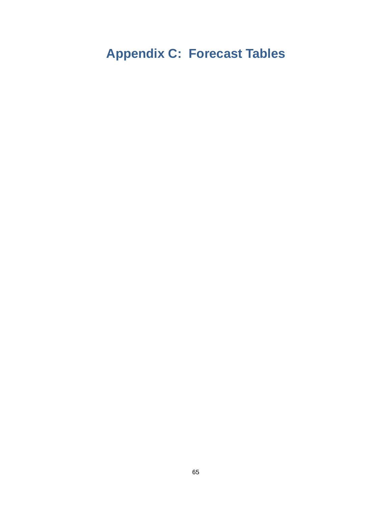### **Appendix C: Forecast Tables**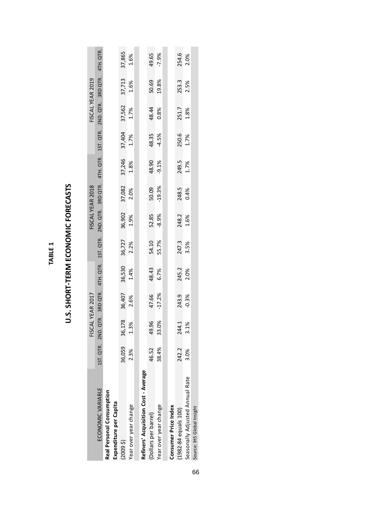|                                      |        |                              | FISCAL YEAR 2017 |        |                     |         | FISCAL YEAR 2018   |         |         |                                     | FISCAL YEAR 2019 |           |
|--------------------------------------|--------|------------------------------|------------------|--------|---------------------|---------|--------------------|---------|---------|-------------------------------------|------------------|-----------|
| ECONOMIC VARIABLE                    |        | 1ST. QTR. 2ND. QTR. 3RD QTR. |                  |        | 4TH. QTR. 1ST. QTR. |         | 2ND. QTR. 3RD QTR. |         |         | 4TH QTR. 1ST QTR. 2ND QTR. 3RD QTR. |                  | 4TH. QTR. |
| Real Personal Consumption            |        |                              |                  |        |                     |         |                    |         |         |                                     |                  |           |
| Expenditure per Capita               |        |                              |                  |        |                     |         |                    |         |         |                                     |                  |           |
| (20095)                              | 36,059 | 36,178                       | 36,407           | 36,530 | 36,727              | 36,902  | 37,082             | 37,246  | 37,404  | 37,562                              | 37,713           | 37,865    |
| Year over year change                | 2.3%   | 1.3%                         | 2.6%             | 1.4%   | 2.2%                | 1.9%    | 2.0%               | 1.8%    | 1.7%    | 1.7%                                | 1.6%             | 1.6%      |
|                                      |        |                              |                  |        |                     |         |                    |         |         |                                     |                  |           |
| Refiners' Acquisition Cost - Average |        |                              |                  |        |                     |         |                    |         |         |                                     |                  |           |
| (Dollars per barrel)                 | 46.52  | 49.96                        | 47.66            | 48.43  | 54.10               | 52.85   | 50.09              | 48.90   | 48.35   | 48.44                               | 50.69            | 49.65     |
| Year over year change                | 38.4%  | 33.0%                        | $-17.2%$         | 6.7%   | 55.7%               | $-8.9%$ | $-19.3%$           | $-9.1%$ | $-4.5%$ | 0.8%                                | 19.8%            | $-7.9%$   |
|                                      |        |                              |                  |        |                     |         |                    |         |         |                                     |                  |           |
| Consumer Price Index                 |        |                              |                  |        |                     |         |                    |         |         |                                     |                  |           |
| (1982-84 equals 100)                 | 242.2  | 244.1                        | 243.9            | 245.2  | 247.3               | 248.2   | 248.5              | 249.5   | 250.6   | 251.7                               | 253.3            | 254.6     |
| Seasonally Adjusted Annual Rate      | 3.0%   | 3.1%                         | $-0.3%$          | 2.0%   | 3.5%                | 1.6%    | 0.4%               | 1.7%    | 1.7%    | 1.8%                                | 2.5%             | 2.0%      |
| Source: IHS Global Insight           |        |                              |                  |        |                     |         |                    |         |         |                                     |                  |           |

U.S. SHORT-TERM ECONOMIC FORECASTS **U.S. SHORT-TERM ECONOMIC FORECASTS**

**TABLE 1**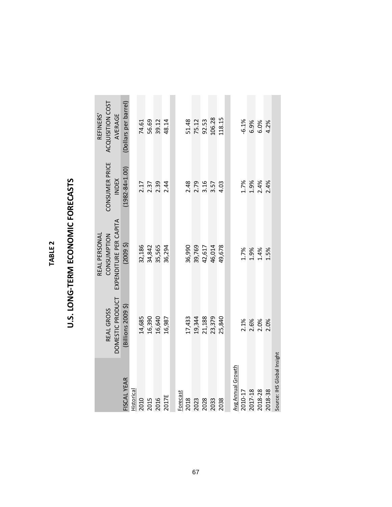| 、 |  |
|---|--|
|   |  |
| ŋ |  |
| ø |  |
|   |  |

### U.S. LONG-TERM ECONOMIC FORECASTS **U.S. LONG-TERM ECONOMIC FORECASTS**

|                            |                                        | REAL PERSONAL                         |                                | REFINERS'                   |
|----------------------------|----------------------------------------|---------------------------------------|--------------------------------|-----------------------------|
|                            | <b>REAL GROSS</b>                      | EXPENDITURE PER CAPITA<br>CONSUMPTION | CONSUMER PRICE<br><b>INDEX</b> | ACQUISITION COST<br>AVERAGE |
| <b>FISCAL YEAR</b>         | DOMESTIC PRODUCT<br>(Billions 2009 \$) | (20095)                               | $(1982 - 84 = 1.00)$           | (Dollars per barrel)        |
| <b>Historical</b>          |                                        |                                       |                                |                             |
| 2010                       | 14,685                                 | 32,186                                |                                | 74.61                       |
|                            | 16,390                                 | 34,842                                |                                | 56.69                       |
| 2015<br>2016               | 16,640                                 | 35,565                                | 2.17<br>2.37<br>2.34           | 39.12                       |
| 2017E                      | 16,987                                 | 36,294                                |                                | 48.14                       |
|                            |                                        |                                       |                                |                             |
| Forecast                   |                                        |                                       |                                |                             |
| 2018                       | 17,433                                 | 36,990                                |                                |                             |
| 2023                       | 19,344                                 | 39,769                                | 2.48<br>2.79<br>3.16           | 51.48<br>75.12              |
| 2028                       | 21,188                                 | 42,617                                |                                | 92.53                       |
| 2033                       | 23,379                                 | 46,014                                | 3.57                           | 106.28                      |
| 2038                       | 25,840                                 | 49,678                                | 4.03                           | 118.15                      |
|                            |                                        |                                       |                                |                             |
| <b>Avg Annual Growth</b>   |                                        |                                       |                                |                             |
| 2010-17                    | 2.1%                                   | 1.7%                                  | 1.7%                           | $-6.1%$                     |
| 2017-18                    | 2.6%                                   | 1.9%                                  | 1.9%                           | 6.9%                        |
| 2018-28                    | 2.0%                                   | 1.4%                                  | 2.4%                           | 6.0%                        |
| 2018-38                    | 2.0%                                   | 1.5%                                  | 2.4%                           | 4.2%                        |
| Source: IHS Global Insight |                                        |                                       |                                |                             |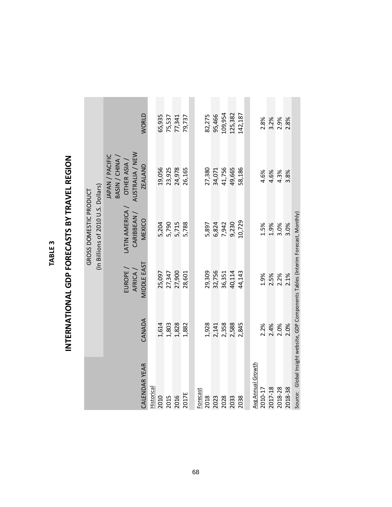| m       |  |
|---------|--|
| ш.<br>I |  |
| n       |  |
| ø       |  |

## INTERNATIONAL GDP FORECASTS BY TRAVEL REGION **INTERNATIONAL GDP FORECASTS BY TRAVEL REGION**

|                                                              | <b>WORLD</b>                                                                        |            | 65,935 | 75,537 | 77,341 | 79,737 |          | 82,275 | 95,466 | 109,954 | 125,382 | 142,187 |                   | 2.8%    | 3.2%    | 2.9%    | 2.8%    |  |
|--------------------------------------------------------------|-------------------------------------------------------------------------------------|------------|--------|--------|--------|--------|----------|--------|--------|---------|---------|---------|-------------------|---------|---------|---------|---------|--|
|                                                              |                                                                                     |            |        |        |        |        |          |        |        |         |         |         |                   |         |         |         |         |  |
|                                                              | AUSTRALIA / NEW<br>JAPAN / PACIFIC<br>BASIN / CHINA<br>OTHER ASIA<br><b>ZEALAND</b> |            | 19,056 | 23,925 | 24,978 | 26,165 |          | 27,380 | 34,071 | 41,756  | 49,665  | 58,186  |                   | 4.6%    | 4.6%    | 4.3%    | 3.8%    |  |
| (In Billions of 2010 U.S. Dollars)<br>GROSS DOMESTIC PRODUCT | LATIN AMERICA,<br>CARIBBEAN<br>MEXICO                                               |            | 5,204  | 5,790  | 5,715  | 5,788  |          | 5,897  | 6,824  | 7,942   | 9,230   | 10,729  |                   | 1.5%    | 1.9%    | 3.0%    | 3.0%    |  |
|                                                              | MIDDLE EAST<br>EUROPE<br>AFRICA /                                                   |            | 25,097 | 27,347 | 27,900 | 28,601 |          | 29,309 | 32,756 | 36,351  | 40,114  | 44,143  |                   | 1.9%    | 2.5%    | 2.2%    | 2.1%    |  |
|                                                              | CANADA                                                                              |            | 1,614  | 1,803  | 1,828  | 1,882  |          | 1,928  | 2,141  | 2,358   | 2,588   | 2,845   |                   | 2.2%    | 2.4%    | 2.0%    | 2.0%    |  |
|                                                              | CALENDAR YEAR                                                                       | Historical | 2010   | 2015   | 2016   | 2017E  | Forecast | 2018   | 2023   | 2028    | 2033    | 2038    | Avg Annual Growth | 2010-17 | 2017-18 | 2018-28 | 2018-38 |  |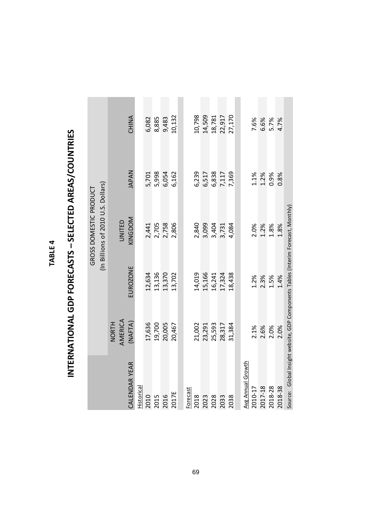| ٠      |  |
|--------|--|
| L<br>I |  |
| г      |  |
|        |  |
|        |  |

# INTERNATIONAL GDP FORECASTS - SELECTED AREAS/COUNTRIES **INTERNATIONAL GDP FORECASTS – SELECTED AREAS/COUNTRIES**

|                                                                                   |                         |          | (In Billions of 2010 U.S. Dollars)<br>GROSS DOMESTIC PRODUCT |              |              |
|-----------------------------------------------------------------------------------|-------------------------|----------|--------------------------------------------------------------|--------------|--------------|
|                                                                                   | AMERICA<br><b>NORTH</b> |          | UNITED                                                       |              |              |
| CALENDAR YEAR                                                                     | (MATA)                  | EUROZONE | KINGDOM                                                      | <b>JAPAN</b> | <b>CHINA</b> |
| Historical                                                                        |                         |          |                                                              |              |              |
| 2010                                                                              | 17,636                  | 12,634   | 2,441                                                        | 5,701        | 6,082        |
| 2015                                                                              | 19,700                  | 13,136   | 2,705                                                        | 5,998        | 8,885        |
| 2016                                                                              | 20,005                  | 13,370   | 2,758                                                        | 6,054        | 9,483        |
| 2017E                                                                             | 20,467                  | 13,702   | 2,806                                                        | 6,162        | 10,132       |
|                                                                                   |                         |          |                                                              |              |              |
| Forecast                                                                          |                         |          |                                                              |              |              |
| 2018                                                                              | 21,002                  | 14,019   | 2,840                                                        | 6,239        | 10,798       |
| 2023                                                                              | 23,291                  | 15,166   | 3,099                                                        | 6,517        | 14,509       |
| 2028                                                                              | 25,593                  | 16,241   | 3,404                                                        | 6,838        | 18,781       |
| 2033                                                                              | 28,317                  | 17,324   | 3,731                                                        | 7,117        | 22,917       |
| 2038                                                                              | 31,384                  | 18,438   | 4,084                                                        | 7,369        | 27,170       |
|                                                                                   |                         |          |                                                              |              |              |
| Avg Annual Growth                                                                 |                         |          |                                                              |              |              |
| 2010-17                                                                           | 2.1%                    | 1.2%     | 2.0%                                                         | 1.1%         | 7.6%         |
| 2017-18                                                                           | 2.6%                    | 2.3%     | 1.2%                                                         | 1.2%         | 6.6%         |
| 2018-28                                                                           | 2.0%                    | 1.5%     | 1.8%                                                         | 0.9%         | 5.7%         |
| 2018-38                                                                           | 2.0%                    | 1.4%     | 1.8%                                                         | 0.8%         | 4.7%         |
| Source: Global Insight website, GDP Components Tables (Interim Forecast, Monthly) |                         |          |                                                              |              |              |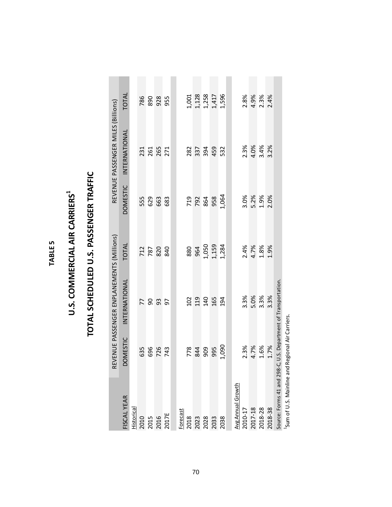| ഥ      |  |
|--------|--|
| ய<br>- |  |
| ≃      |  |
| ₫<br>н |  |
|        |  |

### U.S. COMMERCIAL AIR CARRIERS<sup>1</sup> **U.S. COMMERCIAL AIR CARRIERS1**

## TOTAL SCHEDULED U.S. PASSENGER TRAFFIC **TOTAL SCHEDULED U.S. PASSENGER TRAFFIC**

|                                                 |              | REVENUE PASSENGER ENPLANEMENTS (Millions) |                |                 | REVENUE PASSENGER MILES (Billions) |                                           |
|-------------------------------------------------|--------------|-------------------------------------------|----------------|-----------------|------------------------------------|-------------------------------------------|
| <b>ISCAL YEAR</b>                               | OMESTIC<br>≏ | INTERNATIONAL                             | <b>TOTAL</b>   | <b>DOMESTIC</b> | INTERNATIONAL                      | TOTAL                                     |
| <b>Historical</b>                               |              |                                           |                |                 |                                    |                                           |
| 2010<br>2015<br>2016<br>2017E                   | 635          | 77                                        |                | 555             |                                    | 786                                       |
|                                                 |              | $\mathsf{SO}$                             | 712<br>787     | 629             |                                    | 890                                       |
|                                                 | 696<br>726   | 93                                        | 820            | 663             | 231<br>261<br>265                  | 928                                       |
|                                                 | 743          | 5                                         | 840            | 683             | 271                                | 955                                       |
|                                                 |              |                                           |                |                 |                                    |                                           |
| Forecast                                        |              |                                           |                |                 |                                    |                                           |
|                                                 |              |                                           | 880            |                 |                                    |                                           |
| 2018<br>2023                                    | 778<br>844   | 102<br>119                                | 964            | 719<br>792      | 282<br>337                         |                                           |
|                                                 | 909          |                                           |                |                 | 394<br>459                         |                                           |
| 2028<br>2033<br>2038                            | 995          | 140<br>165                                | 1,050<br>1,159 | 864<br>958      |                                    | 1,001<br>1,128<br>1,258<br>1,596<br>1,596 |
|                                                 | 1,090        | 194                                       | 1,284          | 1,064           | 532                                |                                           |
|                                                 |              |                                           |                |                 |                                    |                                           |
| Avg Annual Growth                               |              |                                           |                |                 |                                    |                                           |
| 2010-17                                         |              | 3.3%                                      | 2.4%           | 3.0%            | 2.3%                               | 2.8%                                      |
| 2017-18<br>2018-28                              | 2.3%<br>4.7% | 5.0%                                      | 4.7%           | 5.2%<br>1.9%    | 4.0%                               |                                           |
|                                                 | 1.6%         | 3.3%                                      | 1.8%           |                 | 3.4%                               | 4.9%<br>2.3%                              |
| 2018-38                                         | 1.7%         | 3.3%                                      | 1.9%           | 2.0%            | 3.2%                               | 2.4%                                      |
| Source: Forms 41 and 298-C,                     |              | U.S. Department of Transportation.        |                |                 |                                    |                                           |
| Sum of U.S. Mainline and Regional Air Carriers. |              |                                           |                |                 |                                    |                                           |

70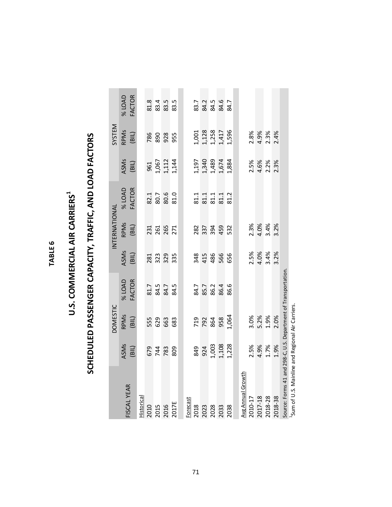## U.S. COMMERCIAL AIR CARRIERS<sup>1</sup> **U.S. COMMERCIAL AIR CARRIERS1**

# SCHEDULED PASSENGER CAPACITY, TRAFFIC, AND LOAD FACTORS **SCHEDULED PASSENGER CAPACITY, TRAFFIC, AND LOAD FACTORS**

|                                                                |                                       | <b>DOMESTIC</b>   |                      |                      | INTERNATIONAL |                              |                                           | SYSTEM                                    |               |
|----------------------------------------------------------------|---------------------------------------|-------------------|----------------------|----------------------|---------------|------------------------------|-------------------------------------------|-------------------------------------------|---------------|
| <b>FISCAL YEAR</b>                                             | ASMs                                  | <b>RPMS</b>       | <b>% LOAD</b>        | ASMs                 | <b>RPMS</b>   | <b>% LOAD</b>                | ASMs                                      | RPMs                                      | <b>% LOAD</b> |
| Historical                                                     | (BIL)                                 | (BIL)             | <b>FACTOR</b>        | (BIL)                | (BIL)         | <b>FACTOR</b>                | (BIL)                                     | (BIL)                                     | <b>FACTOR</b> |
| 2010                                                           |                                       | 555               |                      | 281                  | 231           |                              | 961                                       | 786                                       | 81.8          |
|                                                                | 674<br>783<br>783                     |                   |                      | 323<br>329           |               |                              |                                           |                                           |               |
| 2015<br>2016<br>2017E                                          |                                       | 629<br>663        | 81.7<br>84.5<br>84.7 |                      | 261           | 82.1<br>80.7<br>80.6<br>81.0 | 1,067<br>1,112<br>1,144                   | 890<br>928                                | 83.5<br>83.5  |
|                                                                | 809                                   | 683               | 84.5                 | 335                  | 271           |                              |                                           | 955                                       | 83.5          |
|                                                                |                                       |                   |                      |                      |               |                              |                                           |                                           |               |
| Forecast<br>2018                                               |                                       |                   |                      |                      |               |                              |                                           |                                           | 83.7          |
| 2023                                                           | 849<br>924<br>1,003<br>1,108<br>1,228 | 792<br>792<br>958 | 84.7<br>85.7<br>86.2 | 345<br>486<br>566    | 282<br>337    | 81.1<br>81.1<br>81.1         | 1,197<br>1,340<br>1,489<br>1,674<br>1,884 | 1,001<br>1,128<br>1,258<br>1,596<br>1,596 |               |
| 2028                                                           |                                       |                   |                      |                      | 394           |                              |                                           |                                           | 84.5<br>84.5  |
|                                                                |                                       |                   | 86.4                 |                      | 459           |                              |                                           |                                           | 84.6          |
| 2038                                                           |                                       | 1,064             | 86.6                 | 656                  | 532           | 81.2                         |                                           |                                           | 84.7          |
|                                                                |                                       |                   |                      |                      |               |                              |                                           |                                           |               |
| Avg Annual Growth                                              |                                       |                   |                      |                      |               |                              |                                           |                                           |               |
| 2010-17                                                        |                                       |                   |                      |                      |               |                              | 2.5%                                      |                                           |               |
| 2017-18                                                        | 2.5%<br>4.9%                          | 3.0%<br>5.2%      |                      | 2.5%<br>4.0%<br>3.4% | 2.3%<br>4.0%  |                              |                                           | 2.8%<br>4.9%<br>2.3%                      |               |
| 2018-28                                                        | 1.7%                                  | 1.9%              |                      |                      | 3.4%          |                              | 4.6%<br>2.2%                              |                                           |               |
| 2018-38                                                        | 1.9%                                  | 2.0%              |                      | 3.2%                 | 3.2%          |                              | 2.3%                                      | 2.4%                                      |               |
| Source: Forms 41 and 298-C, U.S. Department of Transportation. |                                       |                   |                      |                      |               |                              |                                           |                                           |               |
| <sup>1</sup> Sum of U.S. Mainline and Regional Air Carriers.   |                                       |                   |                      |                      |               |                              |                                           |                                           |               |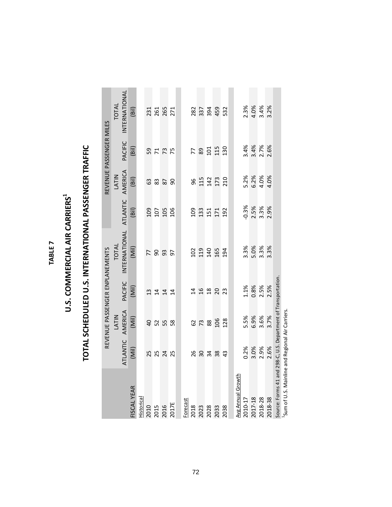## U.S. COMMERCIAL AIR CARRIERS<sup>1</sup> **U.S. COMMERCIAL AIR CARRIERS1**

# TOTAL SCHEDULED U.S. INTERNATIONAL PASSENGER TRAFFIC **TOTAL SCHEDULED U.S. INTERNATIONAL PASSENGER TRAFFIC**

|                                                               |                            | REVENUE PASSENGER ENPLANEMENTS |                 |                   |                  | REVENUE PASSENGER MILES |                           |               |
|---------------------------------------------------------------|----------------------------|--------------------------------|-----------------|-------------------|------------------|-------------------------|---------------------------|---------------|
|                                                               |                            | <b>LATIN</b>                   |                 | TOTAL             |                  | <b>LATIN</b>            |                           | TOTAL         |
|                                                               | <b>ATLANTIC</b>            | AMERICA                        | <b>PACIFIC</b>  | INTERNATIONAL     | <b>ATLANTIC</b>  | AMERICA                 | PACIFIC                   | INTERNATIONAL |
| FISCAL YEAR                                                   | (Mil)                      | (Mii)                          | (Mii)           | (Mii)             | (Bi)             | (Bil)                   | (Bil)                     | (Bil)         |
| Historical                                                    |                            |                                |                 |                   |                  |                         |                           |               |
|                                                               | 25                         | $\overline{a}$                 | 13              | 77                |                  | යි                      |                           |               |
|                                                               |                            | 52                             | $\overline{14}$ | 8 <sup>o</sup>    |                  | 83                      |                           | 231<br>261    |
| 2010<br>2015<br>2016<br>2017E                                 | 25<br>24<br>25             | 55 8                           | $\overline{1}$  | 93                | <b>e a a a a</b> | $\frac{8}{9}$           | <b>5775</b>               | 265           |
|                                                               |                            |                                | 14              | $\overline{9}$    |                  |                         |                           |               |
|                                                               |                            |                                |                 |                   |                  |                         |                           |               |
|                                                               |                            |                                |                 |                   |                  |                         |                           |               |
| Forecast<br>2018                                              |                            |                                |                 |                   |                  |                         |                           | 282           |
| 2023                                                          | 8<br>8<br>8<br>3<br>3<br>2 | <b>82</b><br>73<br>88          |                 | 102<br>119<br>140 |                  |                         |                           | 337           |
| 2028                                                          |                            |                                |                 |                   |                  |                         |                           | 394           |
| 2033                                                          | $\frac{8}{43}$             | 106                            | <b>258823</b>   | 165               |                  | <b>952220</b><br>952220 | $799$<br>$99119$<br>$130$ | 459           |
| 2038                                                          |                            | 128                            |                 | 194               | 192              |                         |                           | 532           |
|                                                               |                            |                                |                 |                   |                  |                         |                           |               |
| <b>Avg Annual Growth</b>                                      |                            |                                |                 |                   |                  |                         |                           |               |
| 2010-17                                                       | 0.2%                       | 5.5%                           | $1.1\%$         | 3.3%              | $-0.3%$          | 5.2%                    | 3.4%                      | 2.3%          |
| 2017-18                                                       | 3.0%                       | 6.9%                           | 0.8%            | 5.0%              | 2.5%             | 6.2%                    | 3.4%                      | 4.0%          |
| 2018-28                                                       | 2.9%                       | 3.6%                           | 2.5%            | 3.3%              | 3.3%             | 4.0%                    | 2.7%                      | 3.4%          |
| 2018-38                                                       | 2.6%                       | 3.7%                           | 2.5%            | 3.3%              | 2.9%             | 4.0%                    | 2.6%                      | 3.2%          |
| Source: Forms 41 and 298-C, U.S. Department of Transportation |                            |                                |                 |                   |                  |                         |                           |               |
| <sup>1</sup> Sum of U.S. Mainline and Regional Air Carriers.  |                            |                                |                 |                   |                  |                         |                           |               |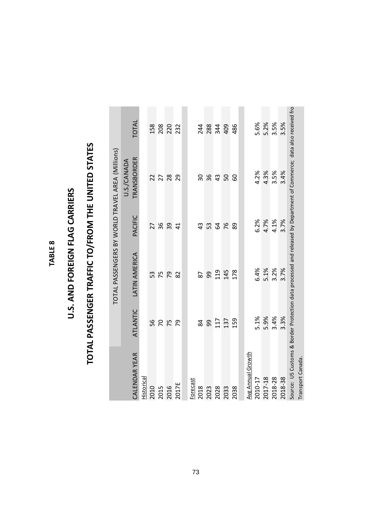## U.S. AND FOREIGN FLAG CARRIERS **U.S. AND FOREIGN FLAG CARRIERS**

# TOTAL PASSENGER TRAFFIC TO/FROM THE UNITED STATES **TOTAL PASSENGER TRAFFIC TO/FROM THE UNITED STATES**

|                      |                 | TOTAL PASSENGERS BY WORLD TRAVEL AREA (Millions)                                                                     |                |                                   |            |
|----------------------|-----------------|----------------------------------------------------------------------------------------------------------------------|----------------|-----------------------------------|------------|
| <b>CALENDAR YEAR</b> | <b>ATLANTIC</b> | LATIN AMERICA                                                                                                        | PACIFIC        | TRANSBORDER<br><b>J.S./CANADA</b> | TOTAL      |
| Historical           |                 |                                                                                                                      |                |                                   |            |
| 2010                 | 56              | 53                                                                                                                   | 27             | 22                                | 158        |
| 2015                 | $\overline{C}$  | 75                                                                                                                   | 36             | 27                                | 208        |
| 2016                 | 75              | 54                                                                                                                   | 39             | 28                                | 220        |
| 2017E                | 54              | 82                                                                                                                   | $\overline{4}$ | 29                                | 232        |
|                      |                 |                                                                                                                      |                |                                   |            |
| Forecast             |                 |                                                                                                                      |                |                                   |            |
| 2018                 | 84              | 87                                                                                                                   | 43             | 50                                |            |
| 2023                 | 99              | 99                                                                                                                   | 53             | 36                                | 244<br>288 |
| 2028                 | 117             | 119                                                                                                                  | $\mathfrak{A}$ | 43                                | 344        |
| 2033                 | 137             | 145                                                                                                                  | 76             | 50                                | 409        |
| 2038                 | 159             | 178                                                                                                                  | 89             | 60                                | 486        |
|                      |                 |                                                                                                                      |                |                                   |            |
| Avg Annual Growth    |                 |                                                                                                                      |                |                                   |            |
| 2010-17              | 5.1%            | 6.4%                                                                                                                 | 6.2%           | 4.2%                              | 5.6%       |
| 2017-18              | 5.9%            | 5.1%                                                                                                                 | 4.7%           | 4.3%                              | 5.2%       |
| 2018-28              | 3.4%            | 3.2%                                                                                                                 | 4.1%           | 3.5%                              | 3.5%       |
| 2018-38              | 3.3%            | 3.7%                                                                                                                 | 3.7%           | 3.4%                              | 3.5%       |
|                      |                 | Source: US Customs & Border Protection data processed and released by Department of Commerce; data also received fro |                |                                   |            |
| Transport Canada.    |                 |                                                                                                                      |                |                                   |            |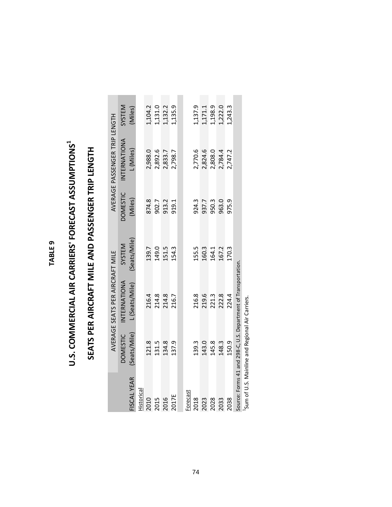# U.S. COMMERCIAL AIR CARRIERS' FORECAST ASSUMPTIONS<sup>1</sup> **U.S. COMMERCIAL AIR CARRIERS' FORECAST ASSUMPTIONS1**

# SEATS PER AIRCRAFT MILE AND PASSENGER TRIP LENGTH **SEATS PER AIRCRAFT MILE AND PASSENGER TRIP LENGTH**

|                                                                                                                                                                                                                                                                                                                     |                 | AVERAGE SEATS PER AIRCRAFT MILE                                |                         |                         | AVERAGE PASSENGER TRIP LENGTH |                                              |
|---------------------------------------------------------------------------------------------------------------------------------------------------------------------------------------------------------------------------------------------------------------------------------------------------------------------|-----------------|----------------------------------------------------------------|-------------------------|-------------------------|-------------------------------|----------------------------------------------|
|                                                                                                                                                                                                                                                                                                                     | <b>DOMESTIC</b> | INTERNATIONA                                                   | SYSTEM                  | <b>DOMESTIC</b>         | INTERNATIONA                  | SYSTEM                                       |
| <b>FISCAL YEAR</b>                                                                                                                                                                                                                                                                                                  | (Seats/Mile)    | L (Seats/Mile)                                                 | (Seats/Mile)            | (Miles)                 | L (Miles)                     | (Miles)                                      |
| Historical                                                                                                                                                                                                                                                                                                          |                 |                                                                |                         |                         |                               |                                              |
| 2010                                                                                                                                                                                                                                                                                                                | 121.8           | 216.4                                                          | 139.7                   |                         | 2,988.0                       |                                              |
| 2015                                                                                                                                                                                                                                                                                                                | 131.5           |                                                                |                         |                         | 2,892.6                       |                                              |
| 2016                                                                                                                                                                                                                                                                                                                | 134.8           | 214.8<br>214.8                                                 | 149.0<br>151.5          | 874.8<br>902.7<br>913.2 | 2,833.7                       | 1, 104.2<br>1, 131.0<br>1, 132.2<br>1, 135.9 |
| 2017E                                                                                                                                                                                                                                                                                                               | 137.9           | 216.7                                                          | 154.3                   | 919.1                   | 2,798.7                       |                                              |
|                                                                                                                                                                                                                                                                                                                     |                 |                                                                |                         |                         |                               |                                              |
| Forecast<br>2018                                                                                                                                                                                                                                                                                                    | 139.3           | 216.8                                                          | 155.5                   |                         | 2,770.6                       | 1,137.9                                      |
| 2023                                                                                                                                                                                                                                                                                                                | 143.0           | 219.6<br>221.3<br>222.8                                        | 160.3<br>164.1<br>167.2 | 924.3<br>937.7          | 2,824.6                       |                                              |
| 2028                                                                                                                                                                                                                                                                                                                | 145.8           |                                                                |                         | 950.3<br>963.0          | 2,808.0                       |                                              |
| 2033                                                                                                                                                                                                                                                                                                                | 148.3           |                                                                |                         |                         | 2,784.4                       | 1,171.1<br>1,198.9<br>1,222.0                |
| 2038                                                                                                                                                                                                                                                                                                                | 150.9           | 224.4                                                          | 170.3                   | 975.9                   | 2,747.2                       | 1,243.3                                      |
| $\frac{1}{2}$ $\frac{1}{2}$ $\frac{1}{2}$ $\frac{1}{2}$ $\frac{1}{2}$ $\frac{1}{2}$ $\frac{1}{2}$ $\frac{1}{2}$ $\frac{1}{2}$ $\frac{1}{2}$ $\frac{1}{2}$ $\frac{1}{2}$ $\frac{1}{2}$ $\frac{1}{2}$ $\frac{1}{2}$ $\frac{1}{2}$ $\frac{1}{2}$ $\frac{1}{2}$ $\frac{1}{2}$ $\frac{1}{2}$ $\frac{1}{2}$ $\frac{1}{2}$ | $\ddot{\cdot}$  | Source: Forms 41 and 298-C, U.S. Department of Transportation. |                         |                         |                               |                                              |

Sum of U.S. Mainline and Regional Air Carriers. 1Sum of U.S. Mainline and Regional Air Carriers.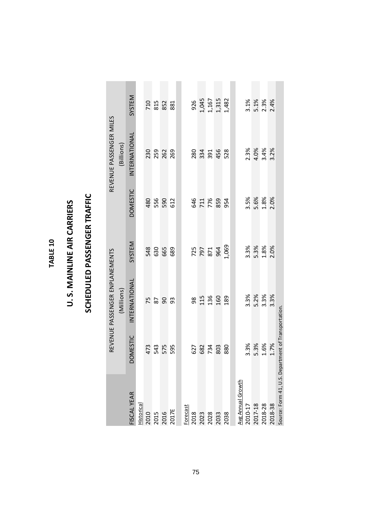**TABLE 10 TABLE 10**

### U.S. MAINLINE AIR CARRIERS **U. S. MAINLINE AIR CARRIERS**

## SCHEDULED PASSENGER TRAFFIC **SCHEDULED PASSENGER TRAFFIC**

|                                                                    |                 | REVENUE PASSENGER ENPLANEMENTS |            |                          | REVENUE PASSENGER MILES |                                         |
|--------------------------------------------------------------------|-----------------|--------------------------------|------------|--------------------------|-------------------------|-----------------------------------------|
|                                                                    |                 | (Millions)                     |            |                          | (Billions)              |                                         |
| <b>ISCALYEAR</b>                                                   | <b>DOMESTIC</b> | INTERNATIONAL                  | SYSTEM     | <b>DOMESTIC</b>          | INTERNATIONAL           | SYSTEM                                  |
| Historical                                                         |                 |                                |            |                          |                         |                                         |
|                                                                    | 473             |                                | 548        | 480                      |                         |                                         |
|                                                                    | 543<br>575      | <b>225</b>                     | 630        |                          |                         |                                         |
| $\begin{array}{r}\n 2010 \\  2015 \\  2016 \\  2017E\n\end{array}$ |                 |                                | 665        | 556<br>590               | 230<br>259<br>262       | 710<br>815<br>881<br>881                |
|                                                                    | 595             | 93                             | 689        | 612                      | 269                     |                                         |
|                                                                    |                 |                                |            |                          |                         |                                         |
| <b>Forecast</b>                                                    |                 |                                |            |                          |                         |                                         |
|                                                                    | 627             |                                |            |                          | 280                     |                                         |
| 2018<br>2023<br>2028<br>2033<br>2038                               | 682             | <b>83560</b><br>85560          | 725        | <b>858</b><br>858<br>854 | 334                     | 926<br>1,045<br>1,167<br>1,315<br>1,482 |
|                                                                    | 734<br>803      |                                | 871<br>964 |                          | 391                     |                                         |
|                                                                    |                 |                                |            |                          | 456                     |                                         |
|                                                                    | 880             | 189                            | 1,069      |                          | 528                     |                                         |
|                                                                    |                 |                                |            |                          |                         |                                         |
| <b>Avg Annual Growth</b>                                           |                 |                                |            |                          |                         |                                         |
| $2010 - 17$                                                        | 3.3%            |                                | 3.3%       | 3.5%                     |                         |                                         |
| 2017-18<br>2018-28<br>2018-38                                      | 5.3%            | 3.3%<br>5.2%<br>3.3%           | 5.3%       | 5.6%                     | 2.3%<br>4.0%            | $3.1%$<br>5.1%<br>2.3%                  |
|                                                                    | 1.6%            |                                | 1.8%       | 1.8%                     | 3.4%                    |                                         |
|                                                                    | 1.7%            | 3.3%                           | 2.0%       | 2.0%                     | 3.2%                    | 2.4%                                    |
| Source: Form 41, U.S. Department of Transportation.                |                 |                                |            |                          |                         |                                         |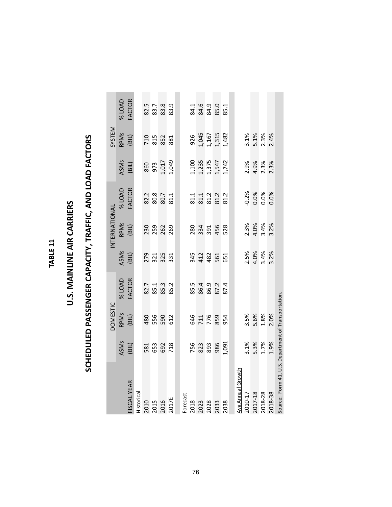#### TABLE<sub>11</sub> **TABLE 11**

### U.S. MAINLINE AIR CARRIERS **U.S. MAINLINE AIR CARRIERS**

# SCHEDULED PASSENGER CAPACITY, TRAFFIC, AND LOAD FACTORS **SCHEDULED PASSENGER CAPACITY, TRAFFIC, AND LOAD FACTORS**

|                                                     |                          | <b>DOMESTIC</b>          |                                          |                                 | INTERNATIONAL                |                              |                                           | SYSTEM                                  |               |
|-----------------------------------------------------|--------------------------|--------------------------|------------------------------------------|---------------------------------|------------------------------|------------------------------|-------------------------------------------|-----------------------------------------|---------------|
|                                                     |                          | <b>RPMS</b>              | <b>% LOAD</b>                            | ASMs                            |                              | <b>% LOAD</b>                | ASMs                                      |                                         | <b>% LOAD</b> |
| <b>FISCAL YEAR</b>                                  | ASMs<br>(BIL)            | (BIL)                    | <b>FACTOR</b>                            | (BIL)                           | RPMs<br>(BIL)                | <b>FACTOR</b>                | (BIL)                                     | RPMs<br>(BIL)                           | <b>FACTOR</b> |
| Historical                                          |                          |                          |                                          |                                 |                              |                              |                                           |                                         |               |
|                                                     |                          |                          |                                          |                                 |                              |                              |                                           |                                         |               |
|                                                     |                          |                          |                                          |                                 |                              |                              |                                           |                                         |               |
| 2010<br>2015<br>2016<br>2017E                       | 581<br>653<br>718        | 480<br>550<br>512        | 82.7<br>85.3<br>85.2                     | 279<br>321<br>325               | 230<br>259<br>269            | 82.3<br>80.3<br>80.7<br>81.1 | 860<br>973<br>1,017<br>1,049              | 710<br>815<br>881                       |               |
|                                                     |                          |                          |                                          |                                 |                              |                              |                                           |                                         |               |
|                                                     |                          |                          |                                          |                                 |                              |                              |                                           |                                         |               |
| <b>Forecast</b>                                     |                          |                          |                                          |                                 |                              |                              |                                           |                                         |               |
|                                                     |                          |                          |                                          |                                 |                              |                              |                                           |                                         |               |
| 2018<br>2023<br>2028<br>2033<br>2038                | <b>756</b><br>823<br>986 | 646<br>716<br>854<br>954 | 85 4 9 9 2 4<br>8 9 8 9 9 1<br>8 9 9 9 1 | 34 22 5<br>4 2 2 5 5<br>5 5 9 1 | 280<br>331<br>355<br>4528    | 81.1<br>81.2<br>81.2<br>81.2 | 1,100<br>1,235<br>1,375<br>1,547<br>1,742 | 926<br>1,045<br>1,167<br>1,315<br>1,482 | 33.38.38.3    |
|                                                     |                          |                          |                                          |                                 |                              |                              |                                           |                                         |               |
|                                                     |                          |                          |                                          |                                 |                              |                              |                                           |                                         |               |
|                                                     | 1,091                    |                          |                                          |                                 |                              |                              |                                           |                                         |               |
|                                                     |                          |                          |                                          |                                 |                              |                              |                                           |                                         |               |
| Avg Annual Growth                                   |                          |                          |                                          |                                 |                              |                              |                                           |                                         |               |
| 2010-17                                             |                          |                          |                                          |                                 |                              |                              |                                           |                                         |               |
| 2017-18                                             | 3.1%<br>5.3%<br>1.7%     | 3.5%<br>5.6%<br>1.8%     |                                          | 2.5%<br>4.0%<br>3.4%<br>3.2%    | 2.3%<br>4.0%<br>3.4%<br>3.2% | 0.2%<br>0.0%<br>0.0%         | 2.9%<br>4.9%<br>2.3%                      | 3.1%<br>5.1%<br>2.3%<br>2.4%            |               |
| 2018-28                                             |                          |                          |                                          |                                 |                              |                              |                                           |                                         |               |
| 2018-38                                             | 1.9%                     | 2.0%                     |                                          |                                 |                              | 0.0%                         | 2.3%                                      |                                         |               |
| Source: Form 41, U.S. Department of Transportation. |                          |                          |                                          |                                 |                              |                              |                                           |                                         |               |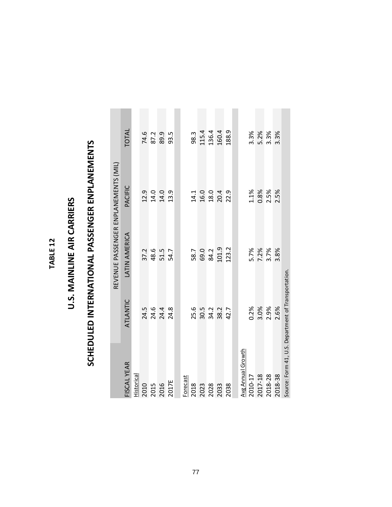#### TABLE 12 **TABLE 12**

### U.S. MAINLINE AIR CARRIERS **U.S. MAINLINE AIR CARRIERS**

# SCHEDULED INTERNATIONAL PASSENGER ENPLANEMENTS **SCHEDULED INTERNATIONAL PASSENGER ENPLANEMENTS**

**College** 

|                                                    |          | REVENUE PASSENGER ENPLANEMENTS (MIL) |              |       |
|----------------------------------------------------|----------|--------------------------------------|--------------|-------|
| FISCAL YEAR                                        | ATLANTIC | LATIN AMERICA                        | PACIFIC      | TOTAL |
| Historical                                         |          |                                      |              |       |
| 2010                                               | 24.5     | 37.2                                 | 12.9         | 74.6  |
| 2015                                               | 24.6     | 48.6                                 | 14.0         | 87.2  |
| 2016                                               | 24.4     | 51.5                                 | 14.0         | 89.9  |
| 2017E                                              | 24.8     | 54.7                                 | 13.9         | 93.5  |
|                                                    |          |                                      |              |       |
| Forecast                                           |          |                                      |              |       |
| 2018                                               | 25.6     | 58.7                                 | 14.1         | 98.3  |
| 2023                                               | 30.5     | 69.0                                 | 16.0         | 115.4 |
| 2028                                               | 34.2     | 84.2                                 |              | 136.4 |
| 2033                                               | 38.2     | 101.9                                | 18.0<br>20.4 | 160.4 |
| 2038                                               | 42.7     | 123.2                                | 22.9         | 188.9 |
|                                                    |          |                                      |              |       |
| <b>Avg Annual Growth</b>                           |          |                                      |              |       |
| 2010-17                                            | 0.2%     |                                      | 1.1%         | 3.3%  |
| 2017-18                                            | 3.0%     | 5.7%<br>7.2%                         | 0.8%         | 5.2%  |
| 2018-28                                            | 2.9%     | 3.7%                                 | 2.5%         | 3.3%  |
| 2018-38                                            | 2.6%     | 3.8%                                 | 2.5%         | 3.3%  |
| Source: Form 41, U.S. Department of Transportation |          |                                      |              |       |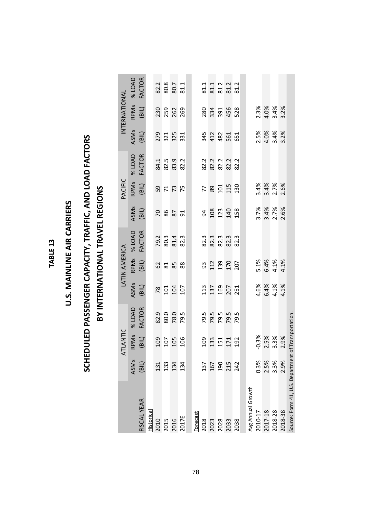#### TABLE<sub>13</sub> **TABLE 13**

### **U.S. MAINLINE AIR CARRIERS U.S. MAINLINE AIR CARRIERS**

### SCHEDULED PASSENGER CAPACITY, TRAFFIC, AND LOAD FACTORS **SCHEDULED PASSENGER CAPACITY, TRAFFIC, AND LOAD FACTORS** BY INTERNATIONAL TRAVEL REGIONS **BY INTERNATIONAL TRAVEL REGIONS**

|                                                    |                               | ATLANTIC       |                              |                                                | LATIN AMERICA             |                      |                              | PACIFIC                          |                                            |                              | INTERNATIONAL                    |                                         |
|----------------------------------------------------|-------------------------------|----------------|------------------------------|------------------------------------------------|---------------------------|----------------------|------------------------------|----------------------------------|--------------------------------------------|------------------------------|----------------------------------|-----------------------------------------|
|                                                    | ASMs                          |                | <b>4 LOAD</b>                | ASMs                                           |                           | % LOAD               | ASMs                         |                                  | <b>% LOAD</b>                              | ASMs                         |                                  | <b>24 LOAD</b>                          |
| <b>FISCAL YEAR</b>                                 | (BIL                          | RPMs<br>(BIL)  | <b>FACTOR</b>                | (BIL)                                          | RPM <sub>S</sub><br>(BIL) | <b>FACTOR</b>        | (BIL)                        | RPMs<br>(BIL)                    | <b>FACTOR</b>                              | (BIL)                        | RPMs<br>(BIL)                    | <b>FACTOR</b>                           |
| Historical                                         |                               |                |                              |                                                |                           |                      |                              |                                  |                                            |                              |                                  |                                         |
| 2010                                               |                               |                |                              |                                                |                           |                      |                              |                                  |                                            |                              |                                  |                                         |
|                                                    | 131<br>132<br>134             |                |                              |                                                |                           |                      | <b>282</b>                   |                                  |                                            |                              |                                  |                                         |
| 2015<br>2016                                       |                               | <b>g b g g</b> | 82.9<br>80.0<br>79.5         | 8040                                           | 63588                     | 79.3<br>80.3<br>81.4 |                              | <b>3775</b>                      | 84.1<br>82.9<br>82.2                       | 273<br>325<br>335            | 230<br>259<br>269                | $2.3807$<br>$2.5087$<br>$2.503$         |
| 2017E                                              | 134                           |                |                              |                                                |                           | 82.3                 | 51                           |                                  |                                            |                              |                                  |                                         |
|                                                    |                               |                |                              |                                                |                           |                      |                              |                                  |                                            |                              |                                  |                                         |
| <b>Forecast</b>                                    |                               |                |                              |                                                |                           |                      |                              |                                  |                                            |                              |                                  |                                         |
| 2018                                               | 137                           |                |                              |                                                |                           |                      |                              |                                  |                                            |                              |                                  |                                         |
| 2023                                               | 167<br>190<br>215             |                |                              |                                                |                           |                      |                              |                                  |                                            |                              |                                  |                                         |
| 2028                                               |                               |                |                              |                                                |                           |                      |                              |                                  |                                            |                              |                                  |                                         |
| 2033                                               |                               | <b>985592</b>  | 79.5<br>79.5<br>79.7<br>79.5 | <b>359253</b>                                  | 313207<br>313207          | 8233333<br>823333    | 3 g g g g g                  | 789198                           | 82 2 3 2 3<br>8 8 8 8 9 2 3<br>8 9 8 9 8 9 | 342<br>482<br>551            | 280<br>331<br>4528<br>4528       | a 1 1 2 2 3<br>8 3 3 3 3 3<br>8 4 3 4 3 |
| 2038                                               | 242                           |                |                              |                                                |                           |                      |                              |                                  |                                            |                              |                                  |                                         |
|                                                    |                               |                |                              |                                                |                           |                      |                              |                                  |                                            |                              |                                  |                                         |
| <u>Avg Annual Growth</u>                           |                               |                |                              |                                                |                           |                      |                              |                                  |                                            |                              |                                  |                                         |
| 2010-17                                            |                               | $-0.3%$        |                              |                                                |                           |                      |                              |                                  |                                            |                              |                                  |                                         |
| 2017-18                                            | 0.3%<br>2.5%                  | 2.5%           |                              | $4.6%$<br>$4.3%$<br>$4.1%$<br>$4.1%$<br>$4.1%$ | 5.1%<br>6.4%<br>4.1%      |                      | 2.7%<br>3.4%<br>2.7%<br>2.6% | 8<br>8 8 8<br>9 8 8 8<br>9 8 8 8 |                                            | 2.5%<br>4.0%<br>4.4%<br>3.2% | 2.3%<br>0.4%<br>0.4 %<br>0.4 % % |                                         |
| 2018-28                                            | $\approx$<br>$3.\overline{3}$ | 3.3%           |                              |                                                |                           |                      |                              |                                  |                                            |                              |                                  |                                         |
| 2018-38                                            | 2.9%                          | 2.9%           |                              |                                                | 4.1%                      |                      |                              |                                  |                                            |                              |                                  |                                         |
| Source: Form 41, U.S. Department of Transportation |                               |                |                              |                                                |                           |                      |                              |                                  |                                            |                              |                                  |                                         |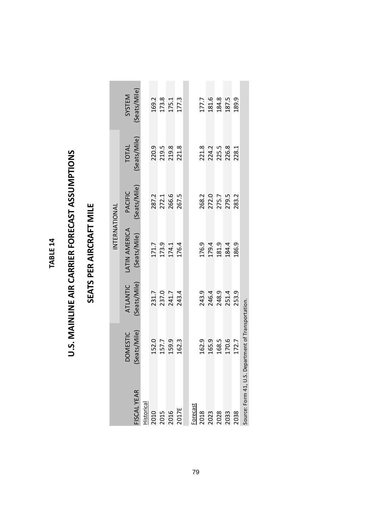#### TABLE 14 **TABLE 14**

# U.S. MAINLINE AIR CARRIER FORECAST ASSUMPTIONS **U.S. MAINLINE AIR CARRIER FORECAST ASSUMPTIONS**

### SEATS PER AIRCRAFT MILE **SEATS PER AIRCRAFT MILE**

|                               |                             |                 | INTERNATIONAL                    |                         |                                  |                         |
|-------------------------------|-----------------------------|-----------------|----------------------------------|-------------------------|----------------------------------|-------------------------|
|                               | <b>DOMESTIC</b>             | <b>ATLANTIC</b> | ATIN AMERICA                     | <b>PACIFIC</b>          | <b>TOTAL</b>                     | SYSTEM                  |
| <b>ISCAL YEAR</b>             | Seats/Mile)                 | (Seats/Mile)    | (Seats/Mile)                     | (Seats/Mile)            | Seats/Mile)                      | Seats/Mile)             |
| Historical                    |                             |                 |                                  |                         |                                  |                         |
|                               |                             | 231.7           |                                  | 287.2                   | 220.9                            | 169.2                   |
|                               | 152.0<br>157.7              |                 |                                  | 272.1<br>266.6          |                                  |                         |
| 2010<br>2015<br>2016<br>2017E | 159.9                       | 237.0<br>241.7  | 171.7<br>173.9<br>174.4<br>176.4 |                         | 219.5<br>219.8                   | 173.8<br>175.1<br>177.3 |
|                               | 162.3                       | 243.4           |                                  | 267.5                   | 221.8                            |                         |
|                               |                             |                 |                                  |                         |                                  |                         |
| Forecast                      | 162.9                       | 243.9           |                                  | 268.2                   |                                  | 177.7                   |
| 2018<br>2023<br>2028<br>2033  | 165.9                       | 246.4           | 176.9<br>179.4<br>181.4          |                         | 221.8<br>224.2<br>225.5<br>226.8 | 181.6                   |
|                               | 168.5                       | 248.9           |                                  | 272.0<br>275.7<br>279.5 |                                  |                         |
|                               | 170.6                       | 251.4           |                                  |                         |                                  | 184.8<br>187.5          |
| 2038                          | 172.7                       | 253.9           | 186.9                            | 283.2                   | 228.1                            | 189.9                   |
| Source: Form 41, U.S. De      | epartment of Transportation |                 |                                  |                         |                                  |                         |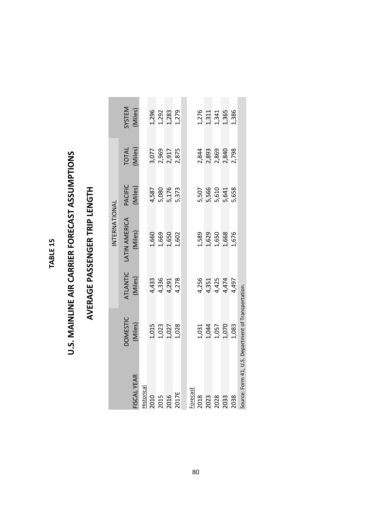#### TABLE 15 **TABLE 15**

# U.S. MAINLINE AIR CARRIER FORECAST ASSUMPTIONS **U.S. MAINLINE AIR CARRIER FORECAST ASSUMPTIONS**

## AVERAGE PASSENGER TRIP LENGTH **AVERAGE PASSENGER TRIP LENGTH**

|                                                     |                                  |                         | INTERNATIONAL                    |                                  |                                  |                                           |
|-----------------------------------------------------|----------------------------------|-------------------------|----------------------------------|----------------------------------|----------------------------------|-------------------------------------------|
|                                                     | <b>DOMESTIC</b>                  | ATLANTIC                | <b>LATIN AMERICA</b>             | PACIFIC                          | TOTAL<br>(Miles)                 | SYSTEM                                    |
| FISCAL YEAR                                         | (Miles)                          | (Miles)                 | (Miles)                          | (Miles)                          |                                  | (Miles)                                   |
| Historical                                          |                                  |                         |                                  |                                  |                                  |                                           |
|                                                     |                                  | 4,433                   |                                  |                                  |                                  |                                           |
| 2010<br>2015<br>2016                                |                                  |                         |                                  |                                  |                                  |                                           |
|                                                     | 1,015<br>1,023<br>1,027<br>1,028 | 4,336<br>4,291<br>4,278 | 1,660<br>1,669<br>1,650          | 4,587<br>5,080<br>5,176<br>5,373 | 3,077<br>2,969<br>2,917<br>2,875 | 1,292<br>1,292<br>1,283<br>1,279          |
| 2017E                                               |                                  |                         | 1,602                            |                                  |                                  |                                           |
|                                                     |                                  |                         |                                  |                                  |                                  |                                           |
| <b>Forecast</b>                                     |                                  |                         |                                  |                                  |                                  |                                           |
| 2018                                                |                                  | 4,256                   |                                  | 5,507                            |                                  |                                           |
| 2023<br>2028<br>2033                                |                                  |                         | 1,589<br>1,629<br>1,650<br>1,668 |                                  |                                  |                                           |
|                                                     |                                  |                         |                                  |                                  |                                  |                                           |
|                                                     | 1,031<br>1,044<br>1,057<br>1,070 | 4,351<br>4,425<br>4,474 |                                  | 5,566<br>5,611<br>5,638<br>5,658 | 2,844<br>2,893<br>2,869<br>2,840 | 1,276<br>1,311<br>1,341<br>1,386<br>1,386 |
| 2038                                                | 1,083                            | 4,497                   | 1,676                            |                                  | 2,798                            |                                           |
| Source: Form 41, U.S. Department of Transportation. |                                  |                         |                                  |                                  |                                  |                                           |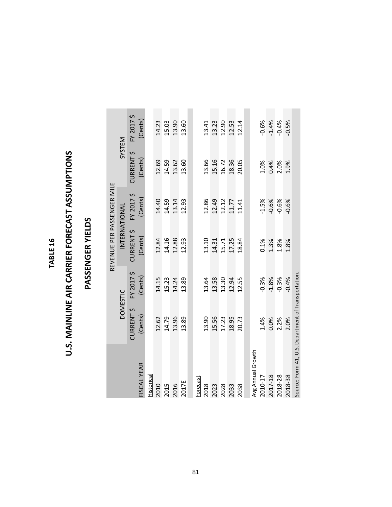#### TABLE 16 **TABLE 16**

# U.S. MAINLINE AIR CARRIER FORECAST ASSUMPTIONS **U.S. MAINLINE AIR CARRIER FORECAST ASSUMPTIONS**

### PASSENGER YIELDS **PASSENGER YIELDS**

|                                                     |                 |            | REVENUE PER PASSENGER MILE |            |                   |            |
|-----------------------------------------------------|-----------------|------------|----------------------------|------------|-------------------|------------|
|                                                     | <b>DOMESTIC</b> |            | INTERNATIONAL              |            | SYSTEM            |            |
|                                                     | CURRENT \$      | FY 2017 \$ | CURRENT \$                 | FY 2017 \$ | <b>CURRENT \$</b> | FY 2017 \$ |
| FISCAL YEAR                                         | (Cents)         | (Cents)    | (Cents)                    | (Cents)    | (Cents)           | (Cents)    |
| Historical                                          |                 |            |                            |            |                   |            |
| 2010                                                | 12.62           | 14.15      | 12.84                      | 14.40      | 12.69             | 14.23      |
| 2015                                                | 14.79           | 15.23      | 14.16                      | 14.59      | 14.59             | 15.03      |
| 2016                                                | 13.96           | 14.24      | 12.88                      | 13.14      | 13.62             | 13.90      |
| 2017E                                               | 13.89           | 13.89      | 12.93                      | 12.93      | 13.60             | 13.60      |
|                                                     |                 |            |                            |            |                   |            |
| Forecast                                            |                 |            |                            |            |                   |            |
| 2018                                                | 13.90           | 13.64      | 13.10                      | 12.86      | 13.66             | 13.41      |
| 2023                                                | 15.56           | 13.58      | 14.31                      | 12.49      | 15.16             | 13.23      |
| 2028                                                | 17.23           | 13.30      | 15.71                      | 12.12      | 16.72             | 12.90      |
| 2033                                                | 18.95           | 12.94      | 17.25                      | 11.77      | 18.36             | 12.53      |
| 2038                                                | 20.73           | 12.55      | 18.84                      | 11.41      | 20.05             | 12.14      |
|                                                     |                 |            |                            |            |                   |            |
| <b>Avg Annual Growth</b>                            |                 |            |                            |            |                   |            |
| 2010-17                                             | 1.4%            | $-0.3%$    | 0.1%                       | $-1.5%$    | 1.0%              | $-0.6%$    |
| 2017-18                                             | 0.0%            | $-1.8%$    | 1.3%                       | $-0.6%$    | 0.4%              | $-1.4%$    |
| 2018-28                                             | 2.2%            | $-0.3%$    | 1.8%                       | $-0.6%$    | 2.0%              | $-0.4%$    |
| 2018-38                                             | 2.0%            | $-0.4%$    | 1.8%                       | $-0.6%$    | 1.9%              | $-0.5%$    |
| Source: Form 41, U.S. Department of Transportation. |                 |            |                            |            |                   |            |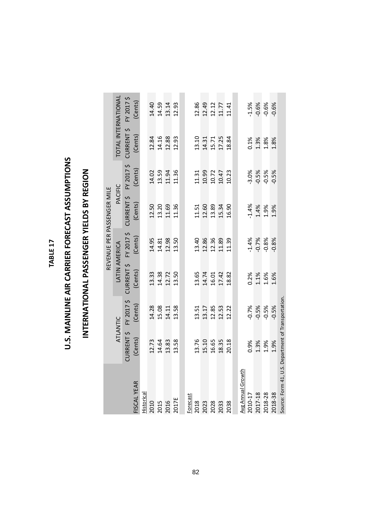TABLE 17 **TABLE 17**

## U.S. MAINLINE AIR CARRIER FORECAST ASSUMPTIONS **U.S. MAINLINE AIR CARRIER FORECAST ASSUMPTIONS**

## INTERNATIONAL PASSENGER YIELDS BY REGION **INTERNATIONAL PASSENGER YIELDS BY REGION**

|                                                    |            |            |                       |         | REVENUE PER PASSENGER MILE |         |                            |                         |
|----------------------------------------------------|------------|------------|-----------------------|---------|----------------------------|---------|----------------------------|-------------------------|
|                                                    |            | ATLANTIC   | LATIN AMERICA         |         | PACIFIC                    |         | <b>TOTAL INTERNATIONAL</b> |                         |
|                                                    | CURRENT \$ | FY 2017 \$ | CURRENT \$ FY 2017 \$ |         | CURRENT \$ FY 2017 \$      |         | <b>CURRENT \$</b>          | FY 2017 \$              |
| FISCAL YEAR                                        | (Cents)    | (Cents)    | (Cents)               | (Cents) | (Cents)                    | (Cents) | (Cents)                    | (Cents)                 |
| Historical                                         |            |            |                       |         |                            |         |                            |                         |
| 2010                                               | 12.73      | 14.28      | 13.33                 | 14.95   | 12.50                      | 14.02   | 12.84                      | 14.40                   |
| 2015                                               | 14.64      | 15.08      | 14.38                 | 14.81   | 13.20                      | 13.59   | 14.16                      | 14.59                   |
| 2016                                               | 13.83      | 14.11      | 12.72                 | 12.98   | 11.69                      | 11.94   | 12.88                      | 13.14                   |
| 2017E                                              | 13.58      | 13.58      | 13.50                 | 13.50   | 11.36                      | 11.36   | 12.93                      | 12.93                   |
|                                                    |            |            |                       |         |                            |         |                            |                         |
| Forecast                                           |            |            |                       |         |                            |         |                            |                         |
| 2018                                               | 13.76      | 13.51      | 13.65                 | 13.40   | 11.51                      | 11.31   | 13.10                      | 12.86                   |
| 2023                                               | 15.10      | 13.17      | 14.74                 | 12.86   | 12.60                      | 10.99   |                            |                         |
| 2028                                               | 16.65      | 12.85      | 16.01                 | 12.36   | 13.89                      | 10.72   | 14.31<br>15.71             |                         |
| 2033                                               | 18.35      | 12.53      | 17.42                 | 11.89   | 15.34                      | 10.47   | 17.25                      | 12.49<br>12.12<br>11.77 |
| 2038                                               | 20.18      | 12.22      | 18.82                 | 11.39   | 16.90                      | 10.23   | 18.84                      | 11.41                   |
|                                                    |            |            |                       |         |                            |         |                            |                         |
| Avg Annual Growth                                  |            |            |                       |         |                            |         |                            |                         |
| 2010-17                                            | 0.9%       | $-0.7%$    | 0.2%                  | $-1.4%$ | $-1.4%$                    | $-3.0%$ | 0.1%                       | $-1.5%$                 |
| 2017-18                                            | 1.3%       | $-0.5%$    | 1.1%                  | $-0.7%$ | 1.4%                       | $-0.5%$ | 1.3%                       | $-0.6%$                 |
| 2018-28                                            | 1.9%       | $-0.5%$    | 1.6%                  | $-0.8%$ | 1.9%                       | $-0.5%$ | 1.8%                       | $-0.6%$                 |
| 2018-38                                            | 1.9%       | $-0.5%$    | 1.6%                  | $-0.8%$ | 1.9%                       | $-0.5%$ | 1.8%                       | $-0.6%$                 |
| Source: Form 41, U.S. Department of Transportation |            |            |                       |         |                            |         |                            |                         |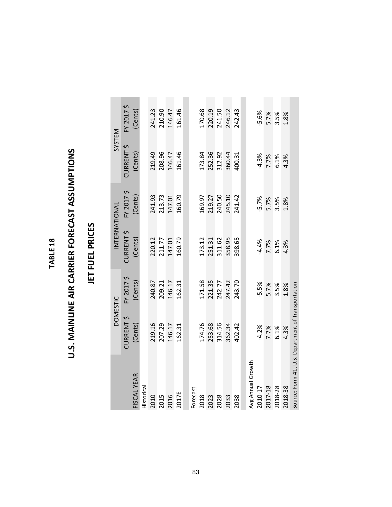#### TABLE 18 **TABLE 18**

# U.S. MAINLINE AIR CARRIER FORECAST ASSUMPTIONS **U.S. MAINLINE AIR CARRIER FORECAST ASSUMPTIONS**

#### JET FUEL PRICES **JET FUEL PRICES**

|                                                    |            | <b>DOMESTIC</b> | INTERNATIONAL |            | SYSTEM     |            |
|----------------------------------------------------|------------|-----------------|---------------|------------|------------|------------|
|                                                    | CURRENT \$ | FY 2017 \$      | CURRENT \$    | FY 2017 \$ | CURRENT \$ | FY 2017 \$ |
| FISCAL YEAR                                        | (Cents)    | (Cents)         | (Cents)       | (Cents)    | (Cents)    | (Cents)    |
| Historical                                         |            |                 |               |            |            |            |
| 2010                                               | 219.16     | 240.87          | 220.12        | 241.93     | 219.49     | 241.23     |
| 2015                                               | 207.29     | 209.21          | 211.77        | 213.73     | 208.96     | 210.90     |
| 2016                                               | 146.17     | 146.17          | 147.01        | 147.01     | 146.47     | 146.47     |
| 2017E                                              | 162.31     | 162.31          | 160.79        | 160.79     | 161.46     | 161.46     |
|                                                    |            |                 |               |            |            |            |
| Forecast                                           |            |                 |               |            |            |            |
| 2018                                               | 174.76     | 171.58          | 173.12        | 169.97     | 173.84     | 170.68     |
| 2023                                               | 253.68     | 221.35          | 251.31        | 219.27     | 252.36     | 220.19     |
| 2028                                               | 314.56     | 242.77          | 311.62        | 240.50     | 312.92     | 241.50     |
| 2033                                               | 362.34     | 247.42          | 358.95        | 245.10     | 360.44     | 246.12     |
| 2038                                               | 402.42     | 243.70          | 398.65        | 241.42     | 400.31     | 242.43     |
|                                                    |            |                 |               |            |            |            |
| Avg Annual Growth                                  |            |                 |               |            |            |            |
| 2010-17                                            | $-4.2%$    | $-5.5%$         | $-4.4%$       | $-5.7%$    | $-4.3%$    | $-5.6%$    |
| 2017-18                                            | 7.7%       | 5.7%            | 7.7%          | 5.7%       | 7.7%       | 5.7%       |
| 2018-28                                            | 6.1%       | 3.5%            | 6.1%          | 3.5%       | 6.1%       | 3.5%       |
| 2018-38                                            | 4.3%       | 1.8%            | 4.3%          | 1.8%       | 4.3%       | 1.8%       |
| Source: Form 41, U.S. Department of Transportation |            |                 |               |            |            |            |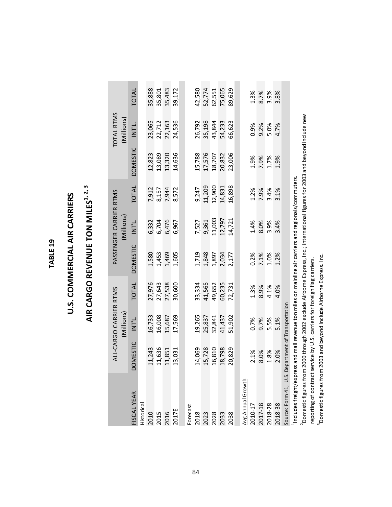#### TABLE<sub>19</sub> **TABLE 19**

## U.S. COMMERCIAL AIR CARRIERS **U.S. COMMERCIAL AIR CARRIERS**

## AIR CARGO REVENUE TON MILES<sup>1, 2, 3</sup> AIR CARGO REVENUE TON MILES<sup>1, 2, 3</sup>

|                                    |                                                    | ALL-CARGO CARRIER RTMS |              |                                                                                                         | PASSENGER CARRIER RTMS |        |                 | TOTAL RTMS |              |
|------------------------------------|----------------------------------------------------|------------------------|--------------|---------------------------------------------------------------------------------------------------------|------------------------|--------|-----------------|------------|--------------|
|                                    |                                                    | (Millions)             |              |                                                                                                         | (Millions)             |        |                 | (Millions) |              |
| FISCAL YEAR                        | <b>OMESTIC</b>                                     | INT'L.                 | <b>TOTAL</b> | <b>DOMESTIC</b>                                                                                         | INT'L                  | TOTAL  | <b>DOMESTIC</b> | L<br>IZTI  | <b>TOTAL</b> |
| Historical                         |                                                    |                        |              |                                                                                                         |                        |        |                 |            |              |
|                                    | 11,243                                             | 16,733                 | 27,976       | 1,580                                                                                                   | 6,332                  | 7,912  | 12,823          | 23,065     | 35,888       |
|                                    | 11,636                                             | 16,008                 | 27,643       | 1,453                                                                                                   | 6,704                  | 8,157  | 13,089          | 22,712     | 35,801       |
|                                    | 11,851                                             | 15,687                 | 27,538       | 1,469                                                                                                   | 6,476                  | 7,944  | 13,320          | 22,163     | 35,483       |
| 2017E                              | 13,031                                             | 17,569                 | 30,600       | 1,605                                                                                                   | 6,967                  | 8,572  | 14,636          | 24,536     | 39,172       |
|                                    |                                                    |                        |              |                                                                                                         |                        |        |                 |            |              |
| Forecast                           | 14,069                                             | 19,265                 | 33,334       | 1,719                                                                                                   | 7,527                  | 9,247  | 15,788          | 26,792     | 42,580       |
|                                    | 15,728                                             | 25,837                 | 41,565       | 1,848                                                                                                   | 9,361                  | 11,209 | 17,576          | 35,198     | 52,774       |
| 2028                               | 16,810                                             | 32,841                 | 49,652       | 1,897                                                                                                   | 11,003                 | 12,900 | 18,707          | 43,844     | 62,551       |
|                                    | 18,798                                             | 41,437                 | 60,235       | 2,034                                                                                                   | 12,797                 | 14,831 | 20,832          | 54,233     | 75,065       |
|                                    | 20,829                                             | 51,902                 | 72,731       | 2,177                                                                                                   | 14,721                 | 16,898 | 23,006          | 66,623     | 89,629       |
|                                    |                                                    |                        |              |                                                                                                         |                        |        |                 |            |              |
| <b>Avg Annual Growth</b>           |                                                    |                        |              |                                                                                                         |                        |        |                 |            |              |
| 2010-17                            | 2.1%                                               | 0.7%                   | 1.3%         | 0.2%                                                                                                    | 1.4%                   | 1.2%   | 1.9%            | 0.9%       | 1.3%         |
| 2017-18                            | 8.0%                                               | 9.7%                   | 8.9%         | 7.1%                                                                                                    | 8.0%                   | 7.9%   | 7.9%            | 9.2%       | 8.7%         |
| 2018-28                            | 1.8%                                               | 5.5%                   | 4.1%         | 1.0%                                                                                                    | 3.9%                   | 3.4%   | 1.7%            | 5.0%       | 3.9%         |
| 2018-38                            | 2.0%                                               | 5.1%                   | 4.0%         | 1.2%                                                                                                    | 3.4%                   | 3.1%   | 1.9%            | 4.7%       | 3.8%         |
|                                    | Source: Form 41, U.S. Department of Transportation |                        |              |                                                                                                         |                        |        |                 |            |              |
|                                    |                                                    |                        |              | includes freight/express and mail revenue ton miles on mainline air carriers and regionals/commuters    |                        |        |                 |            |              |
| <sup>2</sup> Domestic figures from |                                                    |                        |              | 2000 through 2002 exclude Airborne Express, Inc.; international figures for 2003 and beyond include new |                        |        |                 |            |              |

Donnous in Borro, and a series and the property of the series of the process increased in the ponetic figures from 2003 and beyond include Airborne Express. Inc. 3Domestic figures from 2003 and beyond include Airborne Express. Inc.

reporting of contract service by U.S. carriers for foreign flag carriers.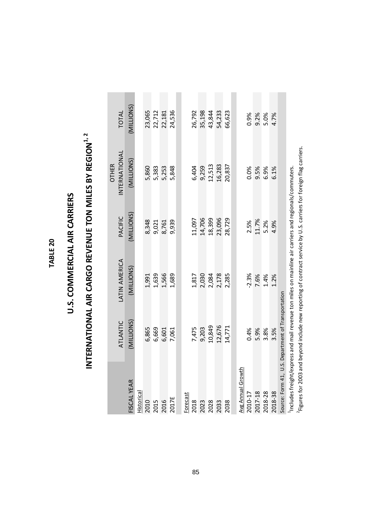#### TABLE 20 **TABLE 20**

## U.S. COMMERCIAL AIR CARRIERS **U.S. COMMERCIAL AIR CARRIERS**

# INTERNATIONAL AIR CARGO REVENUE TON MILES BY REGION<sup>1, 2</sup> **INTERNATIONAL AIR CARGO REVENUE TON MILES BY REGION<sup>1, 2</sup>**

<sup>2</sup> Figures for 2003 and beyond include new reporting of contract service by U.S. carriers for foreign flag carriers. 2Figures for 2003 and beyond include new reporting of contract service by U.S. carriers for foreign flag carriers.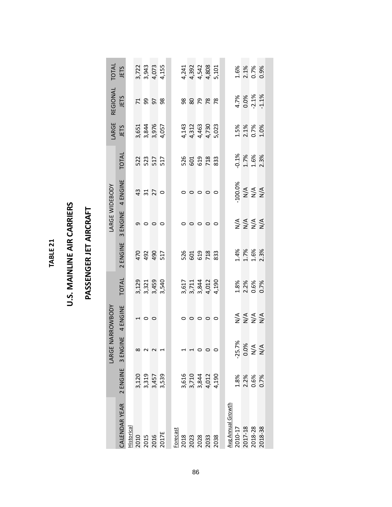#### TABLE 21 **TABLE 21**

### **U.S. MAINLINE AIR CARRIERS U.S. MAINLINE AIR CARRIERS**

### PASSENGER JET AIRCRAFT **PASSENGER JET AIRCRAFT**

| TOTAL          | JETS           |            |              |         | 3,722<br>3,943<br>4,155<br>4,155                         |  |                 |       |                 |                 | 4, 241<br>4, 392<br>4, 542<br>4, 808<br>4, 8001 |         |                          |         | 1.6%<br>2.1%<br>0.7%                                                |         | 0.9%             |
|----------------|----------------|------------|--------------|---------|----------------------------------------------------------|--|-----------------|-------|-----------------|-----------------|-------------------------------------------------|---------|--------------------------|---------|---------------------------------------------------------------------|---------|------------------|
| REGIONAL       | JETS           |            |              |         | 7958                                                     |  |                 |       |                 |                 | 88828                                           |         |                          |         | 4.7%<br>0.0%<br>-2.1%                                               |         | $-1.1%$          |
| LARGE          | JETS           |            |              |         | 3,651<br>3,844<br>3,976<br>4,057                         |  |                 |       |                 |                 | 4,143<br>4,312<br>4,463<br>4,730<br>5,023       |         |                          |         | 1.5%<br>2.1%<br>0.7%                                                |         | 1.0%             |
|                | TOTAL          |            |              |         | 522<br>525<br>517                                        |  |                 |       |                 |                 | 526<br>601<br>603<br>733<br>833                 |         |                          |         | $\frac{0.1\%}{1.7\%}$                                               |         | 2.3%             |
|                | 4 ENGINE       |            |              |         | $\frac{3}{4}$ $\frac{1}{2}$ $\frac{5}{2}$ $\frac{0}{2}$  |  |                 |       | $\circ$ $\circ$ |                 |                                                 | $\circ$ |                          |         | 100.0%<br>N/A<br>N/A<br>N/A                                         |         |                  |
| LARGE WIDEBODY | 3 ENGINE       |            |              |         | $\circ$ $\circ$ $\circ$                                  |  |                 |       |                 | $\circ$ $\circ$ | $\circ$                                         | $\circ$ |                          |         | <b>AAAA</b><br>2222                                                 |         |                  |
|                | 2 ENGINE       |            |              |         | 492<br>492<br>517                                        |  |                 |       |                 |                 | 526<br>601<br>602<br>783                        |         |                          |         | 1.4%<br>1.7%<br>1.6%                                                |         | 2.3%             |
|                | <b>TOTAL</b>   |            |              |         | $3, 129$<br>$3, 321$<br>$3, 459$<br>$3, 540$<br>$3, 540$ |  |                 |       |                 |                 | 3, 617<br>3, 711<br>4, 012<br>4, 190<br>4, 190  |         |                          |         | 1.8%<br>2.2%<br>0.6%                                                |         | 0.7%             |
| NARROWBODY     | 4 ENGINE       |            |              | $\circ$ | $\circ$                                                  |  |                 |       | $\circ$         | $\circ$         | $\circ$                                         | $\circ$ |                          |         | $\begin{array}{c}\n4 \leq x \leq x \\ 5 \leq x \leq x\n\end{array}$ |         |                  |
| LARGE          | $\frac{1}{2}$  |            |              |         |                                                          |  |                 |       |                 |                 |                                                 |         |                          |         | $-25.7%$<br>$0.0%$                                                  | N/A     | $\sum_{i=1}^{n}$ |
|                | 2 ENGINE 3 ENG |            |              |         | 3,120<br>3,319<br>3,539<br>3,539                         |  |                 | 3,616 |                 |                 | $3,710$<br>$3,844$<br>$4,012$<br>$4,190$        |         |                          |         | 1.8%<br>2.2%<br>0.6%                                                |         | 0.7%             |
|                | CALENDAR YEAR  | Historical | 2010<br>2015 |         | 2016<br>2017E                                            |  | <b>Forecast</b> | 2018  |                 |                 | 2023<br>2028<br>2033                            | 2038    | <b>Avg Annual Growth</b> | 2010-17 | 2017-18                                                             | 2018-28 | 2018-38          |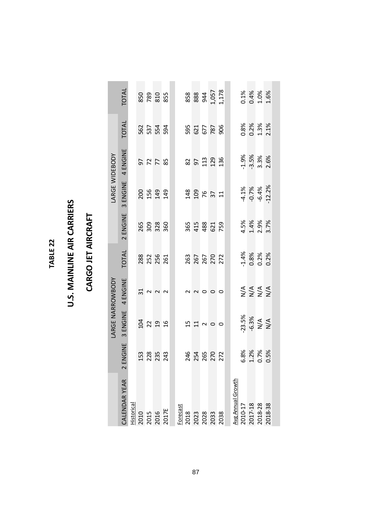#### TABLE 22 **TABLE 22**

### **U.S. MAINLINE AIR CARRIERS U.S. MAINLINE AIR CARRIERS**

### **CARGO JET AIRCRAFT CARGO JET AIRCRAFT**

|                  | TOTAL         |                                            | 850<br>782<br>855        |        |          |                          | 858<br>888<br>1,057<br>1,178   |      |                   |          | 0.1%<br>0.4%<br>1.0%    |                       | 1.6%     |
|------------------|---------------|--------------------------------------------|--------------------------|--------|----------|--------------------------|--------------------------------|------|-------------------|----------|-------------------------|-----------------------|----------|
|                  | TOTAL         |                                            | 562<br>537<br>594        |        |          |                          | 595<br>677<br>678<br>906       |      |                   |          | 0.8%<br>0.2%<br>1.3%    |                       | 2.1%     |
|                  | 4 ENGINE      |                                            | <b>97785</b>             |        |          |                          | $85139$<br>$139$               |      |                   |          | $-3.5%$                 | 3.3%                  | 2.6%     |
| LARGE WIDEBODY   | 3 ENGINE      |                                            | 2019<br>2019<br>2019     |        |          |                          | $148$<br>$198$<br>$75$<br>$11$ |      |                   |          | -4.1%<br>-0.7%          | $-6.4%$               | $-12.2%$ |
|                  | 2 ENGINE      |                                            | 265<br>309<br>360        |        |          | 365<br>415<br>488<br>621 |                                | 759  |                   |          | 4.5%<br>1.4%<br>2.9%    |                       | 3.7%     |
|                  | <b>TOTAL</b>  |                                            | <b>282</b><br>255<br>251 |        |          |                          | 263<br>267<br>272<br>272       |      |                   |          | $-1.4%$<br>0.8%<br>0.2% |                       | 0.2%     |
|                  | 4 ENGINE      | 31                                         | $\sim$ $\sim$            | $\sim$ |          | 2<br>2                   | $\circ \circ \circ$            |      |                   |          | <b>AAAA</b><br>2222     |                       |          |
| LARGE NARROWBODY | 3 ENGINE      |                                            |                          |        |          |                          | <b>13200</b>                   |      |                   | $-23.5%$ |                         | $-6.3%$<br>N/A<br>N/A |          |
|                  | 2 ENGINE      |                                            | 153<br>225<br>243        |        |          |                          | 246<br>254<br>272<br>272       |      |                   |          | 6.8%<br>1.2%<br>0.7%    |                       | 0.5%     |
|                  | CALENDAR YEAR | <u>Historical</u><br>2010<br>2015<br>2017E |                          |        | Forecast |                          | 2018<br>2023<br>2028<br>2033   | 2038 | Avg Annual Growth | 2010-17  | 2017-18                 | 2018-28               | 2018-38  |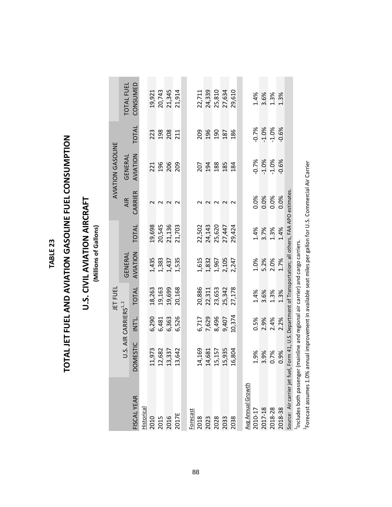#### TABLE 23 **TABLE 23**

# TOTAL JET FUEL AND AVIATION GASOLINE FUEL CONSUMPTION **TOTAL JET FUEL AND AVIATION GASOLINE FUEL CONSUMPTION**

### **U.S. CIVIL AVIATION AIRCRAFT U.S. CIVIL AVIATION AIRCRAFT**

(Millions of Gallons) **(Millions of Gallons)**

|                                                                                                             |             |                                   | <b>JET FUEI</b> |                |              |            | AVIATION GASOLINE |         |            |
|-------------------------------------------------------------------------------------------------------------|-------------|-----------------------------------|-----------------|----------------|--------------|------------|-------------------|---------|------------|
|                                                                                                             |             | U.S. AIR CARRIERS <sup>1, 2</sup> |                 | GENERAL        |              | <b>AIR</b> | GENERAL           |         | TOTAL FUEL |
| FISCAL YEAR                                                                                                 | MESTIC<br>ā | INT'L.                            | <b>TOTAL</b>    | AVIATION       | <b>TOTAL</b> | CARRIER    | AVIATION          | TOTAL   | CONSUMED   |
| Historical                                                                                                  |             |                                   |                 |                |              |            |                   |         |            |
| 2010                                                                                                        | .1,973      | 6,290                             | 18,263          |                | 19,698       |            | 221               | 223     | 19,921     |
| 2015                                                                                                        | 12,682      | 6,481                             | 19,163          | 1,435<br>1,383 | 20,545       | $\sim$     | 196               | 198     | 20,743     |
| 2016                                                                                                        | 13,337      | 6,363                             | 19,699          | 1,437          | 21,136       | $\sim$     | 206               | 208     | 21,345     |
| 2017E                                                                                                       | 13,642      | 6,526                             | 20,168          | 1,535          | 21,703       |            | 209               | 211     | 21,914     |
|                                                                                                             |             |                                   |                 |                |              |            |                   |         |            |
| Forecast                                                                                                    |             |                                   |                 |                |              |            |                   |         |            |
| 2018                                                                                                        | 14,169      | 6,717                             | 20,886          | 1,615          | 22,502       |            | 207               | 209     | 22,711     |
| 2023                                                                                                        | 14,681      | 7,629                             | 22,311          |                | 24,143       |            | 194               | 196     | 24,339     |
| 2028                                                                                                        | 15,157      | 8,496                             | 23,653          | 1,832<br>1,967 | 25,620       | $\sim$     | 188               | 190     | 25,810     |
| 2033                                                                                                        | 15,935      | 9,407                             | 25,342          | 2,105          | 27,447       | $\sim$     | 185               | 187     | 27,634     |
| 2038                                                                                                        | 6,804       | 10,374                            | 27,178          | 2,247          | 29,424       | $\sim$     | 184               | 186     | 29,610     |
|                                                                                                             |             |                                   |                 |                |              |            |                   |         |            |
| Avg Annual Growth                                                                                           |             |                                   |                 |                |              |            |                   |         |            |
| 2010-17                                                                                                     | 1.9%        | 0.5%                              | 1.4%            | 1.0%           | 1.4%         | 0.0%       | $-0.7%$           | $-0.7%$ | 1.4%       |
| 2017-18                                                                                                     | 3.9%        | 2.9%                              | 3.6%            | 5.2%           | 3.7%         | 0.0%       | $-1.0%$           | $-1.0%$ | 3.6%       |
| 2018-28                                                                                                     | 0.7%        | 2.4%                              | 1.3%            | 2.0%           | 1.3%         | 0.0%       | $-1.0%$           | $-1.0%$ | 1.3%       |
| 2018-38                                                                                                     | 0.9%        | 2.2%                              | 1.3%            | 1.7%           | 1.4%         | 0.0%       | $-0.6%$           | $-0.6%$ | 1.3%       |
| Source: Air carrier jet fuel, Form 41, U.S. Department of Transportation; all others, FAA APO estimates     |             |                                   |                 |                |              |            |                   |         |            |
| <sup>1</sup> Includes both passenger (mainline and regional air carrier) and cargo carriers.                |             |                                   |                 |                |              |            |                   |         |            |
| Forecast assumes 1.0% annual improvement in available seat miles per gallon for U.S. Commercial Air Carrier |             |                                   |                 |                |              |            |                   |         |            |

88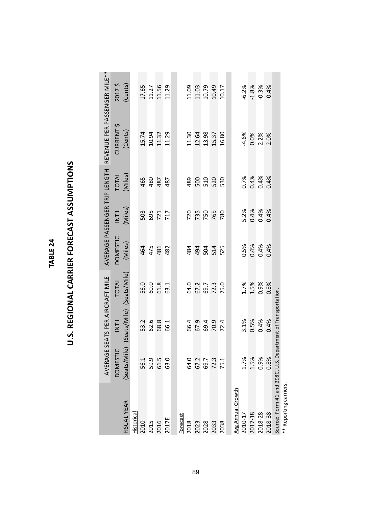| d |
|---|
|   |
|   |
|   |
|   |
|   |
|   |

## U.S. REGIONAL CARRIER FORECAST ASSUMPTIONS **U.S. REGIONAL CARRIER FORECAST ASSUMPTIONS**

|                                  |                      | AVERAGE SEATS PER AIRCRAFT MILE        |                      |                 |                          | AVERAGE PASSENGER TRIP LENGTH | REVENUE PER PASSENGER MILE** |                               |
|----------------------------------|----------------------|----------------------------------------|----------------------|-----------------|--------------------------|-------------------------------|------------------------------|-------------------------------|
|                                  | <b>DOMESTIC</b>      | <b>INT'L</b>                           | <b>TOTAL</b>         | <b>DOMESTIC</b> | INTL                     | TOTAL                         | <b>CURRENT \$</b>            | 2017\$                        |
| FISCAL YEAR                      |                      | (Seats/Mile) (Seats/Mile) (Seats/Mile) |                      | (Miles)         | (Miles)                  | (Miles)                       | (Cents)                      | (Cents)                       |
| <b>Historical</b>                |                      |                                        |                      |                 |                          |                               |                              |                               |
| 2010                             | 56.1                 | 53.2                                   | 56.0                 | 464             | 503                      | 465                           | 15.74                        |                               |
| 2015                             | 59.9                 | 62.6                                   | 60.0                 | 475             |                          | 480                           |                              |                               |
| 2016                             | 61.5                 | 68.8                                   | 61.8                 | 481             | 695<br>721<br>717        | 487                           | 10.94<br>11.32               | $17.65$<br>$11.27$<br>$11.56$ |
| 2017E                            | 63.0                 | 66.1                                   | 63.1                 | 482             |                          | 487                           | 11.29                        | 11.29                         |
|                                  |                      |                                        |                      |                 |                          |                               |                              |                               |
| Forecast<br>2018                 | 64.0                 | 66.4                                   | 64.0                 | 484             |                          | 489                           | 11.30                        |                               |
| 2023                             | 67.2                 | 67.9                                   | 67.2                 | 494             | 720<br>750<br>765<br>780 | 500                           | 12.64                        | 11.09<br>11.03                |
|                                  |                      |                                        |                      |                 |                          |                               | 13.98                        |                               |
| 2028<br>2033                     | 69.7<br>72.3<br>75.1 | 69.4<br>70.9                           | 69.7<br>72.3<br>75.0 | 58<br>54<br>525 |                          | 510<br>520                    | 15.37                        | 10.79<br>10.49                |
|                                  |                      |                                        |                      |                 |                          |                               |                              |                               |
| 2038                             |                      | 72.4                                   |                      |                 |                          | 530                           | 16.80                        | 10.17                         |
|                                  |                      |                                        |                      |                 |                          |                               |                              |                               |
| Avg Annual Growth                |                      |                                        |                      |                 |                          |                               |                              |                               |
| 2010-17                          | 1.7%                 | 3.1%                                   | 1.7%                 | 0.5%            |                          | 0.7%                          | $-4.6%$                      | $-6.2%$                       |
| 2017-18                          | 1.5%                 | 0.5%                                   | 1.5%                 | 0.4%            | 5.2%<br>0.4%<br>0.4%     | 0.4%                          |                              | $-1.8%$                       |
| 2018-28                          | 0.9%                 | 0.4%                                   | 0.9%                 | 0.4%            |                          | 0.4%                          | 0.0%<br>2.2%                 | $-0.3%$                       |
| 2018-38                          | 0.8%                 | 0.4%                                   | 0.8%                 | 0.4%            | 0.4%                     | 0.4%                          | 2.0%                         | $-0.4%$                       |
| Source: Form 41 and 298C, U.S. I |                      | Department of Transportation.          |                      |                 |                          |                               |                              |                               |
| ** Reporting carriers.           |                      |                                        |                      |                 |                          |                               |                              |                               |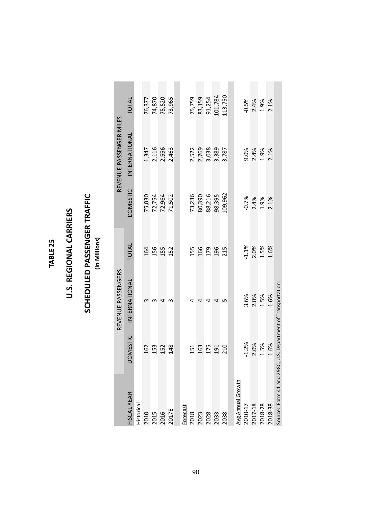#### TABLE 25 **TABLE 25**

### U.S. REGIONAL CARRIERS **U.S. REGIONAL CARRIERS**

## **SCHEDULED PASSENGER TRAFFIC**<br>(In Millions) **SCHEDULED PASSENGER TRAFFIC**

**(In Millions)**

|                               |                 | REVENUE PASSENGERS                 |         |                  | REVENUE PASSENGER MILES |              |
|-------------------------------|-----------------|------------------------------------|---------|------------------|-------------------------|--------------|
| <b>FISCAL YEAR</b>            | <b>DOMESTIC</b> | INTERNATIONAL                      | TOTAL   | <b>DOMESTIC</b>  | INTERNATIONAL           | <b>TOTAL</b> |
| listorical                    |                 |                                    |         |                  |                         |              |
|                               | 162             |                                    | 164     | 75,030           | 1,347                   | 76,377       |
|                               | 153             |                                    | 156     |                  |                         | 74,870       |
| 2010<br>2015<br>2016<br>2017E | 152             | ₹                                  | 155     | 72,754<br>72,964 | 2,116<br>2,556          | 75,520       |
|                               | 148             | m                                  | 152     | 71,502           | 2,463                   | 73,965       |
|                               |                 |                                    |         |                  |                         |              |
| Forecast                      |                 |                                    |         |                  |                         |              |
| 2018                          | 151             |                                    | 155     | 73,236           | 2,522                   | 75,759       |
| 2023<br>2028<br>2033          | 163             |                                    | 166     | 80,390           | 2,769                   | 83,159       |
|                               | 175             | ₹                                  | 179     | 88,216           | 3,038                   | 91,254       |
|                               | 191             | 4                                  | 196     | 98,395           | 3,389                   | 101,784      |
| 2038                          | 210             | ۱                                  | 215     | 109,962          | 3,787                   | 113,750      |
|                               |                 |                                    |         |                  |                         |              |
| Avg Annual Growth             |                 |                                    |         |                  |                         |              |
| 2010-17                       | $-1.2%$         | 3.6%                               | $-1.1%$ | $-0.7%$          | 9.0%                    | $-0.5%$      |
| 2017-18                       | 2.0%            | 2.0%                               | 2.0%    | 2.4%             | 2.4%                    | 2.4%         |
| 2018-28                       | 1.5%            | 1.5%                               | 1.5%    | 1.9%             | 1.9%                    | 1.9%         |
| 2018-38                       | 1.6%            | 1.6%                               | 1.6%    | 2.1%             | 2.1%                    | 2.1%         |
| Source: Form 41 and 2980      | $\mathfrak{c}$  | U.S. Department of Transportation. |         |                  |                         |              |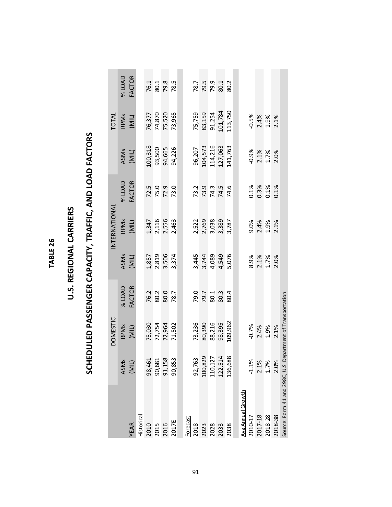**TABLE 26 TABLE 26**

### U.S. REGIONAL CARRIERS **U.S. REGIONAL CARRIERS**

# SCHEDULED PASSENGER CAPACITY, TRAFFIC, AND LOAD FACTORS **SCHEDULED PASSENGER CAPACITY, TRAFFIC, AND LOAD FACTORS**

|                                                              |                                | <b>DOMESTIC</b>            |                      |                                          | INTERNATIONAL                             |                              |                      | TOTAL                      |                              |
|--------------------------------------------------------------|--------------------------------|----------------------------|----------------------|------------------------------------------|-------------------------------------------|------------------------------|----------------------|----------------------------|------------------------------|
|                                                              | ASMs                           | RPMs                       | <b>% LOAD</b>        |                                          |                                           | <b>% LOAD</b>                |                      |                            | <b>% LOAD</b>                |
| YEAR                                                         | (MIL)                          | (MIL)                      | <b>FACTOR</b>        | ASM <sub>S</sub>                         | RPM <sub>S</sub><br>(MIL)                 | <b>FACTOR</b>                | ASMs<br>(MIL)        | RPM <sub>S</sub><br>(MIL)  | FACTOR                       |
| <b>Historical</b>                                            |                                |                            |                      |                                          |                                           |                              |                      |                            |                              |
|                                                              | 98,461                         |                            |                      |                                          |                                           |                              | 100,318              |                            |                              |
|                                                              | 90,681                         |                            |                      |                                          |                                           |                              | 93,500               |                            |                              |
| 2010<br>2015<br>2016                                         | 91,158                         | 75,030<br>72,754<br>72,964 | 76.2<br>80.3<br>80.0 | $1,857$<br>$2,819$<br>$3,374$<br>$3,374$ | $1,347$<br>$2,116$<br>$2,556$<br>$2,463$  | 72.5<br>75.0<br>72.9         | 94,665               | 76,377<br>74,870<br>75,520 | 76.1<br>80.1<br>78.5<br>78.5 |
| 2017E                                                        | 90,853                         | 71,502                     | 78.7                 |                                          |                                           | 73.0                         | 94,226               | 73,965                     |                              |
|                                                              |                                |                            |                      |                                          |                                           |                              |                      |                            |                              |
| Forecast                                                     |                                |                            |                      |                                          |                                           |                              |                      |                            |                              |
|                                                              | 92,763                         | 73,236                     |                      |                                          |                                           |                              | 96,207               | 75,759                     |                              |
| 2018                                                         | 100,829                        | 80,390                     | 79.7<br>79.7<br>80.3 | 3,445<br>3,744<br>4,549<br>5,076         | 2,522<br>2,769<br>3,038<br>3,787<br>3,787 | 73.9<br>73.9<br>74.5<br>74.6 | 104,573              | 83,159                     | 78.7<br>79.9<br>79.9<br>80.2 |
|                                                              | 110,127                        | 88,216                     |                      |                                          |                                           |                              | 114,216              | 91,254                     |                              |
| 2028<br>2033<br>2038                                         | 122,514                        | 98,395                     |                      |                                          |                                           |                              | 127,063              | 101,784                    |                              |
|                                                              | 136,688                        | 109,962                    | 80.4                 |                                          |                                           |                              | 141,763              | 113,750                    |                              |
|                                                              |                                |                            |                      |                                          |                                           |                              |                      |                            |                              |
|                                                              |                                |                            |                      |                                          |                                           |                              |                      |                            |                              |
| <u>Avg Annual Growth</u><br>2010-17                          |                                | $-0.7%$                    |                      |                                          | 9.0%                                      |                              |                      | $-0.5%$                    |                              |
| 2017-18                                                      | $-1.1\%$<br>$2.1\%$<br>$1.7\%$ | 2.4%                       |                      | 8.9%<br>2.1%<br>1.7%                     | 2.4%                                      | 0.1%<br>0.3%<br>0.1%         | 0.9%<br>2.1%<br>1.7% | 2.4%<br>1.9%               |                              |
| 2018-28                                                      |                                | 1.9%                       |                      |                                          | 1.9%                                      |                              |                      |                            |                              |
| 2018-38                                                      | 2.0%                           | 2.1%                       |                      | 2.0%                                     | 2.1%                                      | 0.1%                         | 2.0%                 | 2.1%                       |                              |
| Source: Form 41 and 298C, U.S. Department of Transportation. |                                |                            |                      |                                          |                                           |                              |                      |                            |                              |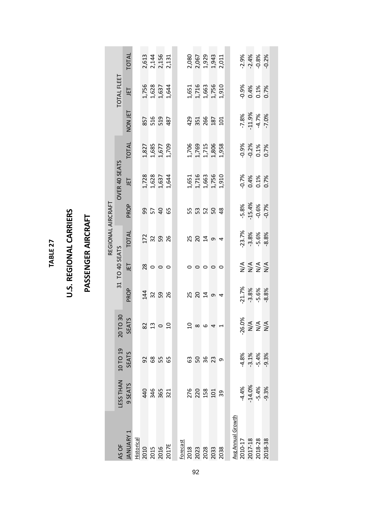**TABLE 27 TABLE 27**

### U.S. REGIONAL CARRIERS **U.S. REGIONAL CARRIERS**

### PASSENGER AIRCRAFT **PASSENGER AIRCRAFT**

|                   |                   | TOTAL                     |    | 2,613<br>2,144<br>2,156<br>2,131                        |                                                                                     |    | 2,080<br>2,067<br>1,929<br>1,943<br>2,011 |                |         |                |  |                              | 2.9%<br>2.4%<br>2.9%<br>2.9%                 |         |  |
|-------------------|-------------------|---------------------------|----|---------------------------------------------------------|-------------------------------------------------------------------------------------|----|-------------------------------------------|----------------|---------|----------------|--|------------------------------|----------------------------------------------|---------|--|
|                   | TOTAL FLEET       | JET                       |    | $1,756$<br>$1,628$<br>$1,637$<br>$1,644$                |                                                                                     |    | 1,651<br>1,716<br>1,756<br>1,910<br>1,910 |                |         |                |  |                              | 0.9%<br>0.4%<br>0.1%<br>0.7%                 |         |  |
|                   |                   | NON JET                   |    | 857<br>516<br>487                                       |                                                                                     |    | $23.568$<br>$25.5$                        |                |         |                |  |                              | $-7.8\%$<br>$-1.9\%$<br>$-4.7\%$<br>$-7.0\%$ |         |  |
|                   |                   | <b>TOTAL</b>              |    | 1,827<br>1,685<br>1,709<br>1,709                        |                                                                                     |    | 1,706<br>1,769<br>1,715<br>1,806<br>1,958 |                |         |                |  |                              | 0.9%<br>0.2%<br>0.1%<br>0.7%                 |         |  |
|                   | OVER 40 SEATS     | LET                       |    | 1,728<br>1,628<br>1,637<br>1,644                        |                                                                                     |    | 1,651<br>1,716<br>1,756<br>1,910<br>1,910 |                |         |                |  |                              | 0.1%<br>0.4%<br>0.1%<br>0.7%                 |         |  |
|                   |                   | PROP                      |    | <b>9546</b>                                             |                                                                                     |    | 53258                                     |                |         |                |  |                              | $-5.8\%$<br>-15.4%<br>-0.6%                  | $-0.7%$ |  |
| REGIONAL AIRCRAFT |                   | <b>TOTAL</b>              |    | $\frac{2}{3}$ $\frac{2}{3}$ $\frac{8}{3}$ $\frac{8}{3}$ |                                                                                     |    |                                           |                |         | $\overline{4}$ |  |                              | $-23.7%$<br>$-3.8%$<br>$-5.6%$               | $-8.8%$ |  |
|                   | TO 40 SEATS       | LET                       |    | $\frac{8}{2}$ 0 0 0                                     |                                                                                     |    | $\circ$                                   | $\circ$        | $\circ$ | $\circ$        |  |                              | ENER<br>ENER                                 |         |  |
|                   | 31                | PROP                      |    |                                                         |                                                                                     |    |                                           |                |         | $\overline{4}$ |  | $-21.7%$                     | $-3.8%$<br>$-5.6%$                           | $-8.8%$ |  |
|                   | TO 30             | <b>SEATS</b><br><u>ລັ</u> |    | 220                                                     |                                                                                     |    | $\frac{0}{2}$                             | $\circ$        | 4       |                |  | ۰,                           | 26.0%<br>N/A<br>N/A<br>N/A                   |         |  |
|                   |                   | <b>SEATS</b>              | 92 | 68<br>55                                                | 65                                                                                  | යි |                                           | 58<br>38<br>23 |         | თ              |  |                              | $4.8%$<br>$-3.1%$<br>$-5.4%$                 | $-9.3%$ |  |
|                   | ESS THAN 10 TO 19 | 9 SEATS                   |    | 440<br>346<br>321                                       |                                                                                     |    | 276<br>220<br>158<br>101                  |                |         | 39             |  | $-4.4%$                      | $-14.0\%$<br>$-5.4\%$                        | $-9.3%$ |  |
|                   | AS OF             | <b>ANUARY 1</b>           |    |                                                         | Historical<br>2010<br>2015<br>2015<br>2017 Ecrecast<br>2018<br>2023<br>2033<br>2033 |    |                                           |                |         |                |  | Avg Annual Growth<br>2010-17 | 2017-18<br>2018-28                           | 2018-38 |  |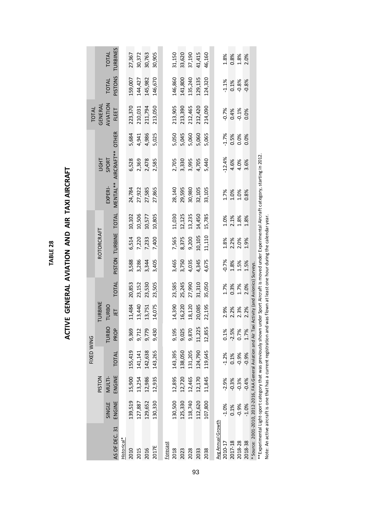| $\frac{1}{2}$                                                   |
|-----------------------------------------------------------------|
| :<br>;<br>;                                                     |
| ļ<br>ć                                                          |
| $\mathbf{r}$<br>֧֧֧֧֢ׅ֧֚֚֚֚֚֚֚֚֚֚֚֚֚֚֚֚֚֚֚֚֚֚֚֚֚֚֚֚֚֝֝֓֝֓֓<br>7 |
| -<br>-<br>-<br>-<br>-                                           |
| -<br>-<br>-<br>i                                                |
| i                                                               |

|              |                | <b>TURBINES</b><br><b>TOTAL</b> |             | 27,367  | 30,372  | 30,763  | 30,905  |          | 31,150  | 33,620  | 37,190  | 41,415  | 46,160  |                   |          | 1.8%<br>0.8%<br>1.8%<br>2.0%          |         |         |                                                                                                      |
|--------------|----------------|---------------------------------|-------------|---------|---------|---------|---------|----------|---------|---------|---------|---------|---------|-------------------|----------|---------------------------------------|---------|---------|------------------------------------------------------------------------------------------------------|
|              |                | <b>PISTONS</b><br><b>TOTAL</b>  |             | 159,007 | 144,427 | 145,982 | 146,670 |          | 146,860 | 141,800 | 135,240 | 129,135 | 124,320 |                   |          | $0.1\%$                               | $-0.8%$ | $-0.8%$ |                                                                                                      |
| <b>TOTAL</b> | <b>GENERAL</b> | AVIATION<br>FLEET               |             | 223,370 | 210,031 | 211,794 | 213,050 |          | 213,905 | 213,390 | 212,465 | 212,420 | 214,090 |                   | $-0.7%$  | $0.4%$<br>$-0.1%$                     |         | 0.0%    |                                                                                                      |
|              |                | <b>OTHER</b>                    |             | 5,684   | 4,941   | 4,986   | 5,025   |          | 5,050   | 5,045   | 5,060   | 5,060   | 5,065   |                   | 1.7%     | 0.5%<br>0.0%                          |         | 0.0%    |                                                                                                      |
|              | <b>THOI</b>    | AIRCRAFT**<br>SPORT             |             | 6,528   | 2,369   | 2,478   | 2,585   |          | 2,705   | 3,330   | 3,995   | 4,705   | 5,440   |                   | 12.4%    | 4.6%<br>4.0%                          |         | 3.6%    |                                                                                                      |
|              |                | MENTAL**<br>EXPERI-             |             | 24,784  | 27,922  | 27,585  | 27,865  |          | 28,140  | 29,595  | 30,980  | 32,105  | 33,105  |                   |          | 1.7%<br>1.0%<br>1.0%                  |         | 0.8%    |                                                                                                      |
|              |                |                                 |             | 10,102  | 10,506  | 10,577  | 10,805  |          | 11,030  | 12,125  | 13,235  | 14,450  | 15,785  |                   |          | 1.0%<br>2.1%<br>1.8%                  |         | 1.8%    |                                                                                                      |
|              | ROTORCRAFT     | PISTON TURBINE TOTAL            |             | 6,514   | 7,220   | 7,233   | 7,400   |          | 7,565   | 8,375   | 9,200   | 10,105  | 11,110  |                   |          | 1.8%<br>2.2%<br>2.0%                  |         | 1.9%    |                                                                                                      |
|              |                |                                 |             | 3,588   | 3,286   | 3,344   | 3,405   |          | 3,465   | 3,750   | 4,035   | 4,345   | 4,675   |                   |          | $-0.7%$<br>$1.8%$<br>$1.5%$<br>$1.5%$ |         |         |                                                                                                      |
|              |                | TOTAL                           |             | 20,853  | 23,152  | 23,530  | 23,505  |          | 23,585  | 25,245  | 27,990  | 31,310  | 35,050  |                   |          | 1.7%<br>0.3%<br>1.7%                  |         | 2.0%    |                                                                                                      |
|              | TURBINE        | <b>TURBO</b><br>JET             |             | 11,484  | 13,440  | 13,751  | 14,075  |          | 14,390  | 16,220  | 18,120  | 20,085  | 22,195  |                   |          | 2.9%<br>2.2%<br>2.3%<br>2.2%          |         |         |                                                                                                      |
|              |                | <b>TURBO</b><br>PROI            |             | 9,369   | 9,712   | 9,779   | 9,430   |          | 9,195   | 9,025   | 9,870   | 11,225  | 12,855  |                   | 0.1%     | $-2.5%$                               | 0.7%    | 1.7%    |                                                                                                      |
| FIXED WING   |                | <b>TOTAL</b>                    |             | 155,419 | 141,141 | 142,638 | 143,265 |          | 143,395 | 138,050 | 131,205 | 124,790 | 119,645 |                   | $-1.2\%$ | 0.1%                                  | $-0.9%$ | $-0.9%$ |                                                                                                      |
|              | <b>PISTON</b>  | ENGINE<br>MULTI-                |             | 15,900  | 13,254  | 12,986  | 12,935  |          | 12,895  | 12,720  | 12,465  | 12,170  | 11,845  |                   | $-2.9%$  | $-0.3%$                               | $-0.3%$ | $-0.4%$ |                                                                                                      |
|              |                | ENGINE<br>SINGLE                |             | 139,519 | 127,887 | 129,652 | 130,330 |          | 130,500 | 125,330 | 118,740 | 112,620 | 107,800 |                   | $-1.0%$  | 0.1%                                  | $-0.9%$ | $-1.0%$ |                                                                                                      |
|              |                | AS OF DEC. 31                   | Historical* | 2010    | 2015    | 2016    | 2017E   | Forecast | 2018    | 2023    | 2028    | 2033    | 2038    | Avg Annual Growth | 2010-17  | 2017-18                               | 2018-28 | 2018-38 | $*$ Source: 2001-2010, 2012-2016. EAA General Aviation and Air Taxi Activity (and Avionics) Surveys. |

\* Source: 2001-2010, 2012-2016, FAA General Aviation and Air Taxi Activity (and Avionics) Surveys.

שטעוני בעט בעט גענער אין אפוויפו אין האימטיו פווי אין האי אנטיוע אוויג איטוועג) שוויפא.<br>\*\*Experimental Light-sport category that was previously shown under Sport Aircraft is moved under Experimental Aircraft category, sta \*\*Experimental Light-sport category that was previously shown under Sport Aircraft is moved under Experimental Aircraft category, starting in 2012. Note: An active aircraft is one that has a current registration and was flown at least one hour during the calendar year.

TABLE<sub>28</sub> **TABLE 28**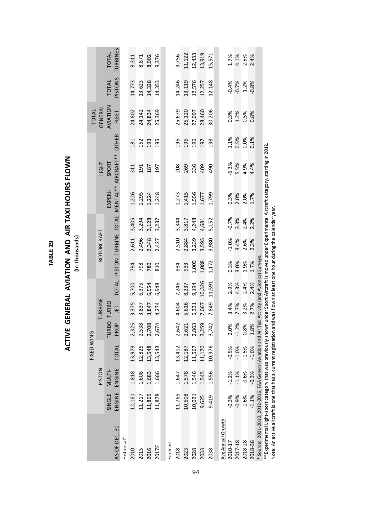TABLE 29 **TABLE 29**

## **ACTIVE GENERAL AVIATION AND AIR TAXI HOURS FLOWN ACTIVE GENERAL AVIATION AND AIR TAXI HOURS FLOWN**

**(In Thousands)**

|            |               | <b>TOTAL</b> | TURBINES                                       |             | 8,311  | 8,871  | 8,902  | 9,376  |          | 9,756  | 11,122 | 12,433 | 13,919    | 15,571     |                   | 1.7%    | 4.1%     | 2.5%    | 2.4%    |                                                                                                           |
|------------|---------------|--------------|------------------------------------------------|-------------|--------|--------|--------|--------|----------|--------|--------|--------|-----------|------------|-------------------|---------|----------|---------|---------|-----------------------------------------------------------------------------------------------------------|
|            |               | <b>TOTAL</b> | <b>PISTONS</b>                                 |             | 14,773 | 13,623 | 14,328 | 14,353 |          | 14,246 | 13,119 | 12,576 | 12,257    | 12,148     |                   | $-0.4%$ | $-0.7%$  | $-1.2%$ | $-0.8%$ |                                                                                                           |
| TOTAL      | GENERAI       | AVIATION     | FLEET                                          |             | 24,802 | 24,142 | 24,834 | 25,369 |          | 25,679 | 26,120 | 27,097 | 28,460    | 30,206     |                   | 0.3%    | 1.2%     | 0.5%    | 0.8%    |                                                                                                           |
|            |               |              |                                                |             | 181    | 162    | 193    | 195    |          | 196    | 196    | 196    | 197       | 198        |                   | 1.1%    | 0.5%     | 0.0%    | 0.1%    |                                                                                                           |
|            | <b>HISHI</b>  | SPORT        |                                                |             | 311    | 191    | 187    | 197    |          | 208    | 269    | 336    | 409       | <b>Q6t</b> |                   | $-6.3%$ | 5.5%     | 4.9%    | 4.4%    |                                                                                                           |
|            |               | EXPERI-      | PISTON TURBINE TOTAL MENTAL** AIRCRAFT** OTHER |             | 1,226  | 1,295  | 1,224  | 1,248  |          | 1,273  | 1,415  | 1,556  | 1,677     | 1,799      |                   | 0.3%    | 2.0%     | 2.0%    | 1.7%    |                                                                                                           |
|            |               |              |                                                |             | 3,405  | 3,294  | 3,128  | 3,237  |          | 3,344  | 3,817  | 4,248  | 4,681     | 5,152      |                   | $-0.7%$ | 3.3%     | 2.4%    | 2.2%    |                                                                                                           |
|            | ROTORCRAFT    |              |                                                |             | 2,611  | 2,496  | 2,348  | 2,427  |          | 2,510  | 2,884  | 3,239  | 3,593     | 3,980      |                   | $-1.0%$ | 3.4%     | 2.6%    | 2.3%    |                                                                                                           |
|            |               |              |                                                |             | 794    | 798    | 780    | 810    |          | 834    | 933    | 1,009  | 1,088     | 1,172      |                   | 0.3%    | 3.0%     | 1.9%    | 1.7%    |                                                                                                           |
|            |               |              | TOTAL                                          |             | 5,700  | 6,375  | 6,554  | 6,948  |          | 7,246  | 8,237  | 9,194  | 10,326    | 11,591     |                   | 2.9%    | 4.3%     | 2.4%    | 2.4%    | $\ddot{\cdot}$                                                                                            |
|            | TURBINE       | RBO TURBO    | L                                              |             | 3,375  | 3,837  | 3,847  | 4,274  |          | 4,604  | 5,616  | 6,331  | 7,067     | 7,849      |                   | 3.4%    | 7.7%     | 3.2%    | 2.7%    |                                                                                                           |
|            |               | 2            | PROP                                           |             | 2,325  | 2,538  | 2,708  | 2,674  |          | 2,642  | 621    | 2,863  | 259<br>ന് | 3,742      |                   | $\%$    | .2%<br>٢ | 8%<br>O | 8%      |                                                                                                           |
| FIXED WING |               |              | TOTAL                                          |             | 13,979 | 12,825 | 13,548 | 13,543 |          | 13,412 | 12,187 | 11,567 | 11,170    | 10,976     |                   | $-0.5%$ | $-1.0%$  | $-1.5%$ | $-1.0%$ |                                                                                                           |
|            | <b>PISTON</b> | MULTI-       | ENGINE                                         |             | 1,818  | 1,608  | 1,683  | 1,666  |          | 1,647  | 1,578  | 1,546  | 1,545     | 1,556      |                   | $-1.2%$ | $-1.1%$  | $-0.6%$ | $-0.3%$ |                                                                                                           |
|            |               | SINGLE       | ENGINE                                         |             | 12,161 | 11,217 | 11,865 | 11,878 |          | 11,765 | 10,608 | 10,021 | 9,625     | 9,419      |                   | $-0.3%$ | $-0.9%$  | $-1.6%$ | $-1.1%$ |                                                                                                           |
|            |               |              | AS OF DEC. 31                                  | Historical* | 2010   | 2015   | 2016   | 2017E  | Forecast | 2018   | 2023   | 2028   | 2033      | 2038       | Avg Annual Growth | 2010-17 | 2017-18  | 2018-28 | 2018-38 | * Source: 2001-2010, 2012-2016, FAA General Aviation and Air Taxi Activity (and Avionics) Surveys<br>---- |

\*\*Experimental Light-sport category that was previously shown under Sport Aircraft is moved under Experimental Aircraft category, starting in 2012.<br>Note: An active aircraft is one that has a current registration and was fl \*\*Experimental Light-sport category that was previously shown under Sport Aircraft is moved under Experimental Aircraft category, starting in 2012. Note: An active aircraft is one that has a current registration and was flown at least one hour during the calendar year.

94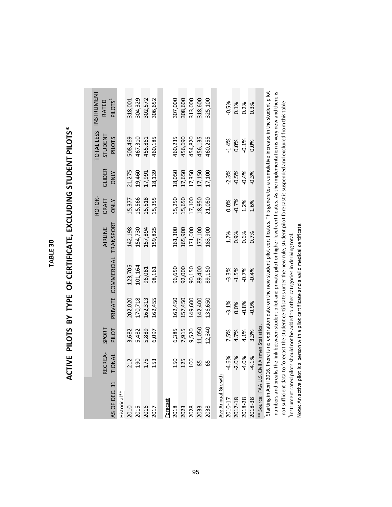TABLE 30 **TABLE 30**

# ACTIVE PILOTS BY TYPE OF CERTIFICATE, EXCLUDING STUDENT PILOTS\* **ACTIVE PILOTS BY TYPE OF CERTIFICATE, EXCLUDING STUDENT PILOTS\***

|                          | RECREA- | SPORT                   |         |                                                                                                                                                      | AIRLINE | ROTOR-<br>CRAFT | <b>GLIDER</b> | <b>TOTAL LESS</b><br>STUDENT | INSTRUMENT<br>RATED |
|--------------------------|---------|-------------------------|---------|------------------------------------------------------------------------------------------------------------------------------------------------------|---------|-----------------|---------------|------------------------------|---------------------|
| AS OF DEC. 31            | TIONAL  | PILOT                   |         | PRIVATE COMMERCIAL TRANSPORT                                                                                                                         |         | <b>ONLY</b>     | <b>ONLY</b>   | <b>PILOTS</b>                | PILOTS <sup>1</sup> |
| Historical <sup>**</sup> |         |                         |         |                                                                                                                                                      |         |                 |               |                              |                     |
| 2010                     | 212     | 3,682                   | 202,020 | 123,705                                                                                                                                              | 142,198 | 15,377          | 21,275        | 508,469                      | 318,001             |
|                          | 190     | 5,482                   | 170,718 | 101,164                                                                                                                                              | 154,730 | 15,566          | 19,460        | 467,310                      | 304,329             |
| 2015<br>2016             | 175     | 5,889                   | 162,313 | 96,081                                                                                                                                               | 157,894 | 15,518          | 17,991        | 455,861                      | 302,572             |
| 2017                     | 153     | 6,097                   | 162,455 | 98,161                                                                                                                                               | 159,825 | 15,355          | 18,139        | 460,185                      | 306,652             |
|                          |         |                         |         |                                                                                                                                                      |         |                 |               |                              |                     |
| Forecast                 |         |                         |         |                                                                                                                                                      |         |                 |               |                              |                     |
| 2018                     | 150     | 6,385                   | 162,450 | 96,650                                                                                                                                               | 161,300 | 15,250          | 18,050        | 460,235                      | 307,000             |
| 2023<br>2028<br>2033     | 125     | 7,915                   | 157,450 | 92,000                                                                                                                                               | 165,900 | 15,650          | 17,650        | 456,690                      | 308,600             |
|                          | 100     | 9,520                   | 149,600 | 90,150                                                                                                                                               | 171,000 | 17,100          | 17,350        | 454,820                      | 313,000             |
|                          | 85      | 11,050                  | 142,400 | 89,400                                                                                                                                               | 177,100 | 18,950          | 17,150        | 456,135                      | 318,600             |
| 2038                     | 59      | 12,340                  | 136,650 | 89,150                                                                                                                                               | 183,900 | 21,050          | 17,100        | 460,255                      | 325,100             |
|                          |         |                         |         |                                                                                                                                                      |         |                 |               |                              |                     |
| Avg Annual Growth        |         |                         |         |                                                                                                                                                      |         |                 |               |                              |                     |
| 2010-17                  | $-4.6%$ | 7.5%                    | $-3.1%$ | $-3.3%$                                                                                                                                              | 1.7%    | 0.0%            | $-2.3%$       | $-1.4%$                      | $-0.5%$             |
| 2017-18                  | $-2.0%$ | 4.7%                    | 0.0%    | $-1.5%$                                                                                                                                              | 0.9%    | $-0.7%$         | $-0.5%$       | 0.0%                         | 0.1%                |
| 2018-28                  | $-4.0%$ | 4.1%                    | $-0.8%$ | $-0.7%$                                                                                                                                              | 0.6%    | 1.2%            | $-0.4%$       | $-0.1%$                      | 0.2%                |
| 2018-38                  | $-4.1%$ | 3.3%                    | $-0.9%$ | $-0.4%$                                                                                                                                              | 0.7%    | 1.6%            | $-0.3%$       | 0.0%                         | 0.3%                |
| * Source: FAA U.S.       |         | Civil Airmen Statistics |         |                                                                                                                                                      |         |                 |               |                              |                     |
|                          |         |                         |         | Starting in April 2016, there is no expiration date on the new student pilot certificates. This generates a cumulative increase in the student pilot |         |                 |               |                              |                     |
|                          |         |                         |         | numbers and breaks the link between student pilot and private pilot or higher level certificates. As the implementation is very new and there is     |         |                 |               |                              |                     |
|                          |         |                         |         | not sufficient data to forecast the student certificates unter the new rule, student pilot forecast is suspended and excluded from this table.       |         |                 |               |                              |                     |
|                          |         |                         |         | Instrument rated pilots should not be added to other categories in deriving total                                                                    |         |                 |               |                              |                     |

1Instrument rated pilots should not be added to other categories in deriving total. Note: An active pilot is a person with a pilot certificate and a valid medical certificate.

Note: An active pilot is a person with a pilot certificate and a valid medical certificate.

95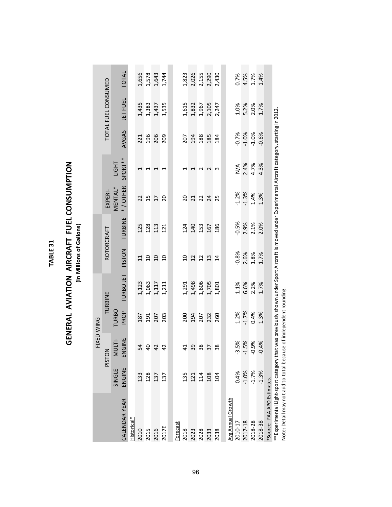| ⊣           |  |
|-------------|--|
| ١<br>ŗ      |  |
| ı           |  |
| ŕ<br>í<br>r |  |
|             |  |
|             |  |

### GENERAL AVIATION AIRCRAFT FUEL CONSUMPTION **GENERAL AVIATION AIRCRAFT FUEL CONSUMPTION** (In Millions of Gallons) **(In Millions of Gallons)**

|                             |            | FIXED WING            |                   |                |                 |                             |                |                                         |         |                                  |                         |
|-----------------------------|------------|-----------------------|-------------------|----------------|-----------------|-----------------------------|----------------|-----------------------------------------|---------|----------------------------------|-------------------------|
|                             |            | <b>PISTON</b>         |                   | TURBINE        |                 | ROTORCRAFT                  | EXPERI-        |                                         |         | TOTAL FUEL CONSUMED              |                         |
|                             | SINGLE     | $\overline{5}$<br>Σ   | <b>TURBO</b>      |                |                 |                             | MENTAL*        | <b>LIGHT</b>                            |         |                                  |                         |
| CALENDAR YEAR               | ENGINE     | ENGINE                | PROP              | TURBO JET      | <b>PISTON</b>   | TURBINE                     | */OTHER        | SPORT**                                 | AVGAS   | <b>JET FUEL</b>                  | <b>TOTAL</b>            |
| Historical*                 |            |                       |                   |                |                 |                             |                |                                         |         |                                  |                         |
| 2010                        | 133        | 54                    | 187               | 1,123          |                 |                             | 22             |                                         | 221     | 1,435                            | 1,656                   |
|                             | 128        |                       |                   |                |                 |                             | $15$           | 4                                       | 196     |                                  |                         |
| 2015<br>2016<br>2017E       | 137        | <b>4 4 4</b><br>4 4 5 | $\frac{191}{207}$ | 1,063<br>1,117 | <b>HARR</b>     | 125<br>128<br>113           |                | Ţ                                       | 206     | 1,383<br>1,437<br>1,535          | 1,578<br>1,643          |
|                             | 137        |                       | 203               | 1,211          |                 | 121                         | $\overline{c}$ | $\mathbf{\mathbf{\mathbf{\mathsf{-}}}}$ | 209     |                                  | 1,744                   |
|                             |            |                       |                   |                |                 |                             |                |                                         |         |                                  |                         |
| <b>Forecast</b>             |            |                       |                   |                |                 |                             |                |                                         |         |                                  |                         |
| 2018                        | 135        | $\overline{4}$        | 200               | 1,291          | $\overline{01}$ | 124                         | 20             |                                         | 207     | 1,615                            | 1,823                   |
| 2023                        | 121        | 39                    | 194               | 1,498          |                 | 140                         | 21             |                                         | 194     |                                  |                         |
| 2028                        |            | 38<br>37              |                   |                | $222$           | 153<br>167                  | $2^{2}$        | $\sim$                                  | 188     |                                  |                         |
|                             | 114<br>108 |                       | 207               | 1,606<br>1,705 |                 |                             |                | $\sim$                                  | 185     | 1,832<br>1,967<br>2,105<br>2,247 | 2,026<br>2,155<br>2,290 |
| 2038                        | 104        | 38                    | 260               | 1,801          | $\overline{14}$ | 186                         | 25             | S                                       | 184     |                                  | 2,430                   |
|                             |            |                       |                   |                |                 |                             |                |                                         |         |                                  |                         |
| <b>Avg Annual Growth</b>    |            |                       |                   |                |                 |                             |                |                                         |         |                                  |                         |
| 2010-17                     | 0.4%       | $-3.5%$               | 1.2%              | 1.1%           | $-0.8%$         |                             | $-1.2%$        | N/A                                     | $-0.7%$ |                                  | 0.7%                    |
| 2017-18                     | $-1.0%$    | $-1.5%$               | $-1.7%$           | 6.6%           | 2.6%            | $-0.5%$<br>$2.9%$<br>$2.1%$ | $-1.3%$        | 2.4%                                    | $-1.0%$ | 1.0%<br>5.2%<br>2.0%             | 4.5%<br>1.7%            |
| 2018-28                     | $-1.7%$    | 0.9%                  | 0.4%              | 2.2%           | 1.8%            |                             | 1.4%           | 4.7%                                    | $-1.0%$ |                                  |                         |
| 2018-38                     | $-1.3%$    | 0.4%                  | 1.3%              | 1.7%           | 1.7%            | 2.0%                        | 1.3%           | 4.3%                                    | $-0.6%$ | 1.7%                             | 1.4%                    |
| *Source: FAA APO Estimates. |            |                       |                   |                |                 |                             |                |                                         |         |                                  |                         |
| $\frac{1}{2}$               |            |                       |                   |                |                 |                             |                |                                         |         | 50.72                            |                         |

\*\*Experimental Light-sport category that was previously shown under Sport Aircraft is moved under Experimental Aircraft category, starting in 2012.<br>Note: Detail may not add to total because of independent rounding. \*\*Experimental Light-sport category that was previously shown under Sport Aircraft is moved under Experimental Aircraft category, starting in 2012. Note: Detail may not add to total because of independent rounding.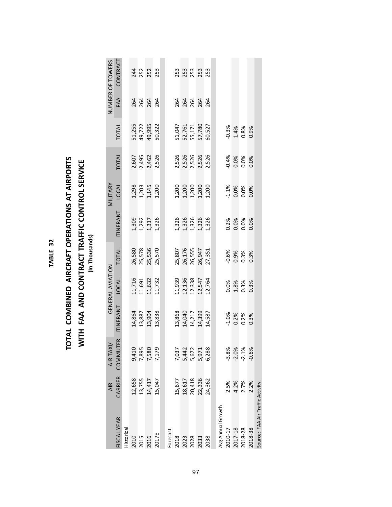| г<br>٠ |  |
|--------|--|

### TOTAL COMBINED AIRCRAFT OPERATIONS AT AIRPORTS **TOTAL COMBINED AIRCRAFT OPERATIONS AT AIRPORTS WITH FAA AND CONTRACT TRAFFIC CONTROL SERVICE WITH FAA AND CONTRACT TRAFFIC CONTROL SERVICE (In Thousands)**

| ׇ֠     |
|--------|
|        |
|        |
|        |
|        |
| L<br>۱ |
| ٦<br>Ξ |
| ı      |
|        |
|        |
|        |
|        |
|        |
|        |
|        |
|        |
|        |

|                                   | AIR                        | AIR TAXI/                                 |                       | GENERAL AVIATION                               |                                                |                                           | MILITARY                                  |                                      |                                                |                   | NUMBER OF TOWERS                                                                                                                                                       |
|-----------------------------------|----------------------------|-------------------------------------------|-----------------------|------------------------------------------------|------------------------------------------------|-------------------------------------------|-------------------------------------------|--------------------------------------|------------------------------------------------|-------------------|------------------------------------------------------------------------------------------------------------------------------------------------------------------------|
| FISCAL YEAR                       | CARRIER                    | <b>COMMUTER</b>                           | <b>ITINERANT</b>      | <b>LOCAL</b>                                   | <b>TOTAL</b>                                   | <b>ITINERANT</b>                          | <b>LOCAL</b>                              | <b>TOTAL</b>                         | <b>TOTAL</b>                                   | FAA               | CONTRACT                                                                                                                                                               |
| Historical                        |                            |                                           |                       |                                                |                                                |                                           |                                           |                                      |                                                |                   |                                                                                                                                                                        |
| 2010<br>2015<br>2016<br>2017E     |                            |                                           |                       |                                                |                                                |                                           |                                           |                                      |                                                |                   |                                                                                                                                                                        |
|                                   | 12,658<br>13,755           |                                           | 14,864<br>13,887      |                                                |                                                |                                           |                                           |                                      | 51,255<br>49,722                               |                   |                                                                                                                                                                        |
|                                   | 14,417                     | 9,410<br>7,895<br>7,580<br>7,179          | 13,904                | 11,716<br>11,691<br>11,632<br>11,732           | 26,580<br>25,578<br>25,536                     | 1,309<br>1,292<br>1,317<br>1,326          | $1,203$<br>$1,203$<br>$1,45$<br>$1,200$   | 2, 495<br>2, 495<br>2, 526<br>2, 526 | 49,995                                         | 264<br>264<br>264 | 24<br>252<br>253                                                                                                                                                       |
|                                   | 15,047                     |                                           | 13,838                |                                                | 25,570                                         |                                           |                                           |                                      | 50,322                                         |                   |                                                                                                                                                                        |
|                                   |                            |                                           |                       |                                                |                                                |                                           |                                           |                                      |                                                |                   |                                                                                                                                                                        |
| Forecast                          |                            |                                           |                       |                                                |                                                |                                           |                                           |                                      |                                                |                   |                                                                                                                                                                        |
| 2018                              | 15,677                     |                                           | 13,868                |                                                |                                                |                                           |                                           |                                      |                                                |                   |                                                                                                                                                                        |
| 2023                              | 18,617                     | 7,037<br>5,442<br>5,672<br>5,971<br>6,288 | 14,040                | 11,939<br>12,136<br>12,547<br>12,764<br>12,764 | 25,807<br>26,176<br>26,555<br>27,351<br>27,351 | 1,326<br>1,326<br>1,326<br>1,326<br>1,326 | 1,200<br>1,200<br>1,200<br>1,200<br>1,200 | 2,526<br>2,526<br>2,526<br>2,526     | 51,047<br>52,761<br>55,171<br>57,780<br>60,527 |                   | 3<br>2<br>2<br>2<br>2<br>2<br>2<br>2<br>2<br>3<br>2<br>3<br>2<br>3<br>2<br>3<br>2<br>3<br>3<br>3<br>3<br>3<br>3<br>3<br>3<br>3<br>3<br>3<br>3<br>3<br>3<br>3<br>3<br>3 |
| 2028                              |                            |                                           | 14,217                |                                                |                                                |                                           |                                           |                                      |                                                |                   |                                                                                                                                                                        |
| 2033                              | 20,418<br>22,336<br>24,362 |                                           | 14,399                |                                                |                                                |                                           |                                           |                                      |                                                |                   |                                                                                                                                                                        |
| 2038                              |                            |                                           | 14,587                |                                                |                                                |                                           |                                           |                                      |                                                |                   |                                                                                                                                                                        |
|                                   |                            |                                           |                       |                                                |                                                |                                           |                                           |                                      |                                                |                   |                                                                                                                                                                        |
| Avg Annual Growth                 |                            |                                           |                       |                                                |                                                |                                           |                                           |                                      |                                                |                   |                                                                                                                                                                        |
| 2010-17                           | 2.5%                       | $-3.8%$                                   |                       |                                                |                                                |                                           |                                           |                                      |                                                |                   |                                                                                                                                                                        |
| 2017-18                           | 4.2%                       | $-2.0\%$<br>$-2.1\%$                      | $\frac{1.0\%}{0.2\%}$ | 0.0%<br>1.8%<br>0.3%                           | 0.6%<br>0.9%<br>0.3%                           | 0.2%<br>0.0%<br>0.0%                      | $\frac{1.1\%}{0.0\%}$                     | $-0.4\%$<br>0.0%<br>0.0%             | $-0.3%$<br>$1.4%$<br>0.8%                      |                   |                                                                                                                                                                        |
| 2018-28                           | 2.7%                       |                                           |                       |                                                |                                                |                                           |                                           |                                      |                                                |                   |                                                                                                                                                                        |
| 2018-38                           | 2.2%                       | $-0.6%$                                   | 0.3%                  | 0.3%                                           | 0.3%                                           | 0.0%                                      | 0.0%                                      | 0.0%                                 | 0.9%                                           |                   |                                                                                                                                                                        |
| Source: FAA Air Traffic Activity. |                            |                                           |                       |                                                |                                                |                                           |                                           |                                      |                                                |                   |                                                                                                                                                                        |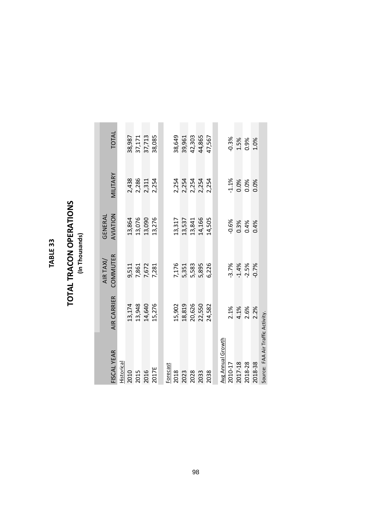#### TABLE 33 **TABLE 33**

### **TOTAL TRACON OPERATIONS TOTAL TRACON OPERATIONS**

| ť |
|---|
| ı |
|   |
| г |
|   |
|   |
|   |
|   |
|   |
|   |

| FISCAL YEAR                       | <b>AIR CARRIER</b> | COMMUTER<br>AIR TAXI/ | AVIATION<br>GENERAL | MILITARY | TOTAL   |
|-----------------------------------|--------------------|-----------------------|---------------------|----------|---------|
| Historical                        |                    |                       |                     |          |         |
| 2010                              | 13,174             | 9,511                 | 13,864              | 2,438    | 38,987  |
| 2015                              | 13,948             | 7,861                 | 13,076              | 2,286    | 37,171  |
| 2016                              | 14,640             | 7,672                 | 13,090              | 2,311    | 37,713  |
| 2017E                             | 15,276             | 7,281                 | 13,276              | 2,254    | 38,085  |
|                                   |                    |                       |                     |          |         |
| Forecast                          |                    |                       |                     |          |         |
| 2018                              | 15,902             | 7,176                 | 13,317              | 2,254    | 38,649  |
| 2023                              | 18,819             | 5,351                 | 13,537              | 2,254    | 39,961  |
| 2028                              | 20,626             | 5,583                 | 13,841              | 2,254    | 42,303  |
| 2033                              | 22,550             | 5,895                 | 14,166              | 2,254    | 44,865  |
| 2038                              | 24,582             | 6,226                 | 14,505              | 2,254    | 47,567  |
|                                   |                    |                       |                     |          |         |
| Avg Annual Growth                 |                    |                       |                     |          |         |
| 2010-17                           | 2.1%               | $-3.7%$               | $-0.6%$             | $-1.1%$  | $-0.3%$ |
| 2017-18                           | 4.1%               | $-1.4%$               | 0.3%                | 0.0%     | 1.5%    |
| 2018-28                           | 2.6%               | $-2.5%$               | 0.4%                | 0.0%     | 0.9%    |
| 2018-38                           | 2.2%               | $-0.7%$               | 0.4%                | 0.0%     | 1.0%    |
| Source: FAA Air Traffic Activity. |                    |                       |                     |          |         |